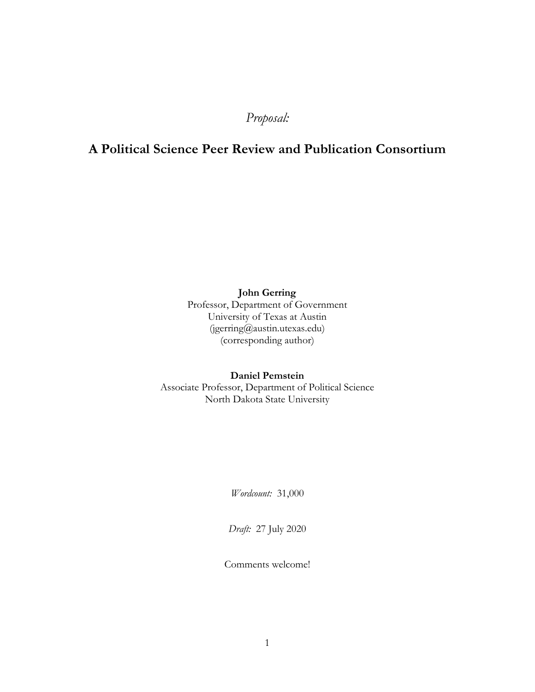# *Proposal:*

# **A Political Science Peer Review and Publication Consortium**

**John Gerring**

Professor, Department of Government University of Texas at Austin (jgerring@austin.utexas.edu) (corresponding author)

### **Daniel Pemstein** Associate Professor, Department of Political Science North Dakota State University

*Wordcount:* 31,000

*Draft:* 27 July 2020

Comments welcome!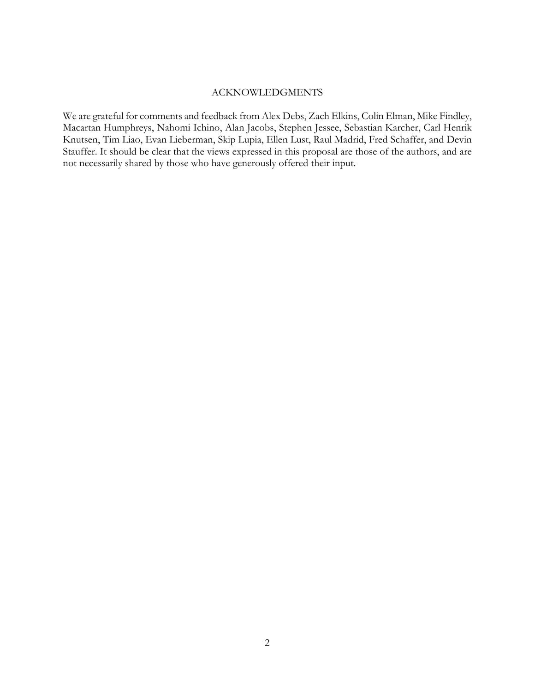### ACKNOWLEDGMENTS

We are grateful for comments and feedback from Alex Debs, Zach Elkins, Colin Elman, Mike Findley, Macartan Humphreys, Nahomi Ichino, Alan Jacobs, Stephen Jessee, Sebastian Karcher, Carl Henrik Knutsen, Tim Liao, Evan Lieberman, Skip Lupia, Ellen Lust, Raul Madrid, Fred Schaffer, and Devin Stauffer. It should be clear that the views expressed in this proposal are those of the authors, and are not necessarily shared by those who have generously offered their input.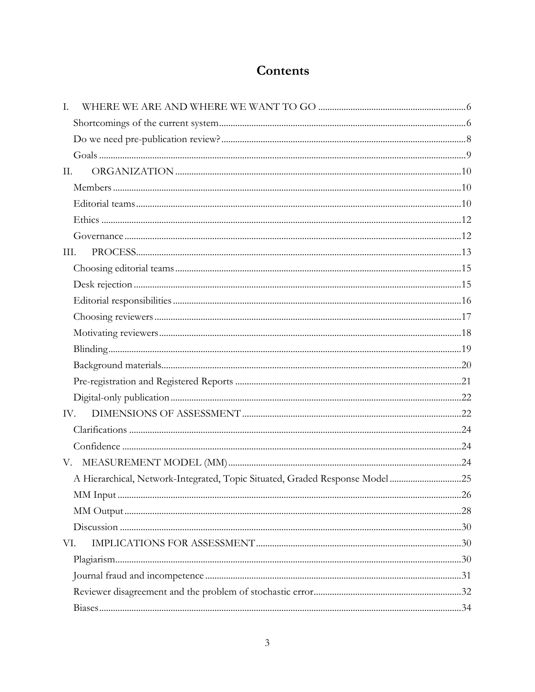# Contents

| $\mathbf{I}$ . |                                                                             |  |
|----------------|-----------------------------------------------------------------------------|--|
|                |                                                                             |  |
|                |                                                                             |  |
|                |                                                                             |  |
| П.             |                                                                             |  |
|                |                                                                             |  |
|                |                                                                             |  |
|                |                                                                             |  |
|                |                                                                             |  |
| III.           |                                                                             |  |
|                |                                                                             |  |
|                |                                                                             |  |
|                |                                                                             |  |
|                |                                                                             |  |
|                |                                                                             |  |
|                |                                                                             |  |
|                |                                                                             |  |
|                |                                                                             |  |
|                |                                                                             |  |
| IV.            |                                                                             |  |
|                |                                                                             |  |
|                |                                                                             |  |
| V.             |                                                                             |  |
|                | A Hierarchical, Network-Integrated, Topic Situated, Graded Response Model25 |  |
|                |                                                                             |  |
|                |                                                                             |  |
|                |                                                                             |  |
| VI.            |                                                                             |  |
|                |                                                                             |  |
|                |                                                                             |  |
|                |                                                                             |  |
|                |                                                                             |  |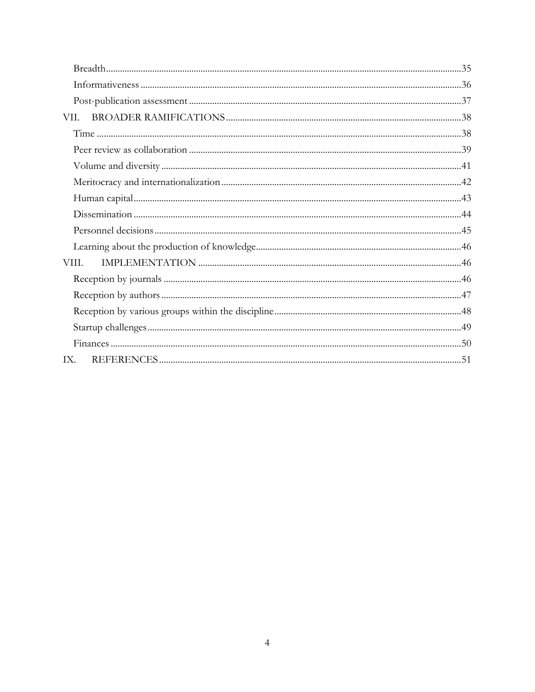| VII.  |  |
|-------|--|
|       |  |
|       |  |
|       |  |
|       |  |
|       |  |
|       |  |
|       |  |
|       |  |
| VIII. |  |
|       |  |
|       |  |
|       |  |
|       |  |
|       |  |
| IX.   |  |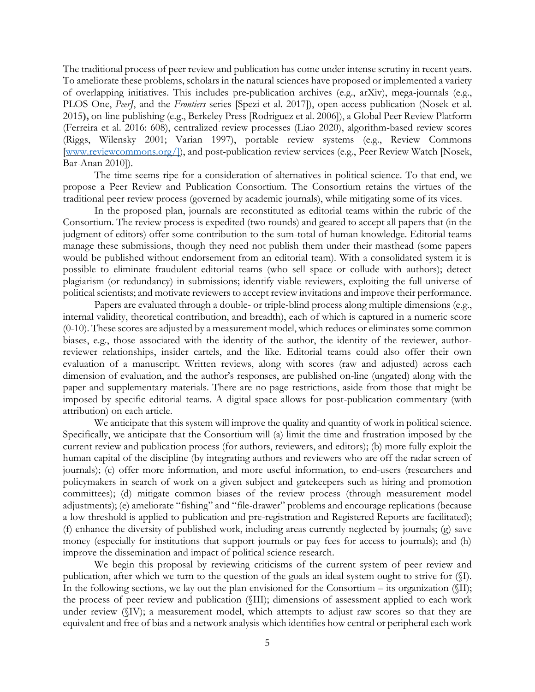The traditional process of peer review and publication has come under intense scrutiny in recent years. To ameliorate these problems, scholars in the natural sciences have proposed or implemented a variety of overlapping initiatives. This includes pre-publication archives (e.g., arXiv), mega-journals (e.g., PLOS One, *PeerJ*, and the *Frontiers* series [Spezi et al. 2017]), open-access publication (Nosek et al. 2015**),** on-line publishing (e.g., Berkeley Press [Rodriguez et al. 2006]), a Global Peer Review Platform (Ferreira et al. 2016: 608), centralized review processes (Liao 2020), algorithm-based review scores (Riggs, Wilensky 2001; Varian 1997), portable review systems (e.g., Review Commons [\[www.reviewcommons.org/\]](http://www.reviewcommons.org/)), and post-publication review services (e.g., Peer Review Watch [Nosek, Bar-Anan 2010]).

The time seems ripe for a consideration of alternatives in political science. To that end, we propose a Peer Review and Publication Consortium. The Consortium retains the virtues of the traditional peer review process (governed by academic journals), while mitigating some of its vices.

In the proposed plan, journals are reconstituted as editorial teams within the rubric of the Consortium. The review process is expedited (two rounds) and geared to accept all papers that (in the judgment of editors) offer some contribution to the sum-total of human knowledge. Editorial teams manage these submissions, though they need not publish them under their masthead (some papers would be published without endorsement from an editorial team). With a consolidated system it is possible to eliminate fraudulent editorial teams (who sell space or collude with authors); detect plagiarism (or redundancy) in submissions; identify viable reviewers, exploiting the full universe of political scientists; and motivate reviewers to accept review invitations and improve their performance.

Papers are evaluated through a double- or triple-blind process along multiple dimensions (e.g., internal validity, theoretical contribution, and breadth), each of which is captured in a numeric score (0-10). These scores are adjusted by a measurement model, which reduces or eliminates some common biases, e.g., those associated with the identity of the author, the identity of the reviewer, authorreviewer relationships, insider cartels, and the like. Editorial teams could also offer their own evaluation of a manuscript. Written reviews, along with scores (raw and adjusted) across each dimension of evaluation, and the author's responses, are published on-line (ungated) along with the paper and supplementary materials. There are no page restrictions, aside from those that might be imposed by specific editorial teams. A digital space allows for post-publication commentary (with attribution) on each article.

We anticipate that this system will improve the quality and quantity of work in political science. Specifically, we anticipate that the Consortium will (a) limit the time and frustration imposed by the current review and publication process (for authors, reviewers, and editors); (b) more fully exploit the human capital of the discipline (by integrating authors and reviewers who are off the radar screen of journals); (c) offer more information, and more useful information, to end-users (researchers and policymakers in search of work on a given subject and gatekeepers such as hiring and promotion committees); (d) mitigate common biases of the review process (through measurement model adjustments); (e) ameliorate "fishing" and "file-drawer" problems and encourage replications (because a low threshold is applied to publication and pre-registration and Registered Reports are facilitated); (f) enhance the diversity of published work, including areas currently neglected by journals; (g) save money (especially for institutions that support journals or pay fees for access to journals); and (h) improve the dissemination and impact of political science research.

We begin this proposal by reviewing criticisms of the current system of peer review and publication, after which we turn to the question of the goals an ideal system ought to strive for (§I). In the following sections, we lay out the plan envisioned for the Consortium – its organization ( $\langle \overline{III} \rangle$ ; the process of peer review and publication (§III); dimensions of assessment applied to each work under review (§IV); a measurement model, which attempts to adjust raw scores so that they are equivalent and free of bias and a network analysis which identifies how central or peripheral each work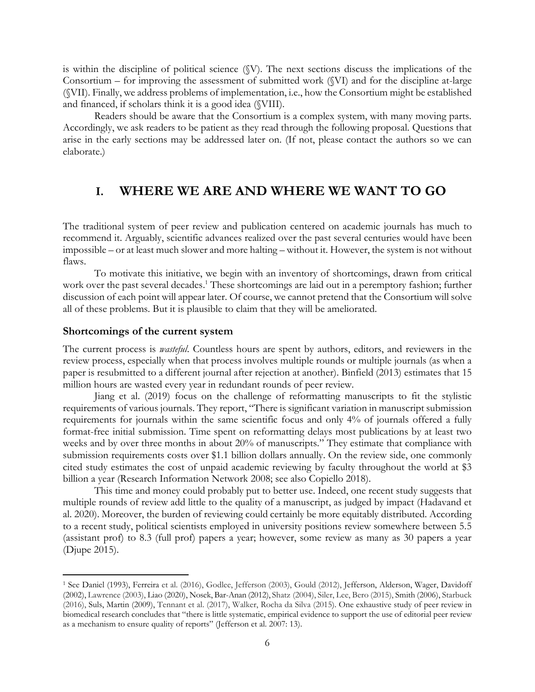is within the discipline of political science (§V). The next sections discuss the implications of the Consortium – for improving the assessment of submitted work (§VI) and for the discipline at-large (§VII). Finally, we address problems of implementation, i.e., how the Consortium might be established and financed, if scholars think it is a good idea (§VIII).

Readers should be aware that the Consortium is a complex system, with many moving parts. Accordingly, we ask readers to be patient as they read through the following proposal. Questions that arise in the early sections may be addressed later on. (If not, please contact the authors so we can elaborate.)

# <span id="page-5-0"></span>**I. WHERE WE ARE AND WHERE WE WANT TO GO**

The traditional system of peer review and publication centered on academic journals has much to recommend it. Arguably, scientific advances realized over the past several centuries would have been impossible – or at least much slower and more halting – without it. However, the system is not without flaws.

To motivate this initiative, we begin with an inventory of shortcomings, drawn from critical work over the past several decades. <sup>1</sup> These shortcomings are laid out in a peremptory fashion; further discussion of each point will appear later. Of course, we cannot pretend that the Consortium will solve all of these problems. But it is plausible to claim that they will be ameliorated.

### <span id="page-5-1"></span>**Shortcomings of the current system**

The current process is *wasteful*. Countless hours are spent by authors, editors, and reviewers in the review process, especially when that process involves multiple rounds or multiple journals (as when a paper is resubmitted to a different journal after rejection at another). Binfield (2013) estimates that 15 million hours are wasted every year in redundant rounds of peer review.

Jiang et al. (2019) focus on the challenge of reformatting manuscripts to fit the stylistic requirements of various journals. They report, "There is significant variation in manuscript submission requirements for journals within the same scientific focus and only 4% of journals offered a fully format-free initial submission. Time spent on reformatting delays most publications by at least two weeks and by over three months in about 20% of manuscripts." They estimate that compliance with submission requirements costs over \$1.1 billion dollars annually. On the review side, one commonly cited study estimates the cost of unpaid academic reviewing by faculty throughout the world at \$3 billion a year (Research Information Network 2008; see also Copiello 2018).

This time and money could probably put to better use. Indeed, one recent study suggests that multiple rounds of review add little to the quality of a manuscript, as judged by impact (Hadavand et al. 2020). Moreover, the burden of reviewing could certainly be more equitably distributed. According to a recent study, political scientists employed in university positions review somewhere between 5.5 (assistant prof) to 8.3 (full prof) papers a year; however, some review as many as 30 papers a year (Djupe 2015).

<sup>1</sup> See Daniel (1993), Ferreira et al. (2016), Godlee, Jefferson (2003), Gould (2012), Jefferson, Alderson, Wager, Davidoff (2002), Lawrence (2003), Liao (2020), Nosek, Bar-Anan (2012), Shatz (2004), Siler, Lee, Bero (2015), Smith (2006), Starbuck (2016), Suls, Martin (2009), Tennant et al. (2017), Walker, Rocha da Silva (2015). One exhaustive study of peer review in biomedical research concludes that "there is little systematic, empirical evidence to support the use of editorial peer review as a mechanism to ensure quality of reports" (Jefferson et al. 2007: 13).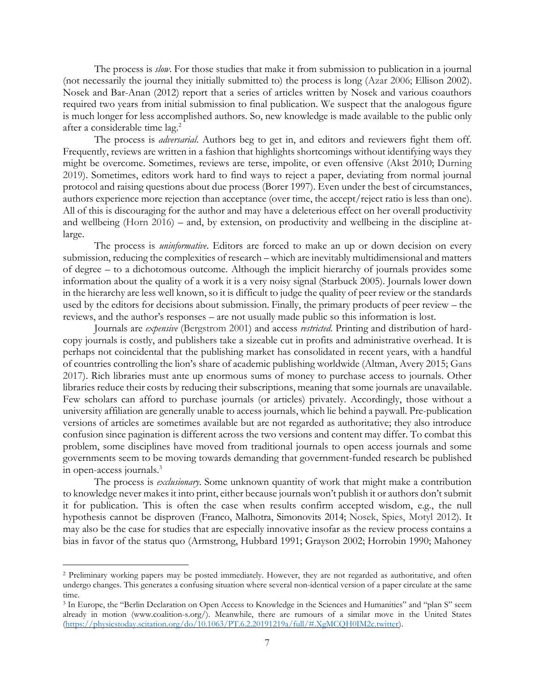The process is *slow*. For those studies that make it from submission to publication in a journal (not necessarily the journal they initially submitted to) the process is long (Azar 2006; Ellison 2002). Nosek and Bar-Anan (2012) report that a series of articles written by Nosek and various coauthors required two years from initial submission to final publication. We suspect that the analogous figure is much longer for less accomplished authors. So, new knowledge is made available to the public only after a considerable time lag.<sup>2</sup>

The process is *adversarial*. Authors beg to get in, and editors and reviewers fight them off. Frequently, reviews are written in a fashion that highlights shortcomings without identifying ways they might be overcome. Sometimes, reviews are terse, impolite, or even offensive (Akst 2010; Durning 2019). Sometimes, editors work hard to find ways to reject a paper, deviating from normal journal protocol and raising questions about due process (Borer 1997). Even under the best of circumstances, authors experience more rejection than acceptance (over time, the accept/reject ratio is less than one). All of this is discouraging for the author and may have a deleterious effect on her overall productivity and wellbeing (Horn 2016) – and, by extension, on productivity and wellbeing in the discipline atlarge.

The process is *uninformative*. Editors are forced to make an up or down decision on every submission, reducing the complexities of research – which are inevitably multidimensional and matters of degree – to a dichotomous outcome. Although the implicit hierarchy of journals provides some information about the quality of a work it is a very noisy signal (Starbuck 2005). Journals lower down in the hierarchy are less well known, so it is difficult to judge the quality of peer review or the standards used by the editors for decisions about submission. Finally, the primary products of peer review – the reviews, and the author's responses – are not usually made public so this information is lost.

Journals are *expensive* (Bergstrom 2001) and access *restricted*. Printing and distribution of hardcopy journals is costly, and publishers take a sizeable cut in profits and administrative overhead. It is perhaps not coincidental that the publishing market has consolidated in recent years, with a handful of countries controlling the lion's share of academic publishing worldwide (Altman, Avery 2015; Gans 2017). Rich libraries must ante up enormous sums of money to purchase access to journals. Other libraries reduce their costs by reducing their subscriptions, meaning that some journals are unavailable. Few scholars can afford to purchase journals (or articles) privately. Accordingly, those without a university affiliation are generally unable to access journals, which lie behind a paywall. Pre-publication versions of articles are sometimes available but are not regarded as authoritative; they also introduce confusion since pagination is different across the two versions and content may differ. To combat this problem, some disciplines have moved from traditional journals to open access journals and some governments seem to be moving towards demanding that government-funded research be published in open-access journals.<sup>3</sup>

The process is *exclusionary*. Some unknown quantity of work that might make a contribution to knowledge never makes it into print, either because journals won't publish it or authors don't submit it for publication. This is often the case when results confirm accepted wisdom, e.g., the null hypothesis cannot be disproven (Franco, Malhotra, Simonovits 2014; Nosek, Spies, Motyl 2012). It may also be the case for studies that are especially innovative insofar as the review process contains a bias in favor of the status quo (Armstrong, Hubbard 1991; Grayson 2002; Horrobin 1990; Mahoney

<sup>2</sup> Preliminary working papers may be posted immediately. However, they are not regarded as authoritative, and often undergo changes. This generates a confusing situation where several non-identical version of a paper circulate at the same time.

<sup>3</sup> In Europe, the "Berlin Declaration on Open Access to Knowledge in the Sciences and Humanities" and "plan S" seem already in motion [\(www.coalition-s.org/\)](https://www.coalition-s.org/). Meanwhile, there are rumours of a similar move in the United States [\(https://physicstoday.scitation.org/do/10.1063/PT.6.2.20191219a/full/#.XgMCQH0IM2c.twitter\)](https://physicstoday.scitation.org/do/10.1063/PT.6.2.20191219a/full/#.XgMCQH0IM2c.twitter).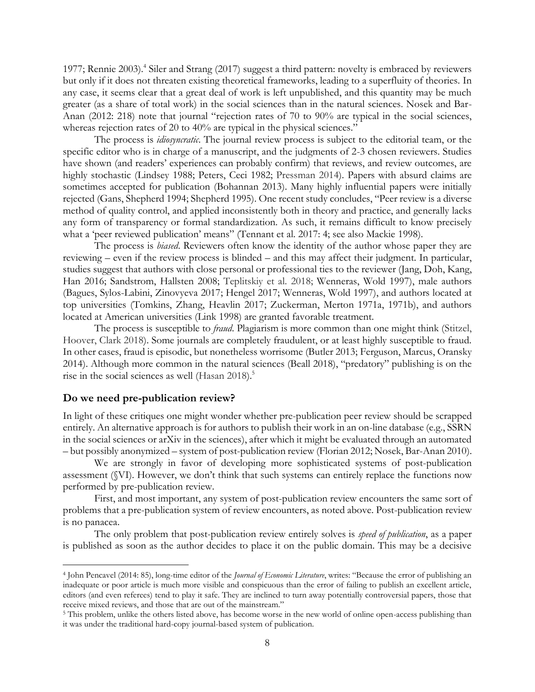1977; Rennie 2003). 4 Siler and Strang (2017) suggest a third pattern: novelty is embraced by reviewers but only if it does not threaten existing theoretical frameworks, leading to a superfluity of theories. In any case, it seems clear that a great deal of work is left unpublished, and this quantity may be much greater (as a share of total work) in the social sciences than in the natural sciences. Nosek and Bar-Anan (2012: 218) note that journal "rejection rates of 70 to 90% are typical in the social sciences, whereas rejection rates of 20 to 40% are typical in the physical sciences."

The process is *idiosyncratic*. The journal review process is subject to the editorial team, or the specific editor who is in charge of a manuscript, and the judgments of 2-3 chosen reviewers. Studies have shown (and readers' experiences can probably confirm) that reviews, and review outcomes, are highly stochastic (Lindsey 1988; Peters, Ceci 1982; Pressman 2014). Papers with absurd claims are sometimes accepted for publication (Bohannan 2013). Many highly influential papers were initially rejected (Gans, Shepherd 1994; Shepherd 1995). One recent study concludes, "Peer review is a diverse method of quality control, and applied inconsistently both in theory and practice, and generally lacks any form of transparency or formal standardization. As such, it remains difficult to know precisely what a 'peer reviewed publication' means" (Tennant et al. 2017: 4; see also Mackie 1998).

The process is *biased*. Reviewers often know the identity of the author whose paper they are reviewing – even if the review process is blinded – and this may affect their judgment. In particular, studies suggest that authors with close personal or professional ties to the reviewer (Jang, Doh, Kang, Han 2016; Sandstrom, Hallsten 2008; Teplitskiy et al. 2018; Wenneras, Wold 1997), male authors (Bagues, Sylos-Labini, Zinovyeva 2017; Hengel 2017; Wenneras, Wold 1997), and authors located at top universities (Tomkins, Zhang, Heavlin 2017; Zuckerman, Merton 1971a, 1971b), and authors located at American universities (Link 1998) are granted favorable treatment.

The process is susceptible to *fraud*. Plagiarism is more common than one might think (Stitzel, Hoover, Clark 2018). Some journals are completely fraudulent, or at least highly susceptible to fraud. In other cases, fraud is episodic, but nonetheless worrisome (Butler 2013; Ferguson, Marcus, Oransky 2014). Although more common in the natural sciences (Beall 2018), "predatory" publishing is on the rise in the social sciences as well (Hasan 2018).<sup>5</sup>

### <span id="page-7-0"></span>**Do we need pre-publication review?**

In light of these critiques one might wonder whether pre-publication peer review should be scrapped entirely. An alternative approach is for authors to publish their work in an on-line database (e.g., SSRN in the social sciences or arXiv in the sciences), after which it might be evaluated through an automated – but possibly anonymized – system of post-publication review (Florian 2012; Nosek, Bar-Anan 2010).

We are strongly in favor of developing more sophisticated systems of post-publication assessment (§VI). However, we don't think that such systems can entirely replace the functions now performed by pre-publication review.

First, and most important, any system of post-publication review encounters the same sort of problems that a pre-publication system of review encounters, as noted above. Post-publication review is no panacea.

The only problem that post-publication review entirely solves is *speed of publication*, as a paper is published as soon as the author decides to place it on the public domain. This may be a decisive

<sup>4</sup> John Pencavel (2014: 85), long-time editor of the *Journal of Economic Literature*, writes: "Because the error of publishing an inadequate or poor article is much more visible and conspicuous than the error of failing to publish an excellent article, editors (and even referees) tend to play it safe. They are inclined to turn away potentially controversial papers, those that receive mixed reviews, and those that are out of the mainstream."

<sup>&</sup>lt;sup>5</sup> This problem, unlike the others listed above, has become worse in the new world of online open-access publishing than it was under the traditional hard-copy journal-based system of publication.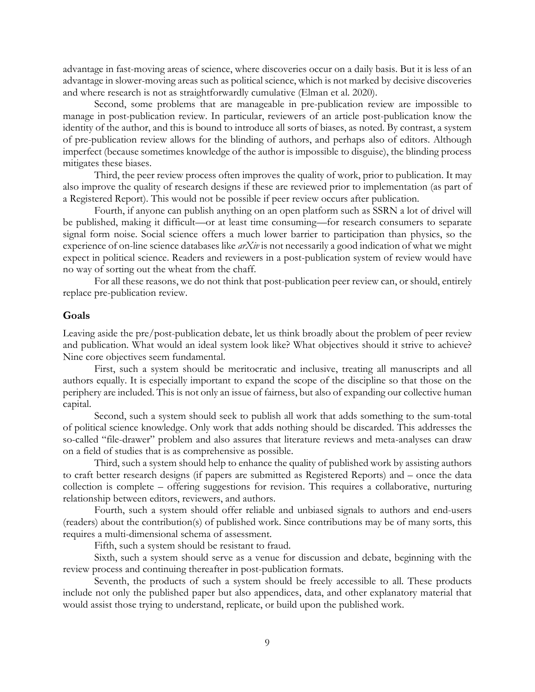advantage in fast-moving areas of science, where discoveries occur on a daily basis. But it is less of an advantage in slower-moving areas such as political science, which is not marked by decisive discoveries and where research is not as straightforwardly cumulative (Elman et al. 2020).

Second, some problems that are manageable in pre-publication review are impossible to manage in post-publication review. In particular, reviewers of an article post-publication know the identity of the author, and this is bound to introduce all sorts of biases, as noted. By contrast, a system of pre-publication review allows for the blinding of authors, and perhaps also of editors. Although imperfect (because sometimes knowledge of the author is impossible to disguise), the blinding process mitigates these biases.

Third, the peer review process often improves the quality of work, prior to publication. It may also improve the quality of research designs if these are reviewed prior to implementation (as part of a Registered Report). This would not be possible if peer review occurs after publication.

Fourth, if anyone can publish anything on an open platform such as SSRN a lot of drivel will be published, making it difficult—or at least time consuming—for research consumers to separate signal form noise. Social science offers a much lower barrier to participation than physics, so the experience of on-line science databases like *arXiv* is not necessarily a good indication of what we might expect in political science. Readers and reviewers in a post-publication system of review would have no way of sorting out the wheat from the chaff.

For all these reasons, we do not think that post-publication peer review can, or should, entirely replace pre-publication review.

#### <span id="page-8-0"></span>**Goals**

Leaving aside the pre/post-publication debate, let us think broadly about the problem of peer review and publication. What would an ideal system look like? What objectives should it strive to achieve? Nine core objectives seem fundamental.

First, such a system should be meritocratic and inclusive, treating all manuscripts and all authors equally. It is especially important to expand the scope of the discipline so that those on the periphery are included. This is not only an issue of fairness, but also of expanding our collective human capital.

Second, such a system should seek to publish all work that adds something to the sum-total of political science knowledge. Only work that adds nothing should be discarded. This addresses the so-called "file-drawer" problem and also assures that literature reviews and meta-analyses can draw on a field of studies that is as comprehensive as possible.

Third, such a system should help to enhance the quality of published work by assisting authors to craft better research designs (if papers are submitted as Registered Reports) and – once the data collection is complete – offering suggestions for revision. This requires a collaborative, nurturing relationship between editors, reviewers, and authors.

Fourth, such a system should offer reliable and unbiased signals to authors and end-users (readers) about the contribution(s) of published work. Since contributions may be of many sorts, this requires a multi-dimensional schema of assessment.

Fifth, such a system should be resistant to fraud.

Sixth, such a system should serve as a venue for discussion and debate, beginning with the review process and continuing thereafter in post-publication formats.

Seventh, the products of such a system should be freely accessible to all. These products include not only the published paper but also appendices, data, and other explanatory material that would assist those trying to understand, replicate, or build upon the published work.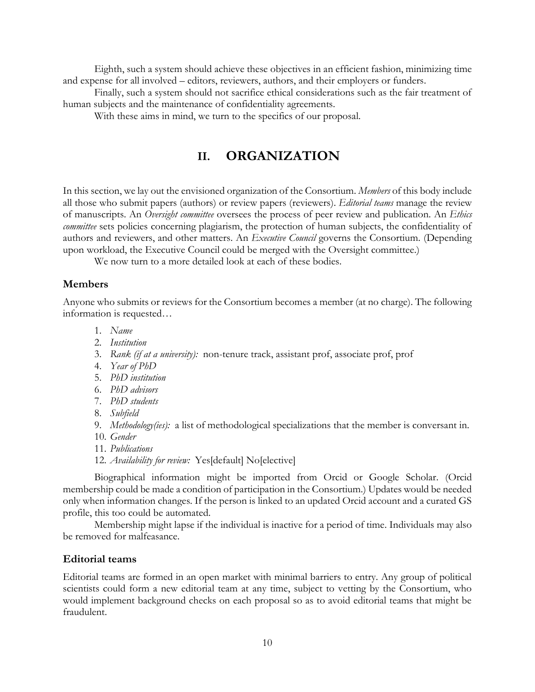Eighth, such a system should achieve these objectives in an efficient fashion, minimizing time and expense for all involved – editors, reviewers, authors, and their employers or funders.

Finally, such a system should not sacrifice ethical considerations such as the fair treatment of human subjects and the maintenance of confidentiality agreements.

<span id="page-9-0"></span>With these aims in mind, we turn to the specifics of our proposal.

# **II. ORGANIZATION**

In this section, we lay out the envisioned organization of the Consortium. *Members* of this body include all those who submit papers (authors) or review papers (reviewers). *Editorial teams* manage the review of manuscripts. An *Oversight committee* oversees the process of peer review and publication. An *Ethics committee* sets policies concerning plagiarism, the protection of human subjects, the confidentiality of authors and reviewers, and other matters. An *Executive Council* governs the Consortium. (Depending upon workload, the Executive Council could be merged with the Oversight committee.)

We now turn to a more detailed look at each of these bodies.

### <span id="page-9-1"></span>**Members**

Anyone who submits or reviews for the Consortium becomes a member (at no charge). The following information is requested…

- 1. *Name*
- 2. *Institution*
- 3. *Rank (if at a university):* non-tenure track, assistant prof, associate prof, prof
- 4. *Year of PhD*
- 5. *PhD institution*
- 6. *PhD advisors*
- 7. *PhD students*
- 8. *Subfield*
- 9. *Methodology(ies):* a list of methodological specializations that the member is conversant in.
- 10. *Gender*
- 11. *Publications*
- 12. *Availability for review:* Yes[default] No[elective]

Biographical information might be imported from Orcid or Google Scholar. (Orcid membership could be made a condition of participation in the Consortium.) Updates would be needed only when information changes. If the person is linked to an updated Orcid account and a curated GS profile, this too could be automated.

Membership might lapse if the individual is inactive for a period of time. Individuals may also be removed for malfeasance.

### <span id="page-9-2"></span>**Editorial teams**

Editorial teams are formed in an open market with minimal barriers to entry. Any group of political scientists could form a new editorial team at any time, subject to vetting by the Consortium, who would implement background checks on each proposal so as to avoid editorial teams that might be fraudulent.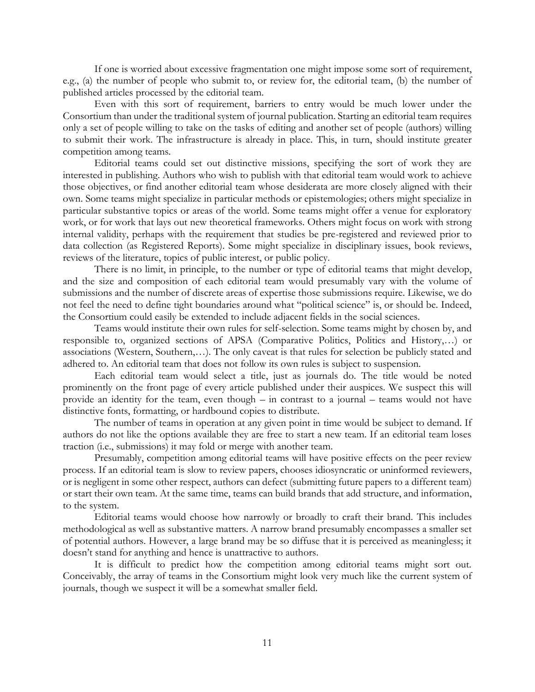If one is worried about excessive fragmentation one might impose some sort of requirement, e.g., (a) the number of people who submit to, or review for, the editorial team, (b) the number of published articles processed by the editorial team.

Even with this sort of requirement, barriers to entry would be much lower under the Consortium than under the traditional system of journal publication. Starting an editorial team requires only a set of people willing to take on the tasks of editing and another set of people (authors) willing to submit their work. The infrastructure is already in place. This, in turn, should institute greater competition among teams.

Editorial teams could set out distinctive missions, specifying the sort of work they are interested in publishing. Authors who wish to publish with that editorial team would work to achieve those objectives, or find another editorial team whose desiderata are more closely aligned with their own. Some teams might specialize in particular methods or epistemologies; others might specialize in particular substantive topics or areas of the world. Some teams might offer a venue for exploratory work, or for work that lays out new theoretical frameworks. Others might focus on work with strong internal validity, perhaps with the requirement that studies be pre-registered and reviewed prior to data collection (as Registered Reports). Some might specialize in disciplinary issues, book reviews, reviews of the literature, topics of public interest, or public policy.

There is no limit, in principle, to the number or type of editorial teams that might develop, and the size and composition of each editorial team would presumably vary with the volume of submissions and the number of discrete areas of expertise those submissions require. Likewise, we do not feel the need to define tight boundaries around what "political science" is, or should be. Indeed, the Consortium could easily be extended to include adjacent fields in the social sciences.

Teams would institute their own rules for self-selection. Some teams might by chosen by, and responsible to, organized sections of APSA (Comparative Politics, Politics and History,…) or associations (Western, Southern,…). The only caveat is that rules for selection be publicly stated and adhered to. An editorial team that does not follow its own rules is subject to suspension.

Each editorial team would select a title, just as journals do. The title would be noted prominently on the front page of every article published under their auspices. We suspect this will provide an identity for the team, even though – in contrast to a journal – teams would not have distinctive fonts, formatting, or hardbound copies to distribute.

The number of teams in operation at any given point in time would be subject to demand. If authors do not like the options available they are free to start a new team. If an editorial team loses traction (i.e., submissions) it may fold or merge with another team.

Presumably, competition among editorial teams will have positive effects on the peer review process. If an editorial team is slow to review papers, chooses idiosyncratic or uninformed reviewers, or is negligent in some other respect, authors can defect (submitting future papers to a different team) or start their own team. At the same time, teams can build brands that add structure, and information, to the system.

Editorial teams would choose how narrowly or broadly to craft their brand. This includes methodological as well as substantive matters. A narrow brand presumably encompasses a smaller set of potential authors. However, a large brand may be so diffuse that it is perceived as meaningless; it doesn't stand for anything and hence is unattractive to authors.

It is difficult to predict how the competition among editorial teams might sort out. Conceivably, the array of teams in the Consortium might look very much like the current system of journals, though we suspect it will be a somewhat smaller field.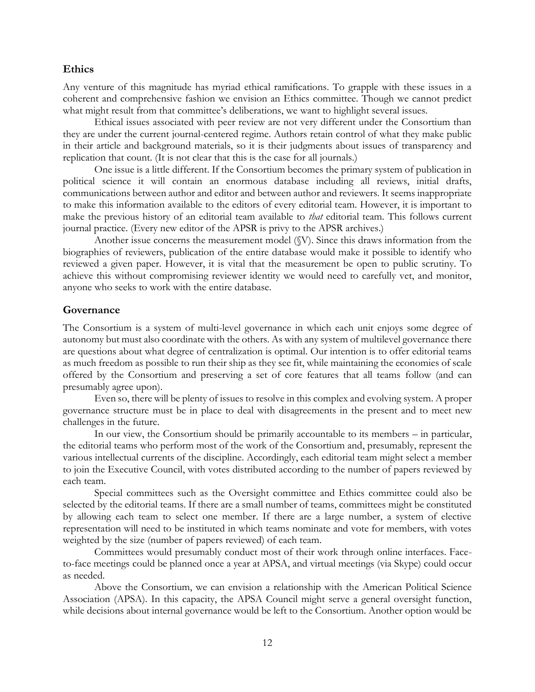### <span id="page-11-0"></span>**Ethics**

Any venture of this magnitude has myriad ethical ramifications. To grapple with these issues in a coherent and comprehensive fashion we envision an Ethics committee. Though we cannot predict what might result from that committee's deliberations, we want to highlight several issues.

Ethical issues associated with peer review are not very different under the Consortium than they are under the current journal-centered regime. Authors retain control of what they make public in their article and background materials, so it is their judgments about issues of transparency and replication that count. (It is not clear that this is the case for all journals.)

One issue is a little different. If the Consortium becomes the primary system of publication in political science it will contain an enormous database including all reviews, initial drafts, communications between author and editor and between author and reviewers. It seems inappropriate to make this information available to the editors of every editorial team. However, it is important to make the previous history of an editorial team available to *that* editorial team. This follows current journal practice. (Every new editor of the APSR is privy to the APSR archives.)

Another issue concerns the measurement model (§V). Since this draws information from the biographies of reviewers, publication of the entire database would make it possible to identify who reviewed a given paper. However, it is vital that the measurement be open to public scrutiny. To achieve this without compromising reviewer identity we would need to carefully vet, and monitor, anyone who seeks to work with the entire database.

### <span id="page-11-1"></span>**Governance**

The Consortium is a system of multi-level governance in which each unit enjoys some degree of autonomy but must also coordinate with the others. As with any system of multilevel governance there are questions about what degree of centralization is optimal. Our intention is to offer editorial teams as much freedom as possible to run their ship as they see fit, while maintaining the economies of scale offered by the Consortium and preserving a set of core features that all teams follow (and can presumably agree upon).

Even so, there will be plenty of issues to resolve in this complex and evolving system. A proper governance structure must be in place to deal with disagreements in the present and to meet new challenges in the future.

In our view, the Consortium should be primarily accountable to its members – in particular, the editorial teams who perform most of the work of the Consortium and, presumably, represent the various intellectual currents of the discipline. Accordingly, each editorial team might select a member to join the Executive Council, with votes distributed according to the number of papers reviewed by each team.

Special committees such as the Oversight committee and Ethics committee could also be selected by the editorial teams. If there are a small number of teams, committees might be constituted by allowing each team to select one member. If there are a large number, a system of elective representation will need to be instituted in which teams nominate and vote for members, with votes weighted by the size (number of papers reviewed) of each team.

Committees would presumably conduct most of their work through online interfaces. Faceto-face meetings could be planned once a year at APSA, and virtual meetings (via Skype) could occur as needed.

Above the Consortium, we can envision a relationship with the American Political Science Association (APSA). In this capacity, the APSA Council might serve a general oversight function, while decisions about internal governance would be left to the Consortium. Another option would be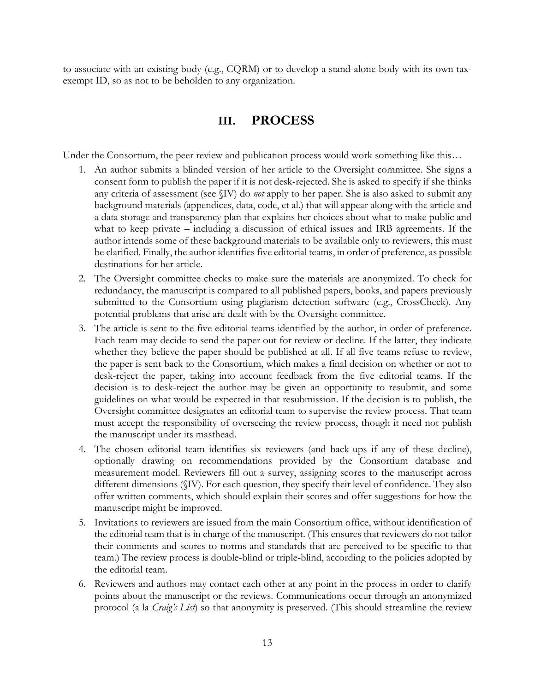<span id="page-12-0"></span>to associate with an existing body (e.g., CQRM) or to develop a stand-alone body with its own taxexempt ID, so as not to be beholden to any organization.

## **III. PROCESS**

Under the Consortium, the peer review and publication process would work something like this...

- 1. An author submits a blinded version of her article to the Oversight committee. She signs a consent form to publish the paper if it is not desk-rejected. She is asked to specify if she thinks any criteria of assessment (see §IV) do *not* apply to her paper. She is also asked to submit any background materials (appendices, data, code, et al.) that will appear along with the article and a data storage and transparency plan that explains her choices about what to make public and what to keep private – including a discussion of ethical issues and IRB agreements. If the author intends some of these background materials to be available only to reviewers, this must be clarified. Finally, the author identifies five editorial teams, in order of preference, as possible destinations for her article.
- 2. The Oversight committee checks to make sure the materials are anonymized. To check for redundancy, the manuscript is compared to all published papers, books, and papers previously submitted to the Consortium using plagiarism detection software (e.g., CrossCheck). Any potential problems that arise are dealt with by the Oversight committee.
- 3. The article is sent to the five editorial teams identified by the author, in order of preference. Each team may decide to send the paper out for review or decline. If the latter, they indicate whether they believe the paper should be published at all. If all five teams refuse to review, the paper is sent back to the Consortium, which makes a final decision on whether or not to desk-reject the paper, taking into account feedback from the five editorial teams. If the decision is to desk-reject the author may be given an opportunity to resubmit, and some guidelines on what would be expected in that resubmission. If the decision is to publish, the Oversight committee designates an editorial team to supervise the review process. That team must accept the responsibility of overseeing the review process, though it need not publish the manuscript under its masthead.
- 4. The chosen editorial team identifies six reviewers (and back-ups if any of these decline), optionally drawing on recommendations provided by the Consortium database and measurement model. Reviewers fill out a survey, assigning scores to the manuscript across different dimensions (§IV). For each question, they specify their level of confidence. They also offer written comments, which should explain their scores and offer suggestions for how the manuscript might be improved.
- 5. Invitations to reviewers are issued from the main Consortium office, without identification of the editorial team that is in charge of the manuscript. (This ensures that reviewers do not tailor their comments and scores to norms and standards that are perceived to be specific to that team.) The review process is double-blind or triple-blind, according to the policies adopted by the editorial team.
- 6. Reviewers and authors may contact each other at any point in the process in order to clarify points about the manuscript or the reviews. Communications occur through an anonymized protocol (a la *Craig's List*) so that anonymity is preserved. (This should streamline the review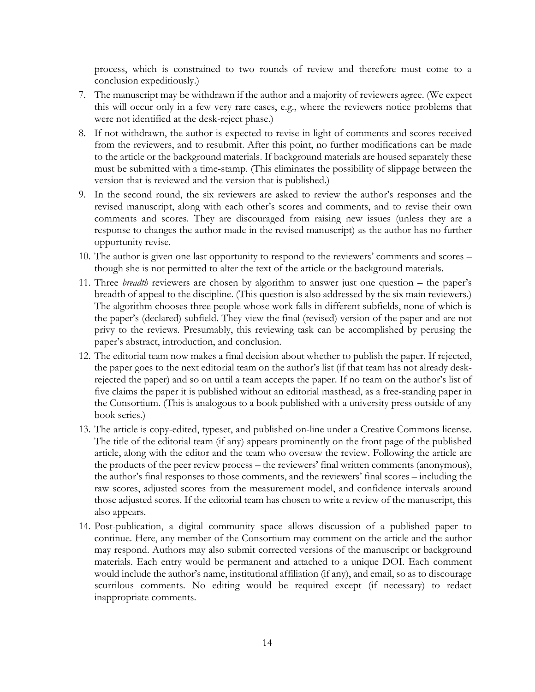process, which is constrained to two rounds of review and therefore must come to a conclusion expeditiously.)

- 7. The manuscript may be withdrawn if the author and a majority of reviewers agree. (We expect this will occur only in a few very rare cases, e.g., where the reviewers notice problems that were not identified at the desk-reject phase.)
- 8. If not withdrawn, the author is expected to revise in light of comments and scores received from the reviewers, and to resubmit. After this point, no further modifications can be made to the article or the background materials. If background materials are housed separately these must be submitted with a time-stamp. (This eliminates the possibility of slippage between the version that is reviewed and the version that is published.)
- 9. In the second round, the six reviewers are asked to review the author's responses and the revised manuscript, along with each other's scores and comments, and to revise their own comments and scores. They are discouraged from raising new issues (unless they are a response to changes the author made in the revised manuscript) as the author has no further opportunity revise.
- 10. The author is given one last opportunity to respond to the reviewers' comments and scores though she is not permitted to alter the text of the article or the background materials.
- 11. Three *breadth* reviewers are chosen by algorithm to answer just one question the paper's breadth of appeal to the discipline. (This question is also addressed by the six main reviewers.) The algorithm chooses three people whose work falls in different subfields, none of which is the paper's (declared) subfield. They view the final (revised) version of the paper and are not privy to the reviews. Presumably, this reviewing task can be accomplished by perusing the paper's abstract, introduction, and conclusion.
- 12. The editorial team now makes a final decision about whether to publish the paper. If rejected, the paper goes to the next editorial team on the author's list (if that team has not already deskrejected the paper) and so on until a team accepts the paper. If no team on the author's list of five claims the paper it is published without an editorial masthead, as a free-standing paper in the Consortium. (This is analogous to a book published with a university press outside of any book series.)
- 13. The article is copy-edited, typeset, and published on-line under a Creative Commons license. The title of the editorial team (if any) appears prominently on the front page of the published article, along with the editor and the team who oversaw the review. Following the article are the products of the peer review process – the reviewers' final written comments (anonymous), the author's final responses to those comments, and the reviewers' final scores – including the raw scores, adjusted scores from the measurement model, and confidence intervals around those adjusted scores. If the editorial team has chosen to write a review of the manuscript, this also appears.
- 14. Post-publication, a digital community space allows discussion of a published paper to continue. Here, any member of the Consortium may comment on the article and the author may respond. Authors may also submit corrected versions of the manuscript or background materials. Each entry would be permanent and attached to a unique DOI. Each comment would include the author's name, institutional affiliation (if any), and email, so as to discourage scurrilous comments. No editing would be required except (if necessary) to redact inappropriate comments.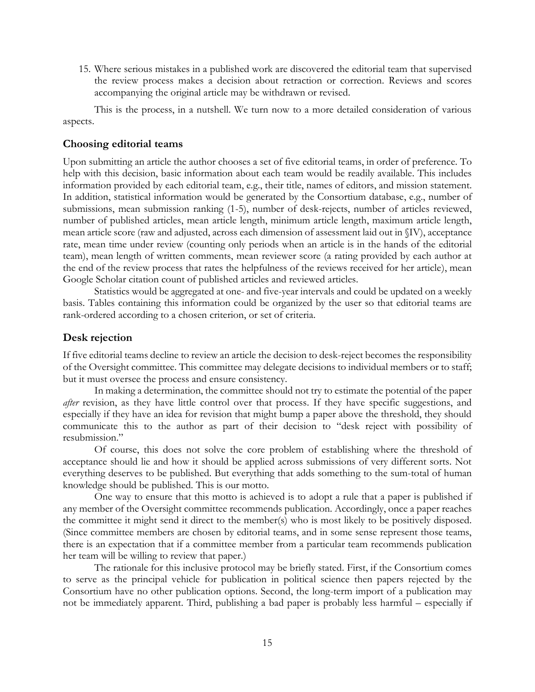15. Where serious mistakes in a published work are discovered the editorial team that supervised the review process makes a decision about retraction or correction. Reviews and scores accompanying the original article may be withdrawn or revised.

This is the process, in a nutshell. We turn now to a more detailed consideration of various aspects.

### <span id="page-14-0"></span>**Choosing editorial teams**

Upon submitting an article the author chooses a set of five editorial teams, in order of preference. To help with this decision, basic information about each team would be readily available. This includes information provided by each editorial team, e.g., their title, names of editors, and mission statement. In addition, statistical information would be generated by the Consortium database, e.g., number of submissions, mean submission ranking (1-5), number of desk-rejects, number of articles reviewed, number of published articles, mean article length, minimum article length, maximum article length, mean article score (raw and adjusted, across each dimension of assessment laid out in §IV), acceptance rate, mean time under review (counting only periods when an article is in the hands of the editorial team), mean length of written comments, mean reviewer score (a rating provided by each author at the end of the review process that rates the helpfulness of the reviews received for her article), mean Google Scholar citation count of published articles and reviewed articles.

Statistics would be aggregated at one- and five-year intervals and could be updated on a weekly basis. Tables containing this information could be organized by the user so that editorial teams are rank-ordered according to a chosen criterion, or set of criteria.

### <span id="page-14-1"></span>**Desk rejection**

If five editorial teams decline to review an article the decision to desk-reject becomes the responsibility of the Oversight committee. This committee may delegate decisions to individual members or to staff; but it must oversee the process and ensure consistency.

In making a determination, the committee should not try to estimate the potential of the paper *after* revision, as they have little control over that process. If they have specific suggestions, and especially if they have an idea for revision that might bump a paper above the threshold, they should communicate this to the author as part of their decision to "desk reject with possibility of resubmission."

Of course, this does not solve the core problem of establishing where the threshold of acceptance should lie and how it should be applied across submissions of very different sorts. Not everything deserves to be published. But everything that adds something to the sum-total of human knowledge should be published. This is our motto.

One way to ensure that this motto is achieved is to adopt a rule that a paper is published if any member of the Oversight committee recommends publication. Accordingly, once a paper reaches the committee it might send it direct to the member(s) who is most likely to be positively disposed. (Since committee members are chosen by editorial teams, and in some sense represent those teams, there is an expectation that if a committee member from a particular team recommends publication her team will be willing to review that paper.)

The rationale for this inclusive protocol may be briefly stated. First, if the Consortium comes to serve as the principal vehicle for publication in political science then papers rejected by the Consortium have no other publication options. Second, the long-term import of a publication may not be immediately apparent. Third, publishing a bad paper is probably less harmful – especially if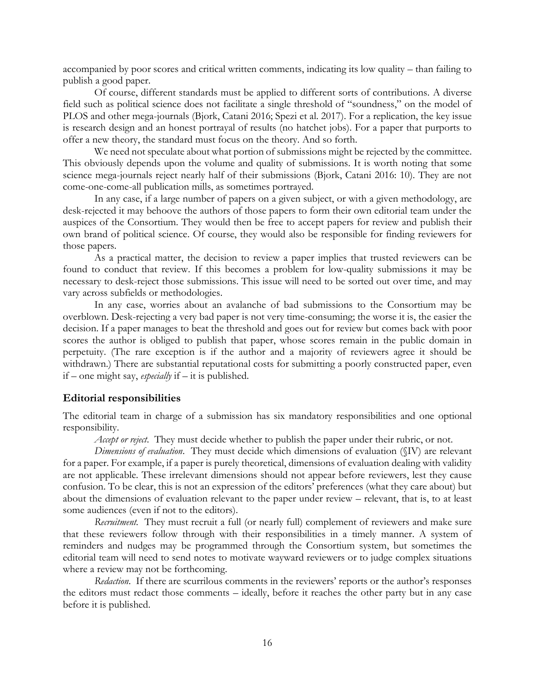accompanied by poor scores and critical written comments, indicating its low quality – than failing to publish a good paper.

Of course, different standards must be applied to different sorts of contributions. A diverse field such as political science does not facilitate a single threshold of "soundness," on the model of PLOS and other mega-journals (Bjork, Catani 2016; Spezi et al. 2017). For a replication, the key issue is research design and an honest portrayal of results (no hatchet jobs). For a paper that purports to offer a new theory, the standard must focus on the theory. And so forth.

We need not speculate about what portion of submissions might be rejected by the committee. This obviously depends upon the volume and quality of submissions. It is worth noting that some science mega-journals reject nearly half of their submissions (Bjork, Catani 2016: 10). They are not come-one-come-all publication mills, as sometimes portrayed.

In any case, if a large number of papers on a given subject, or with a given methodology, are desk-rejected it may behoove the authors of those papers to form their own editorial team under the auspices of the Consortium. They would then be free to accept papers for review and publish their own brand of political science. Of course, they would also be responsible for finding reviewers for those papers.

As a practical matter, the decision to review a paper implies that trusted reviewers can be found to conduct that review. If this becomes a problem for low-quality submissions it may be necessary to desk-reject those submissions. This issue will need to be sorted out over time, and may vary across subfields or methodologies.

In any case, worries about an avalanche of bad submissions to the Consortium may be overblown. Desk-rejecting a very bad paper is not very time-consuming; the worse it is, the easier the decision. If a paper manages to beat the threshold and goes out for review but comes back with poor scores the author is obliged to publish that paper, whose scores remain in the public domain in perpetuity. (The rare exception is if the author and a majority of reviewers agree it should be withdrawn.) There are substantial reputational costs for submitting a poorly constructed paper, even if – one might say, *especially* if – it is published.

### <span id="page-15-0"></span>**Editorial responsibilities**

The editorial team in charge of a submission has six mandatory responsibilities and one optional responsibility.

*Accept or reject*. They must decide whether to publish the paper under their rubric, or not.

*Dimensions of evaluation*. They must decide which dimensions of evaluation (§IV) are relevant for a paper. For example, if a paper is purely theoretical, dimensions of evaluation dealing with validity are not applicable. These irrelevant dimensions should not appear before reviewers, lest they cause confusion. To be clear, this is not an expression of the editors' preferences (what they care about) but about the dimensions of evaluation relevant to the paper under review – relevant, that is, to at least some audiences (even if not to the editors).

*Recruitment.* They must recruit a full (or nearly full) complement of reviewers and make sure that these reviewers follow through with their responsibilities in a timely manner. A system of reminders and nudges may be programmed through the Consortium system, but sometimes the editorial team will need to send notes to motivate wayward reviewers or to judge complex situations where a review may not be forthcoming.

*Redaction*. If there are scurrilous comments in the reviewers' reports or the author's responses the editors must redact those comments – ideally, before it reaches the other party but in any case before it is published.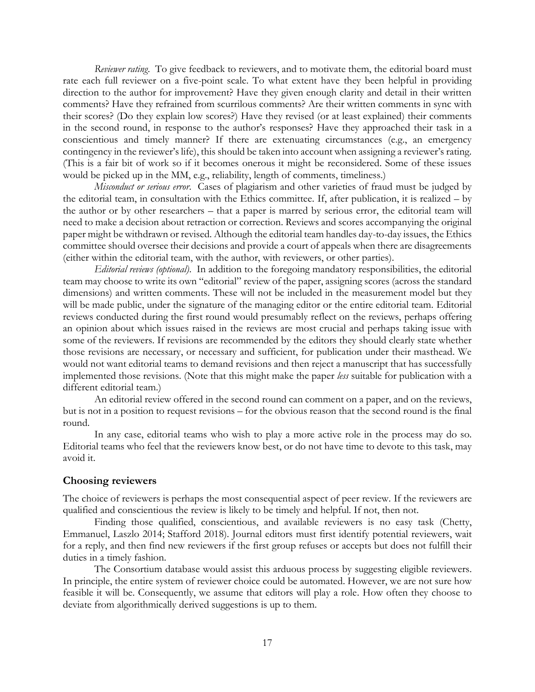*Reviewer rating*. To give feedback to reviewers, and to motivate them, the editorial board must rate each full reviewer on a five-point scale. To what extent have they been helpful in providing direction to the author for improvement? Have they given enough clarity and detail in their written comments? Have they refrained from scurrilous comments? Are their written comments in sync with their scores? (Do they explain low scores?) Have they revised (or at least explained) their comments in the second round, in response to the author's responses? Have they approached their task in a conscientious and timely manner? If there are extenuating circumstances (e.g., an emergency contingency in the reviewer's life), this should be taken into account when assigning a reviewer's rating. (This is a fair bit of work so if it becomes onerous it might be reconsidered. Some of these issues would be picked up in the MM, e.g., reliability, length of comments, timeliness.)

*Misconduct or serious error*. Cases of plagiarism and other varieties of fraud must be judged by the editorial team, in consultation with the Ethics committee. If, after publication, it is realized – by the author or by other researchers – that a paper is marred by serious error, the editorial team will need to make a decision about retraction or correction. Reviews and scores accompanying the original paper might be withdrawn or revised. Although the editorial team handles day-to-day issues, the Ethics committee should oversee their decisions and provide a court of appeals when there are disagreements (either within the editorial team, with the author, with reviewers, or other parties).

*Editorial reviews (optional)*. In addition to the foregoing mandatory responsibilities, the editorial team may choose to write its own "editorial" review of the paper, assigning scores (across the standard dimensions) and written comments. These will not be included in the measurement model but they will be made public, under the signature of the managing editor or the entire editorial team. Editorial reviews conducted during the first round would presumably reflect on the reviews, perhaps offering an opinion about which issues raised in the reviews are most crucial and perhaps taking issue with some of the reviewers. If revisions are recommended by the editors they should clearly state whether those revisions are necessary, or necessary and sufficient, for publication under their masthead. We would not want editorial teams to demand revisions and then reject a manuscript that has successfully implemented those revisions. (Note that this might make the paper *less* suitable for publication with a different editorial team.)

An editorial review offered in the second round can comment on a paper, and on the reviews, but is not in a position to request revisions – for the obvious reason that the second round is the final round.

In any case, editorial teams who wish to play a more active role in the process may do so. Editorial teams who feel that the reviewers know best, or do not have time to devote to this task, may avoid it.

### <span id="page-16-0"></span>**Choosing reviewers**

The choice of reviewers is perhaps the most consequential aspect of peer review. If the reviewers are qualified and conscientious the review is likely to be timely and helpful. If not, then not.

Finding those qualified, conscientious, and available reviewers is no easy task (Chetty, Emmanuel, Laszlo 2014; Stafford 2018). Journal editors must first identify potential reviewers, wait for a reply, and then find new reviewers if the first group refuses or accepts but does not fulfill their duties in a timely fashion.

The Consortium database would assist this arduous process by suggesting eligible reviewers. In principle, the entire system of reviewer choice could be automated. However, we are not sure how feasible it will be. Consequently, we assume that editors will play a role. How often they choose to deviate from algorithmically derived suggestions is up to them.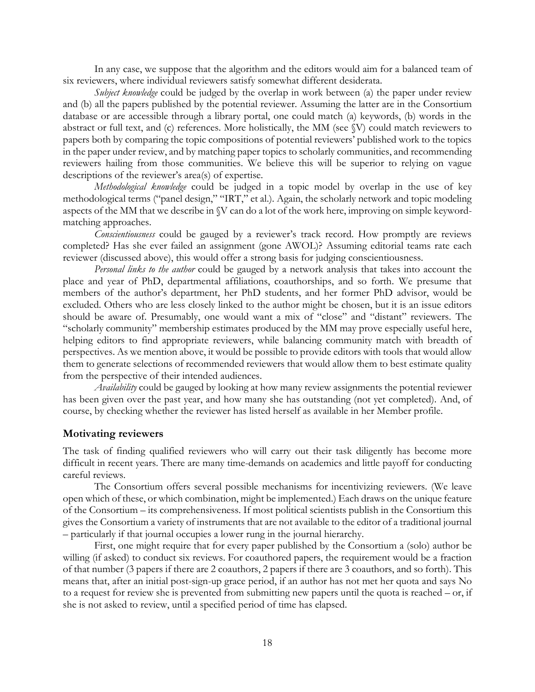In any case, we suppose that the algorithm and the editors would aim for a balanced team of six reviewers, where individual reviewers satisfy somewhat different desiderata.

*Subject knowledge* could be judged by the overlap in work between (a) the paper under review and (b) all the papers published by the potential reviewer. Assuming the latter are in the Consortium database or are accessible through a library portal, one could match (a) keywords, (b) words in the abstract or full text, and (c) references. More holistically, the MM (see §V) could match reviewers to papers both by comparing the topic compositions of potential reviewers' published work to the topics in the paper under review, and by matching paper topics to scholarly communities, and recommending reviewers hailing from those communities. We believe this will be superior to relying on vague descriptions of the reviewer's area(s) of expertise.

*Methodological knowledge* could be judged in a topic model by overlap in the use of key methodological terms ("panel design," "IRT," et al.). Again, the scholarly network and topic modeling aspects of the MM that we describe in §V can do a lot of the work here, improving on simple keywordmatching approaches.

*Conscientiousness* could be gauged by a reviewer's track record. How promptly are reviews completed? Has she ever failed an assignment (gone AWOL)? Assuming editorial teams rate each reviewer (discussed above), this would offer a strong basis for judging conscientiousness.

*Personal links to the author* could be gauged by a network analysis that takes into account the place and year of PhD, departmental affiliations, coauthorships, and so forth. We presume that members of the author's department, her PhD students, and her former PhD advisor, would be excluded. Others who are less closely linked to the author might be chosen, but it is an issue editors should be aware of. Presumably, one would want a mix of "close" and "distant" reviewers. The "scholarly community" membership estimates produced by the MM may prove especially useful here, helping editors to find appropriate reviewers, while balancing community match with breadth of perspectives. As we mention above, it would be possible to provide editors with tools that would allow them to generate selections of recommended reviewers that would allow them to best estimate quality from the perspective of their intended audiences.

*Availability* could be gauged by looking at how many review assignments the potential reviewer has been given over the past year, and how many she has outstanding (not yet completed). And, of course, by checking whether the reviewer has listed herself as available in her Member profile.

### <span id="page-17-0"></span>**Motivating reviewers**

The task of finding qualified reviewers who will carry out their task diligently has become more difficult in recent years. There are many time-demands on academics and little payoff for conducting careful reviews.

The Consortium offers several possible mechanisms for incentivizing reviewers. (We leave open which of these, or which combination, might be implemented.) Each draws on the unique feature of the Consortium – its comprehensiveness. If most political scientists publish in the Consortium this gives the Consortium a variety of instruments that are not available to the editor of a traditional journal – particularly if that journal occupies a lower rung in the journal hierarchy.

First, one might require that for every paper published by the Consortium a (solo) author be willing (if asked) to conduct six reviews. For coauthored papers, the requirement would be a fraction of that number (3 papers if there are 2 coauthors, 2 papers if there are 3 coauthors, and so forth). This means that, after an initial post-sign-up grace period, if an author has not met her quota and says No to a request for review she is prevented from submitting new papers until the quota is reached – or, if she is not asked to review, until a specified period of time has elapsed.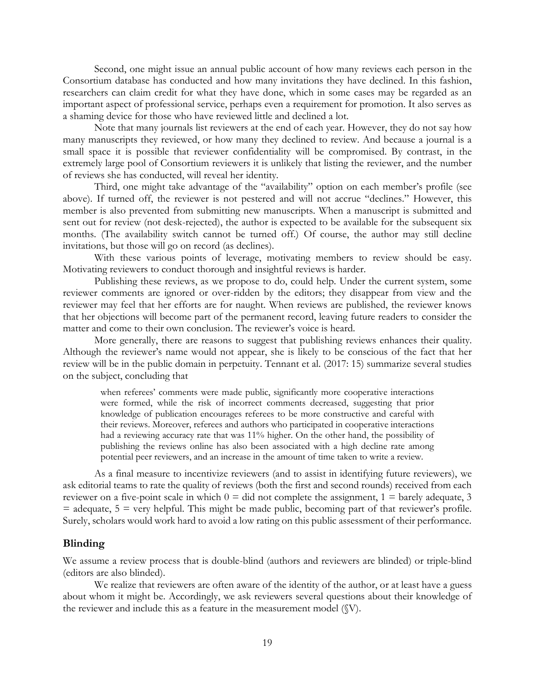Second, one might issue an annual public account of how many reviews each person in the Consortium database has conducted and how many invitations they have declined. In this fashion, researchers can claim credit for what they have done, which in some cases may be regarded as an important aspect of professional service, perhaps even a requirement for promotion. It also serves as a shaming device for those who have reviewed little and declined a lot.

Note that many journals list reviewers at the end of each year. However, they do not say how many manuscripts they reviewed, or how many they declined to review. And because a journal is a small space it is possible that reviewer confidentiality will be compromised. By contrast, in the extremely large pool of Consortium reviewers it is unlikely that listing the reviewer, and the number of reviews she has conducted, will reveal her identity.

Third, one might take advantage of the "availability" option on each member's profile (see above). If turned off, the reviewer is not pestered and will not accrue "declines." However, this member is also prevented from submitting new manuscripts. When a manuscript is submitted and sent out for review (not desk-rejected), the author is expected to be available for the subsequent six months. (The availability switch cannot be turned off.) Of course, the author may still decline invitations, but those will go on record (as declines).

With these various points of leverage, motivating members to review should be easy. Motivating reviewers to conduct thorough and insightful reviews is harder.

Publishing these reviews, as we propose to do, could help. Under the current system, some reviewer comments are ignored or over-ridden by the editors; they disappear from view and the reviewer may feel that her efforts are for naught. When reviews are published, the reviewer knows that her objections will become part of the permanent record, leaving future readers to consider the matter and come to their own conclusion. The reviewer's voice is heard.

More generally, there are reasons to suggest that publishing reviews enhances their quality. Although the reviewer's name would not appear, she is likely to be conscious of the fact that her review will be in the public domain in perpetuity. Tennant et al. (2017: 15) summarize several studies on the subject, concluding that

when referees' comments were made public, significantly more cooperative interactions were formed, while the risk of incorrect comments decreased, suggesting that prior knowledge of publication encourages referees to be more constructive and careful with their reviews. Moreover, referees and authors who participated in cooperative interactions had a reviewing accuracy rate that was 11% higher. On the other hand, the possibility of publishing the reviews online has also been associated with a high decline rate among potential peer reviewers, and an increase in the amount of time taken to write a review.

As a final measure to incentivize reviewers (and to assist in identifying future reviewers), we ask editorial teams to rate the quality of reviews (both the first and second rounds) received from each reviewer on a five-point scale in which  $0 =$  did not complete the assignment,  $1 =$  barely adequate, 3  $=$  adequate,  $5 =$  very helpful. This might be made public, becoming part of that reviewer's profile. Surely, scholars would work hard to avoid a low rating on this public assessment of their performance.

#### <span id="page-18-0"></span>**Blinding**

We assume a review process that is double-blind (authors and reviewers are blinded) or triple-blind (editors are also blinded).

We realize that reviewers are often aware of the identity of the author, or at least have a guess about whom it might be. Accordingly, we ask reviewers several questions about their knowledge of the reviewer and include this as a feature in the measurement model (§V).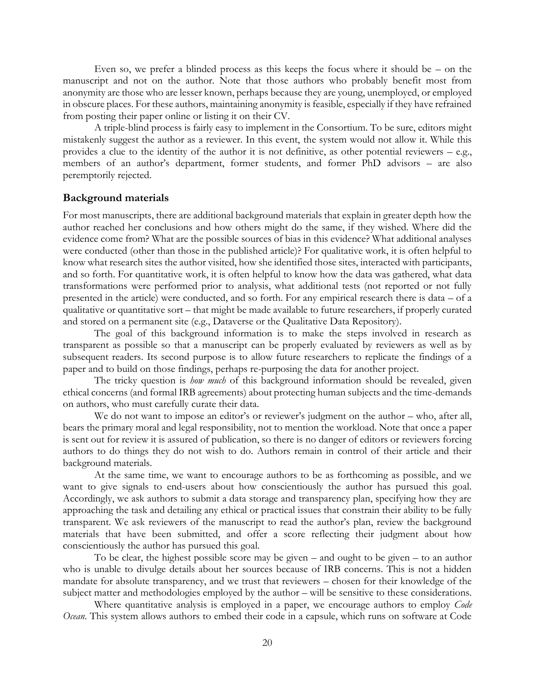Even so, we prefer a blinded process as this keeps the focus where it should be – on the manuscript and not on the author. Note that those authors who probably benefit most from anonymity are those who are lesser known, perhaps because they are young, unemployed, or employed in obscure places. For these authors, maintaining anonymity is feasible, especially if they have refrained from posting their paper online or listing it on their CV.

A triple-blind process is fairly easy to implement in the Consortium. To be sure, editors might mistakenly suggest the author as a reviewer. In this event, the system would not allow it. While this provides a clue to the identity of the author it is not definitive, as other potential reviewers – e.g., members of an author's department, former students, and former PhD advisors – are also peremptorily rejected.

#### <span id="page-19-0"></span>**Background materials**

For most manuscripts, there are additional background materials that explain in greater depth how the author reached her conclusions and how others might do the same, if they wished. Where did the evidence come from? What are the possible sources of bias in this evidence? What additional analyses were conducted (other than those in the published article)? For qualitative work, it is often helpful to know what research sites the author visited, how she identified those sites, interacted with participants, and so forth. For quantitative work, it is often helpful to know how the data was gathered, what data transformations were performed prior to analysis, what additional tests (not reported or not fully presented in the article) were conducted, and so forth. For any empirical research there is data – of a qualitative or quantitative sort – that might be made available to future researchers, if properly curated and stored on a permanent site (e.g., Dataverse or the Qualitative Data Repository).

The goal of this background information is to make the steps involved in research as transparent as possible so that a manuscript can be properly evaluated by reviewers as well as by subsequent readers. Its second purpose is to allow future researchers to replicate the findings of a paper and to build on those findings, perhaps re-purposing the data for another project.

The tricky question is *how much* of this background information should be revealed, given ethical concerns (and formal IRB agreements) about protecting human subjects and the time-demands on authors, who must carefully curate their data.

We do not want to impose an editor's or reviewer's judgment on the author – who, after all, bears the primary moral and legal responsibility, not to mention the workload. Note that once a paper is sent out for review it is assured of publication, so there is no danger of editors or reviewers forcing authors to do things they do not wish to do. Authors remain in control of their article and their background materials.

At the same time, we want to encourage authors to be as forthcoming as possible, and we want to give signals to end-users about how conscientiously the author has pursued this goal. Accordingly, we ask authors to submit a data storage and transparency plan, specifying how they are approaching the task and detailing any ethical or practical issues that constrain their ability to be fully transparent. We ask reviewers of the manuscript to read the author's plan, review the background materials that have been submitted, and offer a score reflecting their judgment about how conscientiously the author has pursued this goal.

To be clear, the highest possible score may be given – and ought to be given – to an author who is unable to divulge details about her sources because of IRB concerns. This is not a hidden mandate for absolute transparency, and we trust that reviewers – chosen for their knowledge of the subject matter and methodologies employed by the author – will be sensitive to these considerations.

Where quantitative analysis is employed in a paper, we encourage authors to employ *Code Ocean*. This system allows authors to embed their code in a capsule, which runs on software at Code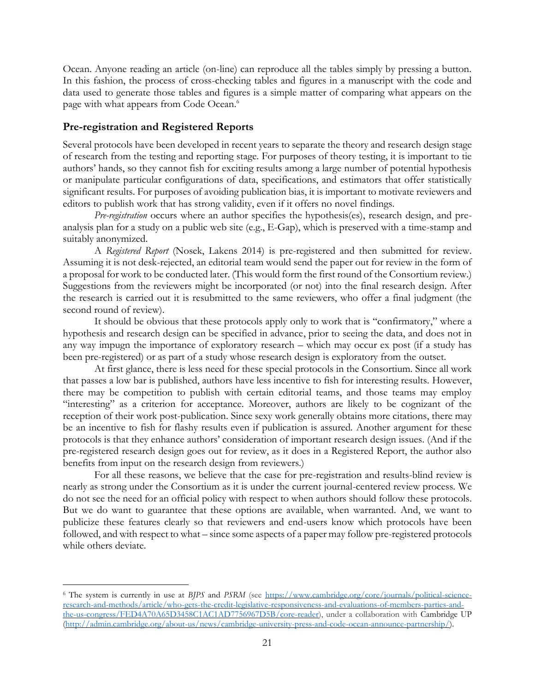Ocean. Anyone reading an article (on-line) can reproduce all the tables simply by pressing a button. In this fashion, the process of cross-checking tables and figures in a manuscript with the code and data used to generate those tables and figures is a simple matter of comparing what appears on the page with what appears from Code Ocean.<sup>6</sup>

### <span id="page-20-0"></span>**Pre-registration and Registered Reports**

Several protocols have been developed in recent years to separate the theory and research design stage of research from the testing and reporting stage. For purposes of theory testing, it is important to tie authors' hands, so they cannot fish for exciting results among a large number of potential hypothesis or manipulate particular configurations of data, specifications, and estimators that offer statistically significant results. For purposes of avoiding publication bias, it is important to motivate reviewers and editors to publish work that has strong validity, even if it offers no novel findings.

*Pre-registration* occurs where an author specifies the hypothesis(es), research design, and preanalysis plan for a study on a public web site (e.g., E-Gap), which is preserved with a time-stamp and suitably anonymized.

A *Registered Report* (Nosek, Lakens 2014) is pre-registered and then submitted for review. Assuming it is not desk-rejected, an editorial team would send the paper out for review in the form of a proposal for work to be conducted later. (This would form the first round of the Consortium review.) Suggestions from the reviewers might be incorporated (or not) into the final research design. After the research is carried out it is resubmitted to the same reviewers, who offer a final judgment (the second round of review).

It should be obvious that these protocols apply only to work that is "confirmatory," where a hypothesis and research design can be specified in advance, prior to seeing the data, and does not in any way impugn the importance of exploratory research – which may occur ex post (if a study has been pre-registered) or as part of a study whose research design is exploratory from the outset.

At first glance, there is less need for these special protocols in the Consortium. Since all work that passes a low bar is published, authors have less incentive to fish for interesting results. However, there may be competition to publish with certain editorial teams, and those teams may employ "interesting" as a criterion for acceptance. Moreover, authors are likely to be cognizant of the reception of their work post-publication. Since sexy work generally obtains more citations, there may be an incentive to fish for flashy results even if publication is assured. Another argument for these protocols is that they enhance authors' consideration of important research design issues. (And if the pre-registered research design goes out for review, as it does in a Registered Report, the author also benefits from input on the research design from reviewers.)

For all these reasons, we believe that the case for pre-registration and results-blind review is nearly as strong under the Consortium as it is under the current journal-centered review process. We do not see the need for an official policy with respect to when authors should follow these protocols. But we do want to guarantee that these options are available, when warranted. And, we want to publicize these features clearly so that reviewers and end-users know which protocols have been followed, and with respect to what – since some aspects of a paper may follow pre-registered protocols while others deviate.

<sup>6</sup> The system is currently in use at *BJPS* and *PSRM* (see [https://www.cambridge.org/core/journals/political-science](https://www.cambridge.org/core/journals/political-science-research-and-methods/article/who-gets-the-credit-legislative-responsiveness-and-evaluations-of-members-parties-and-the-us-congress/FED4A70A65D3458C1AC1AD7756967D5B/core-reader)[research-and-methods/article/who-gets-the-credit-legislative-responsiveness-and-evaluations-of-members-parties-and](https://www.cambridge.org/core/journals/political-science-research-and-methods/article/who-gets-the-credit-legislative-responsiveness-and-evaluations-of-members-parties-and-the-us-congress/FED4A70A65D3458C1AC1AD7756967D5B/core-reader)[the-us-congress/FED4A70A65D3458C1AC1AD7756967D5B/core-reader\)](https://www.cambridge.org/core/journals/political-science-research-and-methods/article/who-gets-the-credit-legislative-responsiveness-and-evaluations-of-members-parties-and-the-us-congress/FED4A70A65D3458C1AC1AD7756967D5B/core-reader), under a collaboration with Cambridge UP [\(http://admin.cambridge.org/about-us/news/cambridge-university-press-and-code-ocean-announce-partnership/\)](http://admin.cambridge.org/about-us/news/cambridge-university-press-and-code-ocean-announce-partnership/).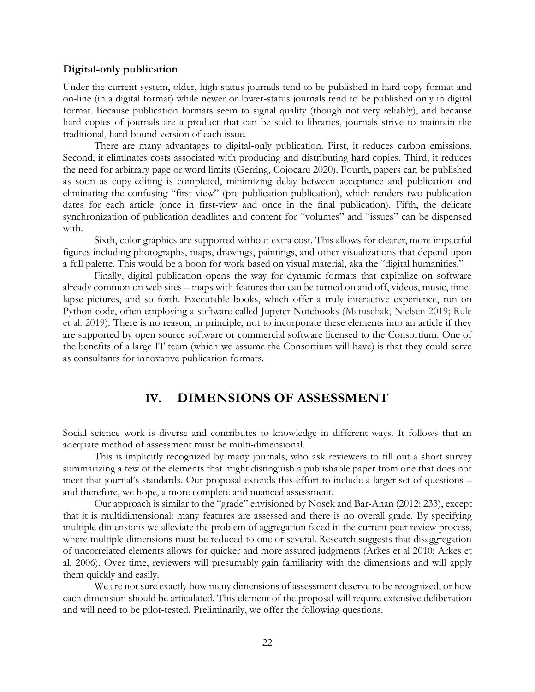### <span id="page-21-0"></span>**Digital-only publication**

Under the current system, older, high-status journals tend to be published in hard-copy format and on-line (in a digital format) while newer or lower-status journals tend to be published only in digital format. Because publication formats seem to signal quality (though not very reliably), and because hard copies of journals are a product that can be sold to libraries, journals strive to maintain the traditional, hard-bound version of each issue.

There are many advantages to digital-only publication. First, it reduces carbon emissions. Second, it eliminates costs associated with producing and distributing hard copies. Third, it reduces the need for arbitrary page or word limits (Gerring, Cojocaru 2020). Fourth, papers can be published as soon as copy-editing is completed, minimizing delay between acceptance and publication and eliminating the confusing "first view" (pre-publication publication), which renders two publication dates for each article (once in first-view and once in the final publication). Fifth, the delicate synchronization of publication deadlines and content for "volumes" and "issues" can be dispensed with.

Sixth, color graphics are supported without extra cost. This allows for clearer, more impactful figures including photographs, maps, drawings, paintings, and other visualizations that depend upon a full palette. This would be a boon for work based on visual material, aka the "digital humanities."

Finally, digital publication opens the way for dynamic formats that capitalize on software already common on web sites – maps with features that can be turned on and off, videos, music, timelapse pictures, and so forth. Executable books, which offer a truly interactive experience, run on Python code, often employing a software called Jupyter Notebooks (Matuschak, Nielsen 2019; Rule et al. 2019). There is no reason, in principle, not to incorporate these elements into an article if they are supported by open source software or commercial software licensed to the Consortium. One of the benefits of a large IT team (which we assume the Consortium will have) is that they could serve as consultants for innovative publication formats.

### **IV. DIMENSIONS OF ASSESSMENT**

<span id="page-21-1"></span>Social science work is diverse and contributes to knowledge in different ways. It follows that an adequate method of assessment must be multi-dimensional.

This is implicitly recognized by many journals, who ask reviewers to fill out a short survey summarizing a few of the elements that might distinguish a publishable paper from one that does not meet that journal's standards. Our proposal extends this effort to include a larger set of questions – and therefore, we hope, a more complete and nuanced assessment.

Our approach is similar to the "grade" envisioned by Nosek and Bar-Anan (2012: 233), except that it is multidimensional: many features are assessed and there is no overall grade. By specifying multiple dimensions we alleviate the problem of aggregation faced in the current peer review process, where multiple dimensions must be reduced to one or several. Research suggests that disaggregation of uncorrelated elements allows for quicker and more assured judgments (Arkes et al 2010; Arkes et al. 2006). Over time, reviewers will presumably gain familiarity with the dimensions and will apply them quickly and easily.

We are not sure exactly how many dimensions of assessment deserve to be recognized, or how each dimension should be articulated. This element of the proposal will require extensive deliberation and will need to be pilot-tested. Preliminarily, we offer the following questions.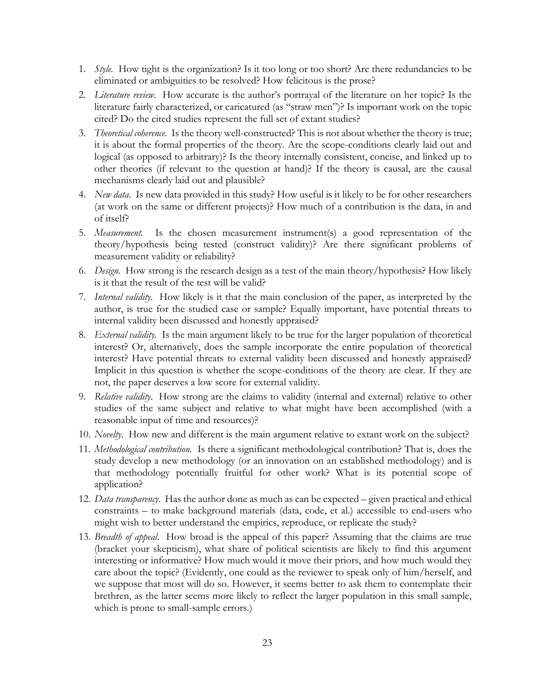- 1. *Style.* How tight is the organization? Is it too long or too short? Are there redundancies to be eliminated or ambiguities to be resolved? How felicitous is the prose?
- 2. *Literature review*. How accurate is the author's portrayal of the literature on her topic? Is the literature fairly characterized, or caricatured (as "straw men")? Is important work on the topic cited? Do the cited studies represent the full set of extant studies?
- 3. *Theoretical coherence.* Is the theory well-constructed? This is not about whether the theory is true; it is about the formal properties of the theory. Are the scope-conditions clearly laid out and logical (as opposed to arbitrary)? Is the theory internally consistent, concise, and linked up to other theories (if relevant to the question at hand)? If the theory is causal, are the causal mechanisms clearly laid out and plausible?
- 4. *New data*. Is new data provided in this study? How useful is it likely to be for other researchers (at work on the same or different projects)? How much of a contribution is the data, in and of itself?
- 5. *Measurement.* Is the chosen measurement instrument(s) a good representation of the theory/hypothesis being tested (construct validity)? Are there significant problems of measurement validity or reliability?
- 6. *Design*. How strong is the research design as a test of the main theory/hypothesis? How likely is it that the result of the test will be valid?
- 7. *Internal validity.* How likely is it that the main conclusion of the paper, as interpreted by the author, is true for the studied case or sample? Equally important, have potential threats to internal validity been discussed and honestly appraised?
- 8. *External validity.* Is the main argument likely to be true for the larger population of theoretical interest? Or, alternatively, does the sample incorporate the entire population of theoretical interest? Have potential threats to external validity been discussed and honestly appraised? Implicit in this question is whether the scope-conditions of the theory are clear. If they are not, the paper deserves a low score for external validity.
- 9. *Relative validity*. How strong are the claims to validity (internal and external) relative to other studies of the same subject and relative to what might have been accomplished (with a reasonable input of time and resources)?
- 10. *Novelty*. How new and different is the main argument relative to extant work on the subject?
- 11. *Methodological contribution.* Is there a significant methodological contribution? That is, does the study develop a new methodology (or an innovation on an established methodology) and is that methodology potentially fruitful for other work? What is its potential scope of application?
- 12. *Data transparency*. Has the author done as much as can be expected given practical and ethical constraints – to make background materials (data, code, et al.) accessible to end-users who might wish to better understand the empirics, reproduce, or replicate the study?
- 13. *Breadth of appeal*. How broad is the appeal of this paper? Assuming that the claims are true (bracket your skepticism), what share of political scientists are likely to find this argument interesting or informative? How much would it move their priors, and how much would they care about the topic? (Evidently, one could as the reviewer to speak only of him/herself, and we suppose that most will do so. However, it seems better to ask them to contemplate their brethren, as the latter seems more likely to reflect the larger population in this small sample, which is prone to small-sample errors.)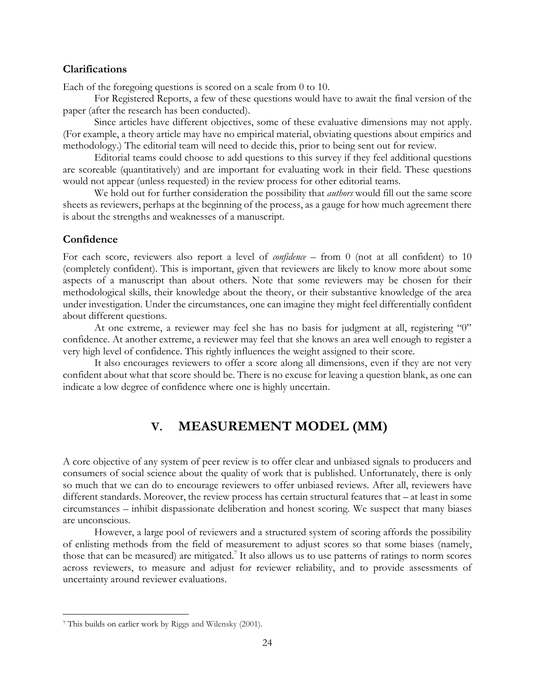### <span id="page-23-0"></span>**Clarifications**

Each of the foregoing questions is scored on a scale from 0 to 10.

For Registered Reports, a few of these questions would have to await the final version of the paper (after the research has been conducted).

Since articles have different objectives, some of these evaluative dimensions may not apply. (For example, a theory article may have no empirical material, obviating questions about empirics and methodology.) The editorial team will need to decide this, prior to being sent out for review.

Editorial teams could choose to add questions to this survey if they feel additional questions are scoreable (quantitatively) and are important for evaluating work in their field. These questions would not appear (unless requested) in the review process for other editorial teams.

We hold out for further consideration the possibility that *authors* would fill out the same score sheets as reviewers, perhaps at the beginning of the process, as a gauge for how much agreement there is about the strengths and weaknesses of a manuscript.

### <span id="page-23-1"></span>**Confidence**

For each score, reviewers also report a level of *confidence* – from 0 (not at all confident) to 10 (completely confident). This is important, given that reviewers are likely to know more about some aspects of a manuscript than about others. Note that some reviewers may be chosen for their methodological skills, their knowledge about the theory, or their substantive knowledge of the area under investigation. Under the circumstances, one can imagine they might feel differentially confident about different questions.

At one extreme, a reviewer may feel she has no basis for judgment at all, registering "0" confidence. At another extreme, a reviewer may feel that she knows an area well enough to register a very high level of confidence. This rightly influences the weight assigned to their score.

<span id="page-23-2"></span>It also encourages reviewers to offer a score along all dimensions, even if they are not very confident about what that score should be. There is no excuse for leaving a question blank, as one can indicate a low degree of confidence where one is highly uncertain.

# **V. MEASUREMENT MODEL (MM)**

A core objective of any system of peer review is to offer clear and unbiased signals to producers and consumers of social science about the quality of work that is published. Unfortunately, there is only so much that we can do to encourage reviewers to offer unbiased reviews. After all, reviewers have different standards. Moreover, the review process has certain structural features that – at least in some circumstances – inhibit dispassionate deliberation and honest scoring. We suspect that many biases are unconscious.

However, a large pool of reviewers and a structured system of scoring affords the possibility of enlisting methods from the field of measurement to adjust scores so that some biases (namely, those that can be measured) are mitigated.<sup>7</sup> It also allows us to use patterns of ratings to norm scores across reviewers, to measure and adjust for reviewer reliability, and to provide assessments of uncertainty around reviewer evaluations.

<sup>7</sup> This builds on earlier work by Riggs and Wilensky (2001).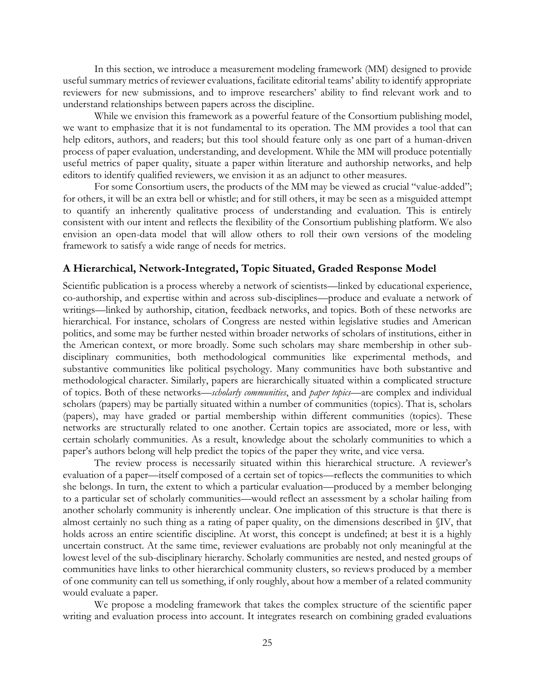In this section, we introduce a measurement modeling framework (MM) designed to provide useful summary metrics of reviewer evaluations, facilitate editorial teams' ability to identify appropriate reviewers for new submissions, and to improve researchers' ability to find relevant work and to understand relationships between papers across the discipline.

While we envision this framework as a powerful feature of the Consortium publishing model, we want to emphasize that it is not fundamental to its operation. The MM provides a tool that can help editors, authors, and readers; but this tool should feature only as one part of a human-driven process of paper evaluation, understanding, and development. While the MM will produce potentially useful metrics of paper quality, situate a paper within literature and authorship networks, and help editors to identify qualified reviewers, we envision it as an adjunct to other measures.

For some Consortium users, the products of the MM may be viewed as crucial "value-added"; for others, it will be an extra bell or whistle; and for still others, it may be seen as a misguided attempt to quantify an inherently qualitative process of understanding and evaluation. This is entirely consistent with our intent and reflects the flexibility of the Consortium publishing platform. We also envision an open-data model that will allow others to roll their own versions of the modeling framework to satisfy a wide range of needs for metrics.

### <span id="page-24-0"></span>**A Hierarchical, Network-Integrated, Topic Situated, Graded Response Model**

Scientific publication is a process whereby a network of scientists—linked by educational experience, co-authorship, and expertise within and across sub-disciplines—produce and evaluate a network of writings—linked by authorship, citation, feedback networks, and topics. Both of these networks are hierarchical. For instance, scholars of Congress are nested within legislative studies and American politics, and some may be further nested within broader networks of scholars of institutions, either in the American context, or more broadly. Some such scholars may share membership in other subdisciplinary communities, both methodological communities like experimental methods, and substantive communities like political psychology. Many communities have both substantive and methodological character. Similarly, papers are hierarchically situated within a complicated structure of topics. Both of these networks—*scholarly communities*, and *paper topics*—are complex and individual scholars (papers) may be partially situated within a number of communities (topics). That is, scholars (papers), may have graded or partial membership within different communities (topics). These networks are structurally related to one another. Certain topics are associated, more or less, with certain scholarly communities. As a result, knowledge about the scholarly communities to which a paper's authors belong will help predict the topics of the paper they write, and vice versa.

The review process is necessarily situated within this hierarchical structure. A reviewer's evaluation of a paper—itself composed of a certain set of topics—reflects the communities to which she belongs. In turn, the extent to which a particular evaluation—produced by a member belonging to a particular set of scholarly communities—would reflect an assessment by a scholar hailing from another scholarly community is inherently unclear. One implication of this structure is that there is almost certainly no such thing as a rating of paper quality, on the dimensions described in §IV, that holds across an entire scientific discipline. At worst, this concept is undefined; at best it is a highly uncertain construct. At the same time, reviewer evaluations are probably not only meaningful at the lowest level of the sub-disciplinary hierarchy. Scholarly communities are nested, and nested groups of communities have links to other hierarchical community clusters, so reviews produced by a member of one community can tell us something, if only roughly, about how a member of a related community would evaluate a paper.

We propose a modeling framework that takes the complex structure of the scientific paper writing and evaluation process into account. It integrates research on combining graded evaluations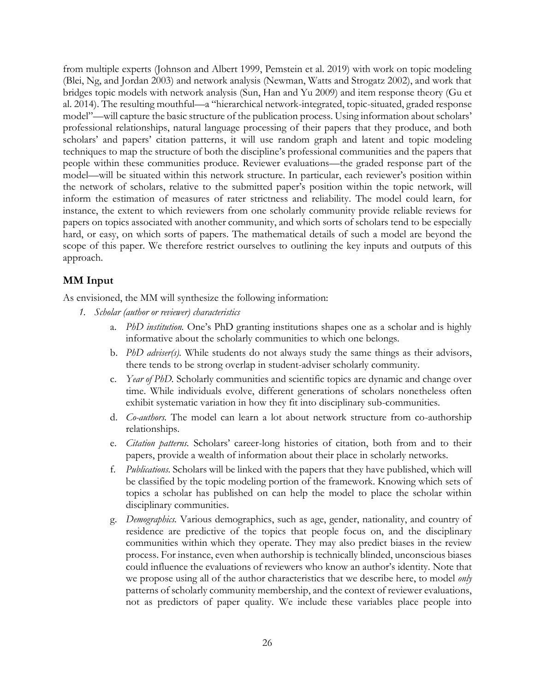from multiple experts (Johnson and Albert 1999, Pemstein et al. 2019) with work on topic modeling (Blei, Ng, and Jordan 2003) and network analysis (Newman, Watts and Strogatz 2002), and work that bridges topic models with network analysis (Sun, Han and Yu 2009) and item response theory (Gu et al. 2014). The resulting mouthful—a "hierarchical network-integrated, topic-situated, graded response model"—will capture the basic structure of the publication process. Using information about scholars' professional relationships, natural language processing of their papers that they produce, and both scholars' and papers' citation patterns, it will use random graph and latent and topic modeling techniques to map the structure of both the discipline's professional communities and the papers that people within these communities produce. Reviewer evaluations—the graded response part of the model—will be situated within this network structure. In particular, each reviewer's position within the network of scholars, relative to the submitted paper's position within the topic network, will inform the estimation of measures of rater strictness and reliability. The model could learn, for instance, the extent to which reviewers from one scholarly community provide reliable reviews for papers on topics associated with another community, and which sorts of scholars tend to be especially hard, or easy, on which sorts of papers. The mathematical details of such a model are beyond the scope of this paper. We therefore restrict ourselves to outlining the key inputs and outputs of this approach.

### <span id="page-25-0"></span>**MM Input**

As envisioned, the MM will synthesize the following information:

- *1. Scholar (author or reviewer) characteristics*
	- a. *PhD institution.* One's PhD granting institutions shapes one as a scholar and is highly informative about the scholarly communities to which one belongs.
	- b. *PhD adviser(s).* While students do not always study the same things as their advisors, there tends to be strong overlap in student-adviser scholarly community.
	- c. *Year of PhD.* Scholarly communities and scientific topics are dynamic and change over time. While individuals evolve, different generations of scholars nonetheless often exhibit systematic variation in how they fit into disciplinary sub-communities.
	- d. *Co-authors.* The model can learn a lot about network structure from co-authorship relationships.
	- e. *Citation patterns.* Scholars' career-long histories of citation, both from and to their papers, provide a wealth of information about their place in scholarly networks.
	- f. *Publications.* Scholars will be linked with the papers that they have published, which will be classified by the topic modeling portion of the framework. Knowing which sets of topics a scholar has published on can help the model to place the scholar within disciplinary communities.
	- g. *Demographics.* Various demographics, such as age, gender, nationality, and country of residence are predictive of the topics that people focus on, and the disciplinary communities within which they operate. They may also predict biases in the review process. For instance, even when authorship is technically blinded, unconscious biases could influence the evaluations of reviewers who know an author's identity. Note that we propose using all of the author characteristics that we describe here, to model *only* patterns of scholarly community membership, and the context of reviewer evaluations, not as predictors of paper quality. We include these variables place people into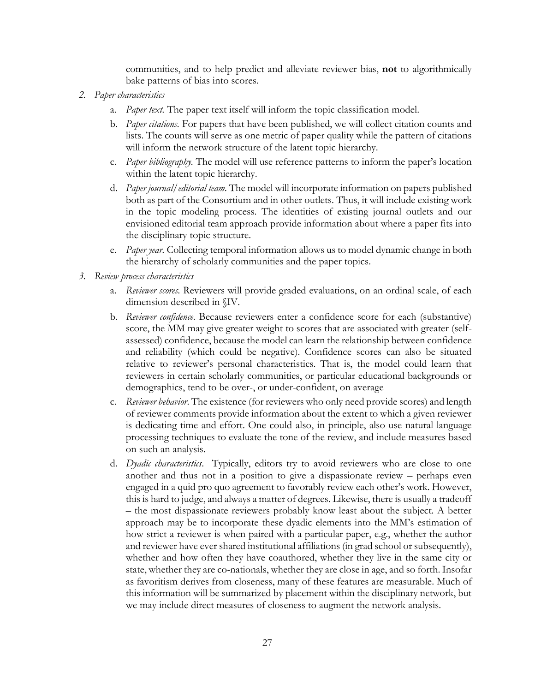communities, and to help predict and alleviate reviewer bias, **not** to algorithmically bake patterns of bias into scores.

- *2. Paper characteristics*
	- a. *Paper text.* The paper text itself will inform the topic classification model.
	- b. *Paper citations.* For papers that have been published, we will collect citation counts and lists. The counts will serve as one metric of paper quality while the pattern of citations will inform the network structure of the latent topic hierarchy.
	- c. *Paper bibliography.* The model will use reference patterns to inform the paper's location within the latent topic hierarchy.
	- d. *Paper journal/editorial team.* The model will incorporate information on papers published both as part of the Consortium and in other outlets. Thus, it will include existing work in the topic modeling process. The identities of existing journal outlets and our envisioned editorial team approach provide information about where a paper fits into the disciplinary topic structure.
	- e. *Paper year.* Collecting temporal information allows us to model dynamic change in both the hierarchy of scholarly communities and the paper topics.
- *3. Review process characteristics*
	- a. *Reviewer scores.* Reviewers will provide graded evaluations, on an ordinal scale, of each dimension described in §IV.
	- b. *Reviewer confidence*. Because reviewers enter a confidence score for each (substantive) score, the MM may give greater weight to scores that are associated with greater (selfassessed) confidence, because the model can learn the relationship between confidence and reliability (which could be negative). Confidence scores can also be situated relative to reviewer's personal characteristics. That is, the model could learn that reviewers in certain scholarly communities, or particular educational backgrounds or demographics, tend to be over-, or under-confident, on average
	- c. *Reviewer behavior*. The existence (for reviewers who only need provide scores) and length of reviewer comments provide information about the extent to which a given reviewer is dedicating time and effort. One could also, in principle, also use natural language processing techniques to evaluate the tone of the review, and include measures based on such an analysis.
	- d. *Dyadic characteristics*. Typically, editors try to avoid reviewers who are close to one another and thus not in a position to give a dispassionate review – perhaps even engaged in a quid pro quo agreement to favorably review each other's work. However, this is hard to judge, and always a matter of degrees. Likewise, there is usually a tradeoff – the most dispassionate reviewers probably know least about the subject. A better approach may be to incorporate these dyadic elements into the MM's estimation of how strict a reviewer is when paired with a particular paper, e.g., whether the author and reviewer have ever shared institutional affiliations (in grad school or subsequently), whether and how often they have coauthored, whether they live in the same city or state, whether they are co-nationals, whether they are close in age, and so forth. Insofar as favoritism derives from closeness, many of these features are measurable. Much of this information will be summarized by placement within the disciplinary network, but we may include direct measures of closeness to augment the network analysis.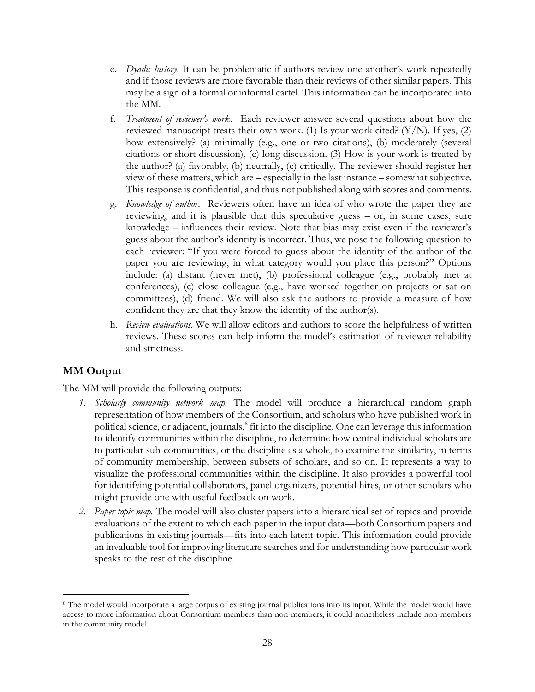- e. *Dyadic history*. It can be problematic if authors review one another's work repeatedly and if those reviews are more favorable than their reviews of other similar papers. This may be a sign of a formal or informal cartel. This information can be incorporated into the MM.
- f. *Treatment of reviewer's work*. Each reviewer answer several questions about how the reviewed manuscript treats their own work. (1) Is your work cited?  $(Y/N)$ . If yes, (2) how extensively? (a) minimally (e.g., one or two citations), (b) moderately (several citations or short discussion), (c) long discussion. (3) How is your work is treated by the author? (a) favorably, (b) neutrally, (c) critically. The reviewer should register her view of these matters, which are – especially in the last instance – somewhat subjective. This response is confidential, and thus not published along with scores and comments.
- g. *Knowledge of author*. Reviewers often have an idea of who wrote the paper they are reviewing, and it is plausible that this speculative guess – or, in some cases, sure knowledge – influences their review. Note that bias may exist even if the reviewer's guess about the author's identity is incorrect. Thus, we pose the following question to each reviewer: "If you were forced to guess about the identity of the author of the paper you are reviewing, in what category would you place this person?" Options include: (a) distant (never met), (b) professional colleague (e.g., probably met at conferences), (c) close colleague (e.g., have worked together on projects or sat on committees), (d) friend. We will also ask the authors to provide a measure of how confident they are that they know the identity of the author(s).
- h. *Review evaluations*. We will allow editors and authors to score the helpfulness of written reviews. These scores can help inform the model's estimation of reviewer reliability and strictness.

### <span id="page-27-0"></span>**MM Output**

The MM will provide the following outputs:

- *1. Scholarly community network map.* The model will produce a hierarchical random graph representation of how members of the Consortium, and scholars who have published work in political science, or adjacent, journals,<sup>8</sup> fit into the discipline. One can leverage this information to identify communities within the discipline, to determine how central individual scholars are to particular sub-communities, or the discipline as a whole, to examine the similarity, in terms of community membership, between subsets of scholars, and so on. It represents a way to visualize the professional communities within the discipline. It also provides a powerful tool for identifying potential collaborators, panel organizers, potential hires, or other scholars who might provide one with useful feedback on work.
- *2. Paper topic map.* The model will also cluster papers into a hierarchical set of topics and provide evaluations of the extent to which each paper in the input data—both Consortium papers and publications in existing journals—fits into each latent topic. This information could provide an invaluable tool for improving literature searches and for understanding how particular work speaks to the rest of the discipline.

<sup>&</sup>lt;sup>8</sup> The model would incorporate a large corpus of existing journal publications into its input. While the model would have access to more information about Consortium members than non-members, it could nonetheless include non-members in the community model.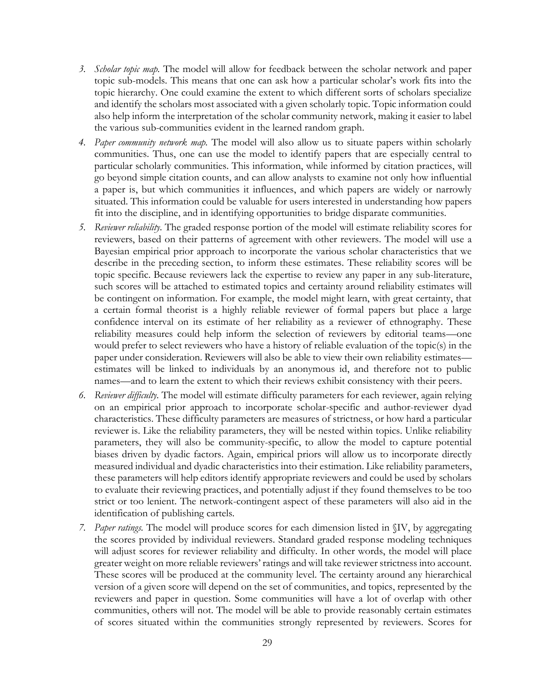- *3. Scholar topic map.* The model will allow for feedback between the scholar network and paper topic sub-models. This means that one can ask how a particular scholar's work fits into the topic hierarchy. One could examine the extent to which different sorts of scholars specialize and identify the scholars most associated with a given scholarly topic. Topic information could also help inform the interpretation of the scholar community network, making it easier to label the various sub-communities evident in the learned random graph.
- *4. Paper community network map.* The model will also allow us to situate papers within scholarly communities. Thus, one can use the model to identify papers that are especially central to particular scholarly communities. This information, while informed by citation practices, will go beyond simple citation counts, and can allow analysts to examine not only how influential a paper is, but which communities it influences, and which papers are widely or narrowly situated. This information could be valuable for users interested in understanding how papers fit into the discipline, and in identifying opportunities to bridge disparate communities.
- *5. Reviewer reliability.* The graded response portion of the model will estimate reliability scores for reviewers, based on their patterns of agreement with other reviewers. The model will use a Bayesian empirical prior approach to incorporate the various scholar characteristics that we describe in the preceding section, to inform these estimates. These reliability scores will be topic specific. Because reviewers lack the expertise to review any paper in any sub-literature, such scores will be attached to estimated topics and certainty around reliability estimates will be contingent on information. For example, the model might learn, with great certainty, that a certain formal theorist is a highly reliable reviewer of formal papers but place a large confidence interval on its estimate of her reliability as a reviewer of ethnography. These reliability measures could help inform the selection of reviewers by editorial teams—one would prefer to select reviewers who have a history of reliable evaluation of the topic(s) in the paper under consideration. Reviewers will also be able to view their own reliability estimates estimates will be linked to individuals by an anonymous id, and therefore not to public names—and to learn the extent to which their reviews exhibit consistency with their peers.
- *6. Reviewer difficulty.* The model will estimate difficulty parameters for each reviewer, again relying on an empirical prior approach to incorporate scholar-specific and author-reviewer dyad characteristics. These difficulty parameters are measures of strictness, or how hard a particular reviewer is. Like the reliability parameters, they will be nested within topics. Unlike reliability parameters, they will also be community-specific, to allow the model to capture potential biases driven by dyadic factors. Again, empirical priors will allow us to incorporate directly measured individual and dyadic characteristics into their estimation. Like reliability parameters, these parameters will help editors identify appropriate reviewers and could be used by scholars to evaluate their reviewing practices, and potentially adjust if they found themselves to be too strict or too lenient. The network-contingent aspect of these parameters will also aid in the identification of publishing cartels.
- *7. Paper ratings.* The model will produce scores for each dimension listed in §IV, by aggregating the scores provided by individual reviewers. Standard graded response modeling techniques will adjust scores for reviewer reliability and difficulty. In other words, the model will place greater weight on more reliable reviewers' ratings and will take reviewer strictness into account. These scores will be produced at the community level. The certainty around any hierarchical version of a given score will depend on the set of communities, and topics, represented by the reviewers and paper in question. Some communities will have a lot of overlap with other communities, others will not. The model will be able to provide reasonably certain estimates of scores situated within the communities strongly represented by reviewers. Scores for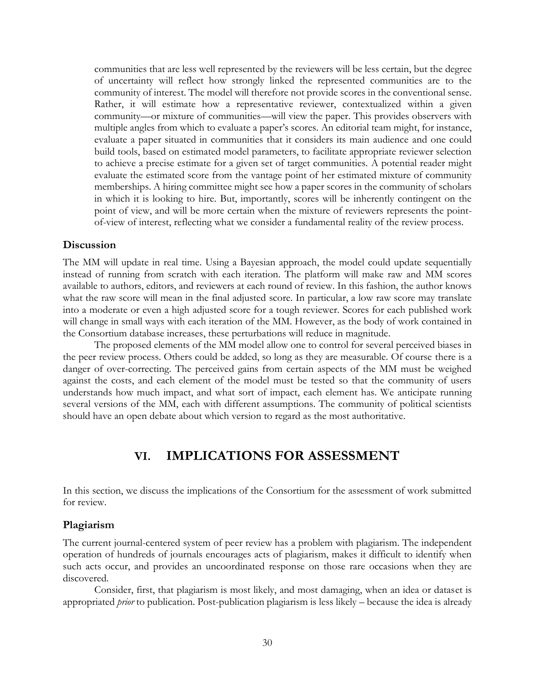communities that are less well represented by the reviewers will be less certain, but the degree of uncertainty will reflect how strongly linked the represented communities are to the community of interest. The model will therefore not provide scores in the conventional sense. Rather, it will estimate how a representative reviewer, contextualized within a given community—or mixture of communities—will view the paper. This provides observers with multiple angles from which to evaluate a paper's scores. An editorial team might, for instance, evaluate a paper situated in communities that it considers its main audience and one could build tools, based on estimated model parameters, to facilitate appropriate reviewer selection to achieve a precise estimate for a given set of target communities. A potential reader might evaluate the estimated score from the vantage point of her estimated mixture of community memberships. A hiring committee might see how a paper scores in the community of scholars in which it is looking to hire. But, importantly, scores will be inherently contingent on the point of view, and will be more certain when the mixture of reviewers represents the pointof-view of interest, reflecting what we consider a fundamental reality of the review process.

### <span id="page-29-0"></span>**Discussion**

The MM will update in real time. Using a Bayesian approach, the model could update sequentially instead of running from scratch with each iteration. The platform will make raw and MM scores available to authors, editors, and reviewers at each round of review. In this fashion, the author knows what the raw score will mean in the final adjusted score. In particular, a low raw score may translate into a moderate or even a high adjusted score for a tough reviewer. Scores for each published work will change in small ways with each iteration of the MM. However, as the body of work contained in the Consortium database increases, these perturbations will reduce in magnitude.

The proposed elements of the MM model allow one to control for several perceived biases in the peer review process. Others could be added, so long as they are measurable. Of course there is a danger of over-correcting. The perceived gains from certain aspects of the MM must be weighed against the costs, and each element of the model must be tested so that the community of users understands how much impact, and what sort of impact, each element has. We anticipate running several versions of the MM, each with different assumptions. The community of political scientists should have an open debate about which version to regard as the most authoritative.

### **VI. IMPLICATIONS FOR ASSESSMENT**

<span id="page-29-1"></span>In this section, we discuss the implications of the Consortium for the assessment of work submitted for review.

### <span id="page-29-2"></span>**Plagiarism**

The current journal-centered system of peer review has a problem with plagiarism. The independent operation of hundreds of journals encourages acts of plagiarism, makes it difficult to identify when such acts occur, and provides an uncoordinated response on those rare occasions when they are discovered.

Consider, first, that plagiarism is most likely, and most damaging, when an idea or dataset is appropriated *prior* to publication. Post-publication plagiarism is less likely – because the idea is already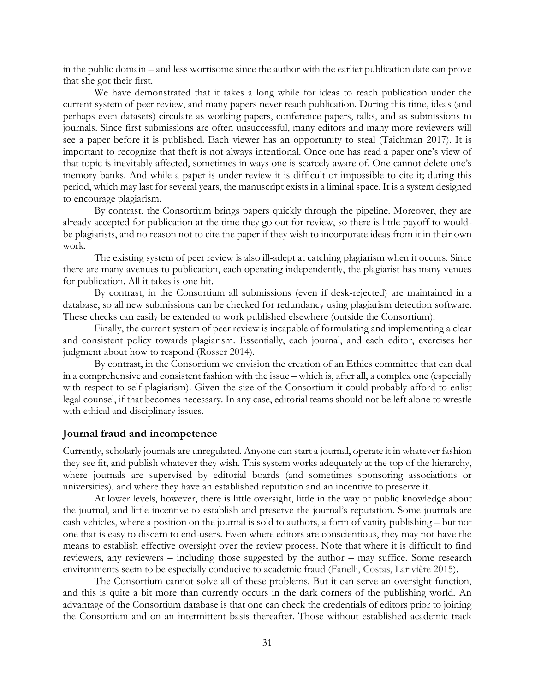in the public domain – and less worrisome since the author with the earlier publication date can prove that she got their first.

We have demonstrated that it takes a long while for ideas to reach publication under the current system of peer review, and many papers never reach publication. During this time, ideas (and perhaps even datasets) circulate as working papers, conference papers, talks, and as submissions to journals. Since first submissions are often unsuccessful, many editors and many more reviewers will see a paper before it is published. Each viewer has an opportunity to steal (Taichman 2017). It is important to recognize that theft is not always intentional. Once one has read a paper one's view of that topic is inevitably affected, sometimes in ways one is scarcely aware of. One cannot delete one's memory banks. And while a paper is under review it is difficult or impossible to cite it; during this period, which may last for several years, the manuscript exists in a liminal space. It is a system designed to encourage plagiarism.

By contrast, the Consortium brings papers quickly through the pipeline. Moreover, they are already accepted for publication at the time they go out for review, so there is little payoff to wouldbe plagiarists, and no reason not to cite the paper if they wish to incorporate ideas from it in their own work.

The existing system of peer review is also ill-adept at catching plagiarism when it occurs. Since there are many avenues to publication, each operating independently, the plagiarist has many venues for publication. All it takes is one hit.

By contrast, in the Consortium all submissions (even if desk-rejected) are maintained in a database, so all new submissions can be checked for redundancy using plagiarism detection software. These checks can easily be extended to work published elsewhere (outside the Consortium).

Finally, the current system of peer review is incapable of formulating and implementing a clear and consistent policy towards plagiarism. Essentially, each journal, and each editor, exercises her judgment about how to respond (Rosser 2014).

By contrast, in the Consortium we envision the creation of an Ethics committee that can deal in a comprehensive and consistent fashion with the issue – which is, after all, a complex one (especially with respect to self-plagiarism). Given the size of the Consortium it could probably afford to enlist legal counsel, if that becomes necessary. In any case, editorial teams should not be left alone to wrestle with ethical and disciplinary issues.

#### <span id="page-30-0"></span>**Journal fraud and incompetence**

Currently, scholarly journals are unregulated. Anyone can start a journal, operate it in whatever fashion they see fit, and publish whatever they wish. This system works adequately at the top of the hierarchy, where journals are supervised by editorial boards (and sometimes sponsoring associations or universities), and where they have an established reputation and an incentive to preserve it.

At lower levels, however, there is little oversight, little in the way of public knowledge about the journal, and little incentive to establish and preserve the journal's reputation. Some journals are cash vehicles, where a position on the journal is sold to authors, a form of vanity publishing – but not one that is easy to discern to end-users. Even where editors are conscientious, they may not have the means to establish effective oversight over the review process. Note that where it is difficult to find reviewers, any reviewers – including those suggested by the author – may suffice. Some research environments seem to be especially conducive to academic fraud (Fanelli, Costas, Larivière 2015).

The Consortium cannot solve all of these problems. But it can serve an oversight function, and this is quite a bit more than currently occurs in the dark corners of the publishing world. An advantage of the Consortium database is that one can check the credentials of editors prior to joining the Consortium and on an intermittent basis thereafter. Those without established academic track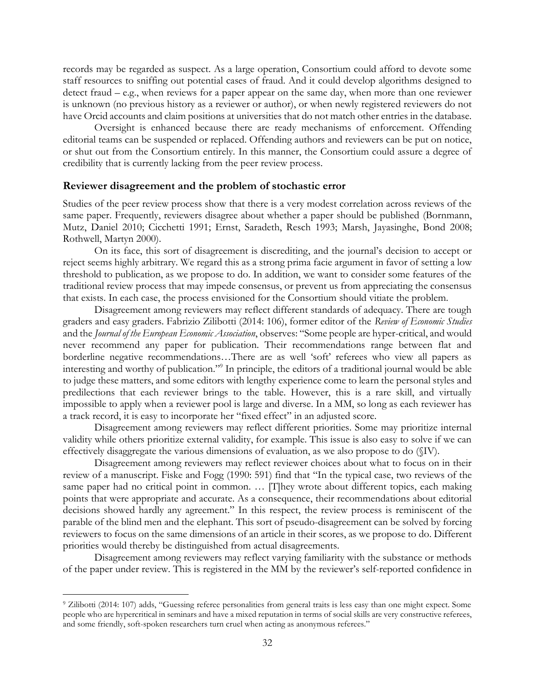records may be regarded as suspect. As a large operation, Consortium could afford to devote some staff resources to sniffing out potential cases of fraud. And it could develop algorithms designed to detect fraud – e.g., when reviews for a paper appear on the same day, when more than one reviewer is unknown (no previous history as a reviewer or author), or when newly registered reviewers do not have Orcid accounts and claim positions at universities that do not match other entries in the database.

Oversight is enhanced because there are ready mechanisms of enforcement. Offending editorial teams can be suspended or replaced. Offending authors and reviewers can be put on notice, or shut out from the Consortium entirely. In this manner, the Consortium could assure a degree of credibility that is currently lacking from the peer review process.

#### <span id="page-31-0"></span>**Reviewer disagreement and the problem of stochastic error**

Studies of the peer review process show that there is a very modest correlation across reviews of the same paper. Frequently, reviewers disagree about whether a paper should be published (Bornmann, Mutz, Daniel 2010; Cicchetti 1991; Ernst, Saradeth, Resch 1993; Marsh, Jayasinghe, Bond 2008; Rothwell, Martyn 2000).

On its face, this sort of disagreement is discrediting, and the journal's decision to accept or reject seems highly arbitrary. We regard this as a strong prima facie argument in favor of setting a low threshold to publication, as we propose to do. In addition, we want to consider some features of the traditional review process that may impede consensus, or prevent us from appreciating the consensus that exists. In each case, the process envisioned for the Consortium should vitiate the problem.

Disagreement among reviewers may reflect different standards of adequacy. There are tough graders and easy graders. Fabrizio Zilibotti (2014: 106), former editor of the *Review of Economic Studies* and the *Journal of the European Economic Association*, observes: "Some people are hyper-critical, and would never recommend any paper for publication. Their recommendations range between flat and borderline negative recommendations…There are as well 'soft' referees who view all papers as interesting and worthy of publication."<sup>9</sup> In principle, the editors of a traditional journal would be able to judge these matters, and some editors with lengthy experience come to learn the personal styles and predilections that each reviewer brings to the table. However, this is a rare skill, and virtually impossible to apply when a reviewer pool is large and diverse. In a MM, so long as each reviewer has a track record, it is easy to incorporate her "fixed effect" in an adjusted score.

Disagreement among reviewers may reflect different priorities. Some may prioritize internal validity while others prioritize external validity, for example. This issue is also easy to solve if we can effectively disaggregate the various dimensions of evaluation, as we also propose to do (§IV).

Disagreement among reviewers may reflect reviewer choices about what to focus on in their review of a manuscript. Fiske and Fogg (1990: 591) find that "In the typical case, two reviews of the same paper had no critical point in common. ... [T]hey wrote about different topics, each making points that were appropriate and accurate. As a consequence, their recommendations about editorial decisions showed hardly any agreement." In this respect, the review process is reminiscent of the parable of the blind men and the elephant. This sort of pseudo-disagreement can be solved by forcing reviewers to focus on the same dimensions of an article in their scores, as we propose to do. Different priorities would thereby be distinguished from actual disagreements.

Disagreement among reviewers may reflect varying familiarity with the substance or methods of the paper under review. This is registered in the MM by the reviewer's self-reported confidence in

<sup>9</sup> Zilibotti (2014: 107) adds, "Guessing referee personalities from general traits is less easy than one might expect. Some people who are hypercritical in seminars and have a mixed reputation in terms of social skills are very constructive referees, and some friendly, soft-spoken researchers turn cruel when acting as anonymous referees."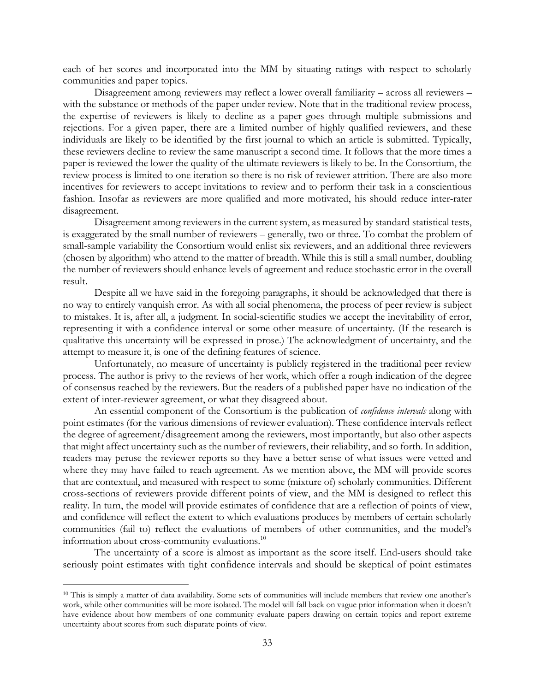each of her scores and incorporated into the MM by situating ratings with respect to scholarly communities and paper topics.

Disagreement among reviewers may reflect a lower overall familiarity – across all reviewers – with the substance or methods of the paper under review. Note that in the traditional review process, the expertise of reviewers is likely to decline as a paper goes through multiple submissions and rejections. For a given paper, there are a limited number of highly qualified reviewers, and these individuals are likely to be identified by the first journal to which an article is submitted. Typically, these reviewers decline to review the same manuscript a second time. It follows that the more times a paper is reviewed the lower the quality of the ultimate reviewers is likely to be. In the Consortium, the review process is limited to one iteration so there is no risk of reviewer attrition. There are also more incentives for reviewers to accept invitations to review and to perform their task in a conscientious fashion. Insofar as reviewers are more qualified and more motivated, his should reduce inter-rater disagreement.

Disagreement among reviewers in the current system, as measured by standard statistical tests, is exaggerated by the small number of reviewers – generally, two or three. To combat the problem of small-sample variability the Consortium would enlist six reviewers, and an additional three reviewers (chosen by algorithm) who attend to the matter of breadth. While this is still a small number, doubling the number of reviewers should enhance levels of agreement and reduce stochastic error in the overall result.

Despite all we have said in the foregoing paragraphs, it should be acknowledged that there is no way to entirely vanquish error. As with all social phenomena, the process of peer review is subject to mistakes. It is, after all, a judgment. In social-scientific studies we accept the inevitability of error, representing it with a confidence interval or some other measure of uncertainty. (If the research is qualitative this uncertainty will be expressed in prose.) The acknowledgment of uncertainty, and the attempt to measure it, is one of the defining features of science.

Unfortunately, no measure of uncertainty is publicly registered in the traditional peer review process. The author is privy to the reviews of her work, which offer a rough indication of the degree of consensus reached by the reviewers. But the readers of a published paper have no indication of the extent of inter-reviewer agreement, or what they disagreed about.

An essential component of the Consortium is the publication of *confidence intervals* along with point estimates (for the various dimensions of reviewer evaluation). These confidence intervals reflect the degree of agreement/disagreement among the reviewers, most importantly, but also other aspects that might affect uncertainty such as the number of reviewers, their reliability, and so forth. In addition, readers may peruse the reviewer reports so they have a better sense of what issues were vetted and where they may have failed to reach agreement. As we mention above, the MM will provide scores that are contextual, and measured with respect to some (mixture of) scholarly communities. Different cross-sections of reviewers provide different points of view, and the MM is designed to reflect this reality. In turn, the model will provide estimates of confidence that are a reflection of points of view, and confidence will reflect the extent to which evaluations produces by members of certain scholarly communities (fail to) reflect the evaluations of members of other communities, and the model's information about cross-community evaluations.<sup>10</sup>

The uncertainty of a score is almost as important as the score itself. End-users should take seriously point estimates with tight confidence intervals and should be skeptical of point estimates

<sup>10</sup> This is simply a matter of data availability. Some sets of communities will include members that review one another's work, while other communities will be more isolated. The model will fall back on vague prior information when it doesn't have evidence about how members of one community evaluate papers drawing on certain topics and report extreme uncertainty about scores from such disparate points of view.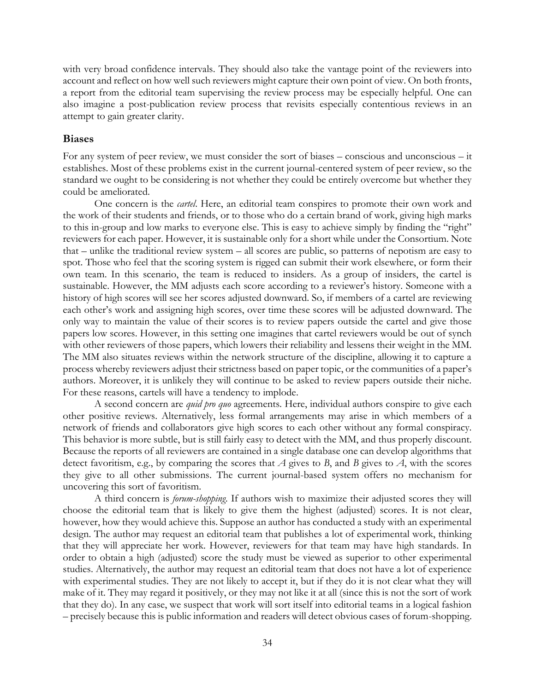with very broad confidence intervals. They should also take the vantage point of the reviewers into account and reflect on how well such reviewers might capture their own point of view. On both fronts, a report from the editorial team supervising the review process may be especially helpful. One can also imagine a post-publication review process that revisits especially contentious reviews in an attempt to gain greater clarity.

### <span id="page-33-0"></span>**Biases**

For any system of peer review, we must consider the sort of biases – conscious and unconscious – it establishes. Most of these problems exist in the current journal-centered system of peer review, so the standard we ought to be considering is not whether they could be entirely overcome but whether they could be ameliorated.

One concern is the *cartel*. Here, an editorial team conspires to promote their own work and the work of their students and friends, or to those who do a certain brand of work, giving high marks to this in-group and low marks to everyone else. This is easy to achieve simply by finding the "right" reviewers for each paper. However, it is sustainable only for a short while under the Consortium. Note that – unlike the traditional review system – all scores are public, so patterns of nepotism are easy to spot. Those who feel that the scoring system is rigged can submit their work elsewhere, or form their own team. In this scenario, the team is reduced to insiders. As a group of insiders, the cartel is sustainable. However, the MM adjusts each score according to a reviewer's history. Someone with a history of high scores will see her scores adjusted downward. So, if members of a cartel are reviewing each other's work and assigning high scores, over time these scores will be adjusted downward. The only way to maintain the value of their scores is to review papers outside the cartel and give those papers low scores. However, in this setting one imagines that cartel reviewers would be out of synch with other reviewers of those papers, which lowers their reliability and lessens their weight in the MM. The MM also situates reviews within the network structure of the discipline, allowing it to capture a process whereby reviewers adjust their strictness based on paper topic, or the communities of a paper's authors. Moreover, it is unlikely they will continue to be asked to review papers outside their niche. For these reasons, cartels will have a tendency to implode.

A second concern are *quid pro quo* agreements. Here, individual authors conspire to give each other positive reviews. Alternatively, less formal arrangements may arise in which members of a network of friends and collaborators give high scores to each other without any formal conspiracy. This behavior is more subtle, but is still fairly easy to detect with the MM, and thus properly discount. Because the reports of all reviewers are contained in a single database one can develop algorithms that detect favoritism, e.g., by comparing the scores that *A* gives to *B*, and *B* gives to *A*, with the scores they give to all other submissions. The current journal-based system offers no mechanism for uncovering this sort of favoritism.

A third concern is *forum-shopping*. If authors wish to maximize their adjusted scores they will choose the editorial team that is likely to give them the highest (adjusted) scores. It is not clear, however, how they would achieve this. Suppose an author has conducted a study with an experimental design. The author may request an editorial team that publishes a lot of experimental work, thinking that they will appreciate her work. However, reviewers for that team may have high standards. In order to obtain a high (adjusted) score the study must be viewed as superior to other experimental studies. Alternatively, the author may request an editorial team that does not have a lot of experience with experimental studies. They are not likely to accept it, but if they do it is not clear what they will make of it. They may regard it positively, or they may not like it at all (since this is not the sort of work that they do). In any case, we suspect that work will sort itself into editorial teams in a logical fashion – precisely because this is public information and readers will detect obvious cases of forum-shopping.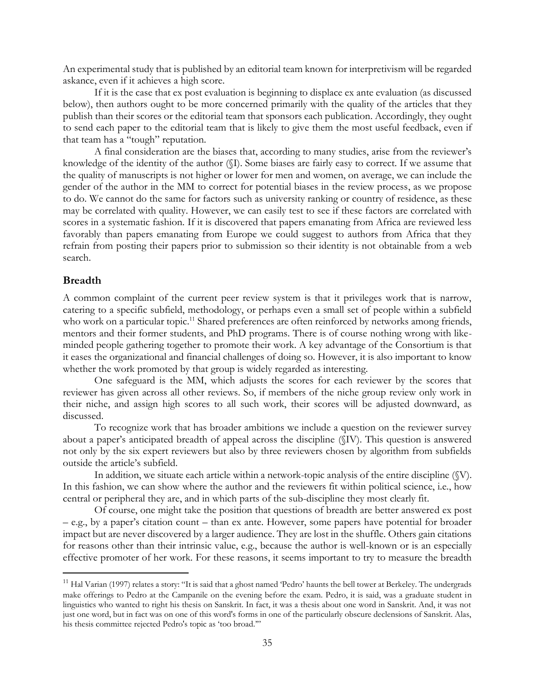An experimental study that is published by an editorial team known for interpretivism will be regarded askance, even if it achieves a high score.

If it is the case that ex post evaluation is beginning to displace ex ante evaluation (as discussed below), then authors ought to be more concerned primarily with the quality of the articles that they publish than their scores or the editorial team that sponsors each publication. Accordingly, they ought to send each paper to the editorial team that is likely to give them the most useful feedback, even if that team has a "tough" reputation.

A final consideration are the biases that, according to many studies, arise from the reviewer's knowledge of the identity of the author (§I). Some biases are fairly easy to correct. If we assume that the quality of manuscripts is not higher or lower for men and women, on average, we can include the gender of the author in the MM to correct for potential biases in the review process, as we propose to do. We cannot do the same for factors such as university ranking or country of residence, as these may be correlated with quality. However, we can easily test to see if these factors are correlated with scores in a systematic fashion. If it is discovered that papers emanating from Africa are reviewed less favorably than papers emanating from Europe we could suggest to authors from Africa that they refrain from posting their papers prior to submission so their identity is not obtainable from a web search.

### <span id="page-34-0"></span>**Breadth**

A common complaint of the current peer review system is that it privileges work that is narrow, catering to a specific subfield, methodology, or perhaps even a small set of people within a subfield who work on a particular topic.<sup>11</sup> Shared preferences are often reinforced by networks among friends, mentors and their former students, and PhD programs. There is of course nothing wrong with likeminded people gathering together to promote their work. A key advantage of the Consortium is that it eases the organizational and financial challenges of doing so. However, it is also important to know whether the work promoted by that group is widely regarded as interesting.

One safeguard is the MM, which adjusts the scores for each reviewer by the scores that reviewer has given across all other reviews. So, if members of the niche group review only work in their niche, and assign high scores to all such work, their scores will be adjusted downward, as discussed.

To recognize work that has broader ambitions we include a question on the reviewer survey about a paper's anticipated breadth of appeal across the discipline (§IV). This question is answered not only by the six expert reviewers but also by three reviewers chosen by algorithm from subfields outside the article's subfield.

In addition, we situate each article within a network-topic analysis of the entire discipline  $(\mathbb{V})$ . In this fashion, we can show where the author and the reviewers fit within political science, i.e., how central or peripheral they are, and in which parts of the sub-discipline they most clearly fit.

Of course, one might take the position that questions of breadth are better answered ex post – e.g., by a paper's citation count – than ex ante. However, some papers have potential for broader impact but are never discovered by a larger audience. They are lost in the shuffle. Others gain citations for reasons other than their intrinsic value, e.g., because the author is well-known or is an especially effective promoter of her work. For these reasons, it seems important to try to measure the breadth

<sup>&</sup>lt;sup>11</sup> Hal Varian (1997) relates a story: "It is said that a ghost named 'Pedro' haunts the bell tower at Berkeley. The undergrads make offerings to Pedro at the Campanile on the evening before the exam. Pedro, it is said, was a graduate student in linguistics who wanted to right his thesis on Sanskrit. In fact, it was a thesis about one word in Sanskrit. And, it was not just one word, but in fact was on one of this word's forms in one of the particularly obscure declensions of Sanskrit. Alas, his thesis committee rejected Pedro's topic as 'too broad.'"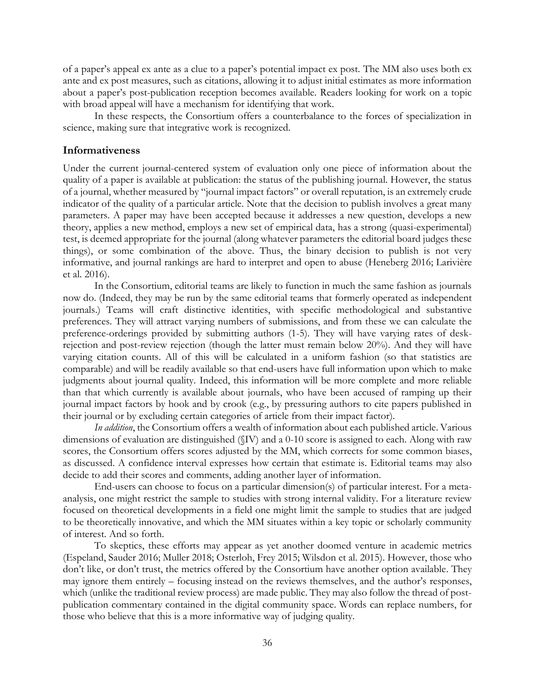of a paper's appeal ex ante as a clue to a paper's potential impact ex post. The MM also uses both ex ante and ex post measures, such as citations, allowing it to adjust initial estimates as more information about a paper's post-publication reception becomes available. Readers looking for work on a topic with broad appeal will have a mechanism for identifying that work.

In these respects, the Consortium offers a counterbalance to the forces of specialization in science, making sure that integrative work is recognized.

### <span id="page-35-0"></span>**Informativeness**

Under the current journal-centered system of evaluation only one piece of information about the quality of a paper is available at publication: the status of the publishing journal. However, the status of a journal, whether measured by "journal impact factors" or overall reputation, is an extremely crude indicator of the quality of a particular article. Note that the decision to publish involves a great many parameters. A paper may have been accepted because it addresses a new question, develops a new theory, applies a new method, employs a new set of empirical data, has a strong (quasi-experimental) test, is deemed appropriate for the journal (along whatever parameters the editorial board judges these things), or some combination of the above. Thus, the binary decision to publish is not very informative, and journal rankings are hard to interpret and open to abuse (Heneberg 2016; Larivière et al. 2016).

In the Consortium, editorial teams are likely to function in much the same fashion as journals now do. (Indeed, they may be run by the same editorial teams that formerly operated as independent journals.) Teams will craft distinctive identities, with specific methodological and substantive preferences. They will attract varying numbers of submissions, and from these we can calculate the preference-orderings provided by submitting authors (1-5). They will have varying rates of deskrejection and post-review rejection (though the latter must remain below 20%). And they will have varying citation counts. All of this will be calculated in a uniform fashion (so that statistics are comparable) and will be readily available so that end-users have full information upon which to make judgments about journal quality. Indeed, this information will be more complete and more reliable than that which currently is available about journals, who have been accused of ramping up their journal impact factors by hook and by crook (e.g., by pressuring authors to cite papers published in their journal or by excluding certain categories of article from their impact factor).

*In addition*, the Consortium offers a wealth of information about each published article. Various dimensions of evaluation are distinguished (§IV) and a 0-10 score is assigned to each. Along with raw scores, the Consortium offers scores adjusted by the MM, which corrects for some common biases, as discussed. A confidence interval expresses how certain that estimate is. Editorial teams may also decide to add their scores and comments, adding another layer of information.

End-users can choose to focus on a particular dimension(s) of particular interest. For a metaanalysis, one might restrict the sample to studies with strong internal validity. For a literature review focused on theoretical developments in a field one might limit the sample to studies that are judged to be theoretically innovative, and which the MM situates within a key topic or scholarly community of interest. And so forth.

To skeptics, these efforts may appear as yet another doomed venture in academic metrics (Espeland, Sauder 2016; Muller 2018; Osterloh, Frey 2015; Wilsdon et al. 2015). However, those who don't like, or don't trust, the metrics offered by the Consortium have another option available. They may ignore them entirely – focusing instead on the reviews themselves, and the author's responses, which (unlike the traditional review process) are made public. They may also follow the thread of postpublication commentary contained in the digital community space. Words can replace numbers, for those who believe that this is a more informative way of judging quality.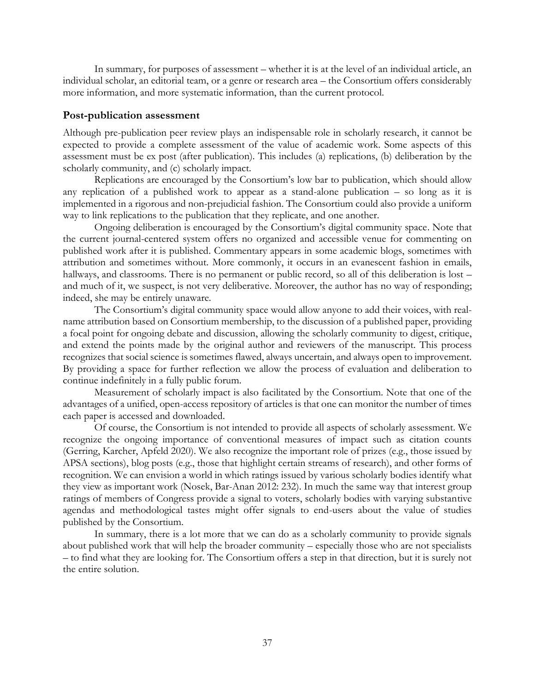In summary, for purposes of assessment – whether it is at the level of an individual article, an individual scholar, an editorial team, or a genre or research area – the Consortium offers considerably more information, and more systematic information, than the current protocol.

#### <span id="page-36-0"></span>**Post-publication assessment**

Although pre-publication peer review plays an indispensable role in scholarly research, it cannot be expected to provide a complete assessment of the value of academic work. Some aspects of this assessment must be ex post (after publication). This includes (a) replications, (b) deliberation by the scholarly community, and (c) scholarly impact.

Replications are encouraged by the Consortium's low bar to publication, which should allow any replication of a published work to appear as a stand-alone publication – so long as it is implemented in a rigorous and non-prejudicial fashion. The Consortium could also provide a uniform way to link replications to the publication that they replicate, and one another.

Ongoing deliberation is encouraged by the Consortium's digital community space. Note that the current journal-centered system offers no organized and accessible venue for commenting on published work after it is published. Commentary appears in some academic blogs, sometimes with attribution and sometimes without. More commonly, it occurs in an evanescent fashion in emails, hallways, and classrooms. There is no permanent or public record, so all of this deliberation is lost – and much of it, we suspect, is not very deliberative. Moreover, the author has no way of responding; indeed, she may be entirely unaware.

The Consortium's digital community space would allow anyone to add their voices, with realname attribution based on Consortium membership, to the discussion of a published paper, providing a focal point for ongoing debate and discussion, allowing the scholarly community to digest, critique, and extend the points made by the original author and reviewers of the manuscript. This process recognizes that social science is sometimes flawed, always uncertain, and always open to improvement. By providing a space for further reflection we allow the process of evaluation and deliberation to continue indefinitely in a fully public forum.

Measurement of scholarly impact is also facilitated by the Consortium. Note that one of the advantages of a unified, open-access repository of articles is that one can monitor the number of times each paper is accessed and downloaded.

Of course, the Consortium is not intended to provide all aspects of scholarly assessment. We recognize the ongoing importance of conventional measures of impact such as citation counts (Gerring, Karcher, Apfeld 2020). We also recognize the important role of prizes (e.g., those issued by APSA sections), blog posts (e.g., those that highlight certain streams of research), and other forms of recognition. We can envision a world in which ratings issued by various scholarly bodies identify what they view as important work (Nosek, Bar-Anan 2012: 232). In much the same way that interest group ratings of members of Congress provide a signal to voters, scholarly bodies with varying substantive agendas and methodological tastes might offer signals to end-users about the value of studies published by the Consortium.

In summary, there is a lot more that we can do as a scholarly community to provide signals about published work that will help the broader community – especially those who are not specialists – to find what they are looking for. The Consortium offers a step in that direction, but it is surely not the entire solution.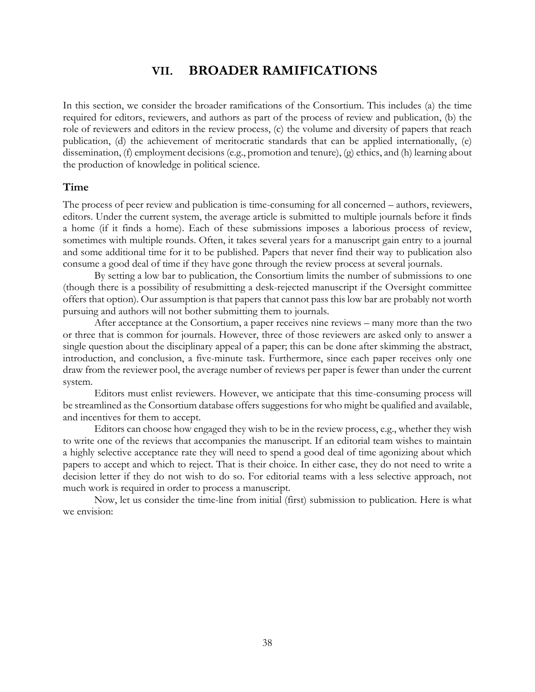## **VII. BROADER RAMIFICATIONS**

<span id="page-37-0"></span>In this section, we consider the broader ramifications of the Consortium. This includes (a) the time required for editors, reviewers, and authors as part of the process of review and publication, (b) the role of reviewers and editors in the review process, (c) the volume and diversity of papers that reach publication, (d) the achievement of meritocratic standards that can be applied internationally, (e) dissemination, (f) employment decisions (e.g., promotion and tenure), (g) ethics, and (h) learning about the production of knowledge in political science.

### <span id="page-37-1"></span>**Time**

The process of peer review and publication is time-consuming for all concerned – authors, reviewers, editors. Under the current system, the average article is submitted to multiple journals before it finds a home (if it finds a home). Each of these submissions imposes a laborious process of review, sometimes with multiple rounds. Often, it takes several years for a manuscript gain entry to a journal and some additional time for it to be published. Papers that never find their way to publication also consume a good deal of time if they have gone through the review process at several journals.

By setting a low bar to publication, the Consortium limits the number of submissions to one (though there is a possibility of resubmitting a desk-rejected manuscript if the Oversight committee offers that option). Our assumption is that papers that cannot pass this low bar are probably not worth pursuing and authors will not bother submitting them to journals.

After acceptance at the Consortium, a paper receives nine reviews – many more than the two or three that is common for journals. However, three of those reviewers are asked only to answer a single question about the disciplinary appeal of a paper; this can be done after skimming the abstract, introduction, and conclusion, a five-minute task. Furthermore, since each paper receives only one draw from the reviewer pool, the average number of reviews per paper is fewer than under the current system.

Editors must enlist reviewers. However, we anticipate that this time-consuming process will be streamlined as the Consortium database offers suggestions for who might be qualified and available, and incentives for them to accept.

Editors can choose how engaged they wish to be in the review process, e.g., whether they wish to write one of the reviews that accompanies the manuscript. If an editorial team wishes to maintain a highly selective acceptance rate they will need to spend a good deal of time agonizing about which papers to accept and which to reject. That is their choice. In either case, they do not need to write a decision letter if they do not wish to do so. For editorial teams with a less selective approach, not much work is required in order to process a manuscript.

Now, let us consider the time-line from initial (first) submission to publication. Here is what we envision: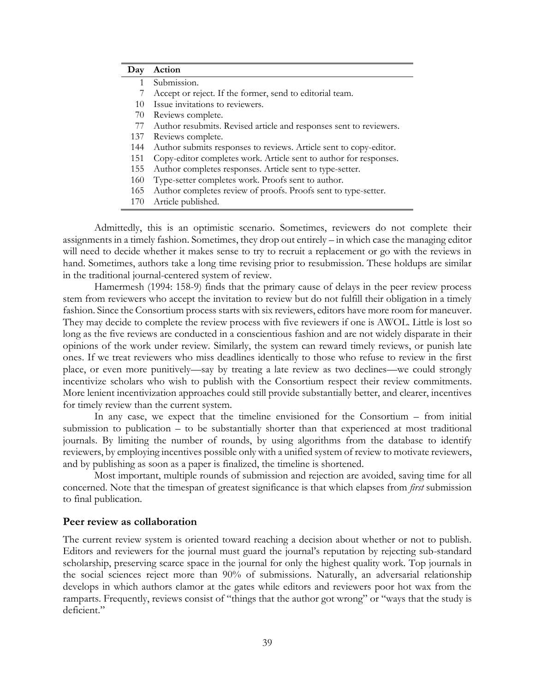| Day | Action                                                             |
|-----|--------------------------------------------------------------------|
| 1   | Submission.                                                        |
| 7   | Accept or reject. If the former, send to editorial team.           |
| 10  | Issue invitations to reviewers.                                    |
| 70  | Reviews complete.                                                  |
| 77  | Author resubmits. Revised article and responses sent to reviewers. |
| 137 | Reviews complete.                                                  |
| 144 | Author submits responses to reviews. Article sent to copy-editor.  |
| 151 | Copy-editor completes work. Article sent to author for responses.  |
| 155 | Author completes responses. Article sent to type-setter.           |
| 160 | Type-setter completes work. Proofs sent to author.                 |
| 165 | Author completes review of proofs. Proofs sent to type-setter.     |
| 170 | Article published.                                                 |

Admittedly, this is an optimistic scenario. Sometimes, reviewers do not complete their assignments in a timely fashion. Sometimes, they drop out entirely – in which case the managing editor will need to decide whether it makes sense to try to recruit a replacement or go with the reviews in hand. Sometimes, authors take a long time revising prior to resubmission. These holdups are similar in the traditional journal-centered system of review.

Hamermesh (1994: 158-9) finds that the primary cause of delays in the peer review process stem from reviewers who accept the invitation to review but do not fulfill their obligation in a timely fashion. Since the Consortium process starts with six reviewers, editors have more room for maneuver. They may decide to complete the review process with five reviewers if one is AWOL. Little is lost so long as the five reviews are conducted in a conscientious fashion and are not widely disparate in their opinions of the work under review. Similarly, the system can reward timely reviews, or punish late ones. If we treat reviewers who miss deadlines identically to those who refuse to review in the first place, or even more punitively—say by treating a late review as two declines—we could strongly incentivize scholars who wish to publish with the Consortium respect their review commitments. More lenient incentivization approaches could still provide substantially better, and clearer, incentives for timely review than the current system.

In any case, we expect that the timeline envisioned for the Consortium – from initial submission to publication – to be substantially shorter than that experienced at most traditional journals. By limiting the number of rounds, by using algorithms from the database to identify reviewers, by employing incentives possible only with a unified system of review to motivate reviewers, and by publishing as soon as a paper is finalized, the timeline is shortened.

Most important, multiple rounds of submission and rejection are avoided, saving time for all concerned. Note that the timespan of greatest significance is that which elapses from *first* submission to final publication.

### <span id="page-38-0"></span>**Peer review as collaboration**

The current review system is oriented toward reaching a decision about whether or not to publish. Editors and reviewers for the journal must guard the journal's reputation by rejecting sub-standard scholarship, preserving scarce space in the journal for only the highest quality work. Top journals in the social sciences reject more than 90% of submissions. Naturally, an adversarial relationship develops in which authors clamor at the gates while editors and reviewers poor hot wax from the ramparts. Frequently, reviews consist of "things that the author got wrong" or "ways that the study is deficient."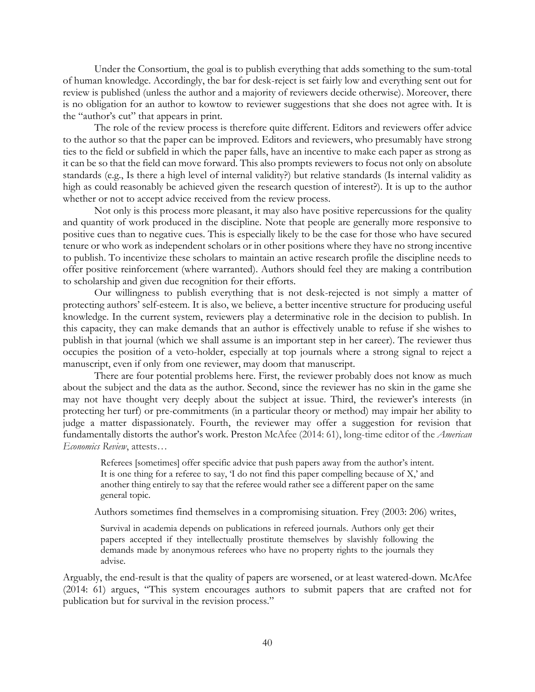Under the Consortium, the goal is to publish everything that adds something to the sum-total of human knowledge. Accordingly, the bar for desk-reject is set fairly low and everything sent out for review is published (unless the author and a majority of reviewers decide otherwise). Moreover, there is no obligation for an author to kowtow to reviewer suggestions that she does not agree with. It is the "author's cut" that appears in print.

The role of the review process is therefore quite different. Editors and reviewers offer advice to the author so that the paper can be improved. Editors and reviewers, who presumably have strong ties to the field or subfield in which the paper falls, have an incentive to make each paper as strong as it can be so that the field can move forward. This also prompts reviewers to focus not only on absolute standards (e.g., Is there a high level of internal validity?) but relative standards (Is internal validity as high as could reasonably be achieved given the research question of interest?). It is up to the author whether or not to accept advice received from the review process.

Not only is this process more pleasant, it may also have positive repercussions for the quality and quantity of work produced in the discipline. Note that people are generally more responsive to positive cues than to negative cues. This is especially likely to be the case for those who have secured tenure or who work as independent scholars or in other positions where they have no strong incentive to publish. To incentivize these scholars to maintain an active research profile the discipline needs to offer positive reinforcement (where warranted). Authors should feel they are making a contribution to scholarship and given due recognition for their efforts.

Our willingness to publish everything that is not desk-rejected is not simply a matter of protecting authors' self-esteem. It is also, we believe, a better incentive structure for producing useful knowledge. In the current system, reviewers play a determinative role in the decision to publish. In this capacity, they can make demands that an author is effectively unable to refuse if she wishes to publish in that journal (which we shall assume is an important step in her career). The reviewer thus occupies the position of a veto-holder, especially at top journals where a strong signal to reject a manuscript, even if only from one reviewer, may doom that manuscript.

There are four potential problems here. First, the reviewer probably does not know as much about the subject and the data as the author. Second, since the reviewer has no skin in the game she may not have thought very deeply about the subject at issue. Third, the reviewer's interests (in protecting her turf) or pre-commitments (in a particular theory or method) may impair her ability to judge a matter dispassionately. Fourth, the reviewer may offer a suggestion for revision that fundamentally distorts the author's work. Preston McAfee (2014: 61), long-time editor of the *American Economics Review*, attests…

Referees [sometimes] offer specific advice that push papers away from the author's intent. It is one thing for a referee to say, 'I do not find this paper compelling because of X,' and another thing entirely to say that the referee would rather see a different paper on the same general topic.

Authors sometimes find themselves in a compromising situation. Frey (2003: 206) writes,

Survival in academia depends on publications in refereed journals. Authors only get their papers accepted if they intellectually prostitute themselves by slavishly following the demands made by anonymous referees who have no property rights to the journals they advise.

Arguably, the end-result is that the quality of papers are worsened, or at least watered-down. McAfee (2014: 61) argues, "This system encourages authors to submit papers that are crafted not for publication but for survival in the revision process."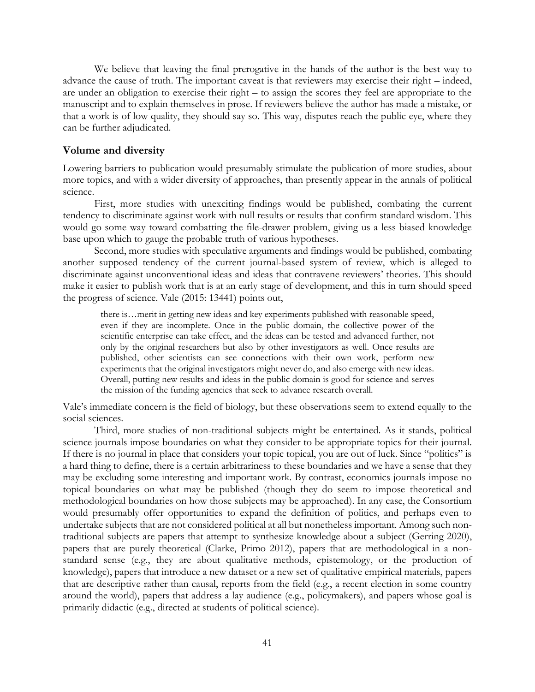We believe that leaving the final prerogative in the hands of the author is the best way to advance the cause of truth. The important caveat is that reviewers may exercise their right – indeed, are under an obligation to exercise their right – to assign the scores they feel are appropriate to the manuscript and to explain themselves in prose. If reviewers believe the author has made a mistake, or that a work is of low quality, they should say so. This way, disputes reach the public eye, where they can be further adjudicated.

### <span id="page-40-0"></span>**Volume and diversity**

Lowering barriers to publication would presumably stimulate the publication of more studies, about more topics, and with a wider diversity of approaches, than presently appear in the annals of political science.

First, more studies with unexciting findings would be published, combating the current tendency to discriminate against work with null results or results that confirm standard wisdom. This would go some way toward combatting the file-drawer problem, giving us a less biased knowledge base upon which to gauge the probable truth of various hypotheses.

Second, more studies with speculative arguments and findings would be published, combating another supposed tendency of the current journal-based system of review, which is alleged to discriminate against unconventional ideas and ideas that contravene reviewers' theories. This should make it easier to publish work that is at an early stage of development, and this in turn should speed the progress of science. Vale (2015: 13441) points out,

there is…merit in getting new ideas and key experiments published with reasonable speed, even if they are incomplete. Once in the public domain, the collective power of the scientific enterprise can take effect, and the ideas can be tested and advanced further, not only by the original researchers but also by other investigators as well. Once results are published, other scientists can see connections with their own work, perform new experiments that the original investigators might never do, and also emerge with new ideas. Overall, putting new results and ideas in the public domain is good for science and serves the mission of the funding agencies that seek to advance research overall.

Vale's immediate concern is the field of biology, but these observations seem to extend equally to the social sciences.

Third, more studies of non-traditional subjects might be entertained. As it stands, political science journals impose boundaries on what they consider to be appropriate topics for their journal. If there is no journal in place that considers your topic topical, you are out of luck. Since "politics" is a hard thing to define, there is a certain arbitrariness to these boundaries and we have a sense that they may be excluding some interesting and important work. By contrast, economics journals impose no topical boundaries on what may be published (though they do seem to impose theoretical and methodological boundaries on how those subjects may be approached). In any case, the Consortium would presumably offer opportunities to expand the definition of politics, and perhaps even to undertake subjects that are not considered political at all but nonetheless important. Among such nontraditional subjects are papers that attempt to synthesize knowledge about a subject (Gerring 2020), papers that are purely theoretical (Clarke, Primo 2012), papers that are methodological in a nonstandard sense (e.g., they are about qualitative methods, epistemology, or the production of knowledge), papers that introduce a new dataset or a new set of qualitative empirical materials, papers that are descriptive rather than causal, reports from the field (e.g., a recent election in some country around the world), papers that address a lay audience (e.g., policymakers), and papers whose goal is primarily didactic (e.g., directed at students of political science).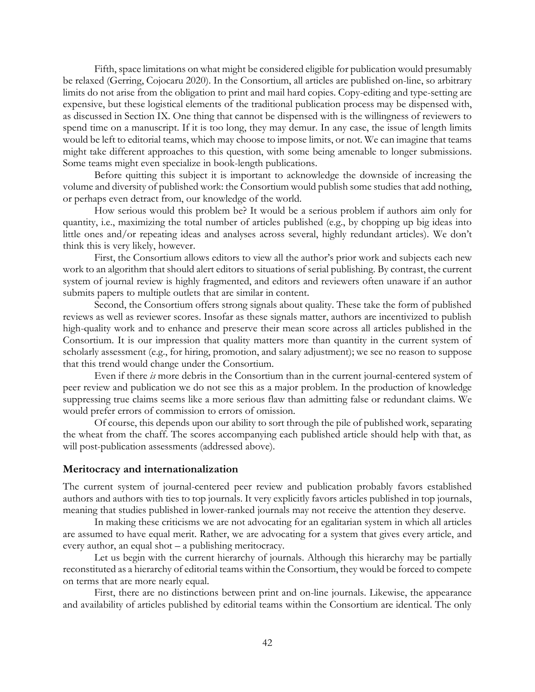Fifth, space limitations on what might be considered eligible for publication would presumably be relaxed (Gerring, Cojocaru 2020). In the Consortium, all articles are published on-line, so arbitrary limits do not arise from the obligation to print and mail hard copies. Copy-editing and type-setting are expensive, but these logistical elements of the traditional publication process may be dispensed with, as discussed in Section IX. One thing that cannot be dispensed with is the willingness of reviewers to spend time on a manuscript. If it is too long, they may demur. In any case, the issue of length limits would be left to editorial teams, which may choose to impose limits, or not. We can imagine that teams might take different approaches to this question, with some being amenable to longer submissions. Some teams might even specialize in book-length publications.

Before quitting this subject it is important to acknowledge the downside of increasing the volume and diversity of published work: the Consortium would publish some studies that add nothing, or perhaps even detract from, our knowledge of the world.

How serious would this problem be? It would be a serious problem if authors aim only for quantity, i.e., maximizing the total number of articles published (e.g., by chopping up big ideas into little ones and/or repeating ideas and analyses across several, highly redundant articles). We don't think this is very likely, however.

First, the Consortium allows editors to view all the author's prior work and subjects each new work to an algorithm that should alert editors to situations of serial publishing. By contrast, the current system of journal review is highly fragmented, and editors and reviewers often unaware if an author submits papers to multiple outlets that are similar in content.

Second, the Consortium offers strong signals about quality. These take the form of published reviews as well as reviewer scores. Insofar as these signals matter, authors are incentivized to publish high-quality work and to enhance and preserve their mean score across all articles published in the Consortium. It is our impression that quality matters more than quantity in the current system of scholarly assessment (e.g., for hiring, promotion, and salary adjustment); we see no reason to suppose that this trend would change under the Consortium.

Even if there *is* more debris in the Consortium than in the current journal-centered system of peer review and publication we do not see this as a major problem. In the production of knowledge suppressing true claims seems like a more serious flaw than admitting false or redundant claims. We would prefer errors of commission to errors of omission.

Of course, this depends upon our ability to sort through the pile of published work, separating the wheat from the chaff. The scores accompanying each published article should help with that, as will post-publication assessments (addressed above).

### <span id="page-41-0"></span>**Meritocracy and internationalization**

The current system of journal-centered peer review and publication probably favors established authors and authors with ties to top journals. It very explicitly favors articles published in top journals, meaning that studies published in lower-ranked journals may not receive the attention they deserve.

In making these criticisms we are not advocating for an egalitarian system in which all articles are assumed to have equal merit. Rather, we are advocating for a system that gives every article, and every author, an equal shot – a publishing meritocracy.

Let us begin with the current hierarchy of journals. Although this hierarchy may be partially reconstituted as a hierarchy of editorial teams within the Consortium, they would be forced to compete on terms that are more nearly equal.

First, there are no distinctions between print and on-line journals. Likewise, the appearance and availability of articles published by editorial teams within the Consortium are identical. The only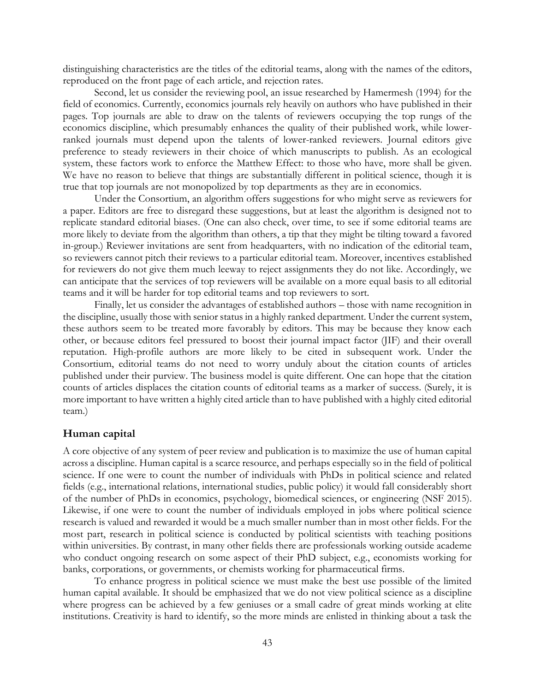distinguishing characteristics are the titles of the editorial teams, along with the names of the editors, reproduced on the front page of each article, and rejection rates.

Second, let us consider the reviewing pool, an issue researched by Hamermesh (1994) for the field of economics. Currently, economics journals rely heavily on authors who have published in their pages. Top journals are able to draw on the talents of reviewers occupying the top rungs of the economics discipline, which presumably enhances the quality of their published work, while lowerranked journals must depend upon the talents of lower-ranked reviewers. Journal editors give preference to steady reviewers in their choice of which manuscripts to publish. As an ecological system, these factors work to enforce the Matthew Effect: to those who have, more shall be given. We have no reason to believe that things are substantially different in political science, though it is true that top journals are not monopolized by top departments as they are in economics.

Under the Consortium, an algorithm offers suggestions for who might serve as reviewers for a paper. Editors are free to disregard these suggestions, but at least the algorithm is designed not to replicate standard editorial biases. (One can also check, over time, to see if some editorial teams are more likely to deviate from the algorithm than others, a tip that they might be tilting toward a favored in-group.) Reviewer invitations are sent from headquarters, with no indication of the editorial team, so reviewers cannot pitch their reviews to a particular editorial team. Moreover, incentives established for reviewers do not give them much leeway to reject assignments they do not like. Accordingly, we can anticipate that the services of top reviewers will be available on a more equal basis to all editorial teams and it will be harder for top editorial teams and top reviewers to sort.

Finally, let us consider the advantages of established authors – those with name recognition in the discipline, usually those with senior status in a highly ranked department. Under the current system, these authors seem to be treated more favorably by editors. This may be because they know each other, or because editors feel pressured to boost their journal impact factor (JIF) and their overall reputation. High-profile authors are more likely to be cited in subsequent work. Under the Consortium, editorial teams do not need to worry unduly about the citation counts of articles published under their purview. The business model is quite different. One can hope that the citation counts of articles displaces the citation counts of editorial teams as a marker of success. (Surely, it is more important to have written a highly cited article than to have published with a highly cited editorial team.)

#### <span id="page-42-0"></span>**Human capital**

A core objective of any system of peer review and publication is to maximize the use of human capital across a discipline. Human capital is a scarce resource, and perhaps especially so in the field of political science. If one were to count the number of individuals with PhDs in political science and related fields (e.g., international relations, international studies, public policy) it would fall considerably short of the number of PhDs in economics, psychology, biomedical sciences, or engineering (NSF 2015). Likewise, if one were to count the number of individuals employed in jobs where political science research is valued and rewarded it would be a much smaller number than in most other fields. For the most part, research in political science is conducted by political scientists with teaching positions within universities. By contrast, in many other fields there are professionals working outside academe who conduct ongoing research on some aspect of their PhD subject, e.g., economists working for banks, corporations, or governments, or chemists working for pharmaceutical firms.

To enhance progress in political science we must make the best use possible of the limited human capital available. It should be emphasized that we do not view political science as a discipline where progress can be achieved by a few geniuses or a small cadre of great minds working at elite institutions. Creativity is hard to identify, so the more minds are enlisted in thinking about a task the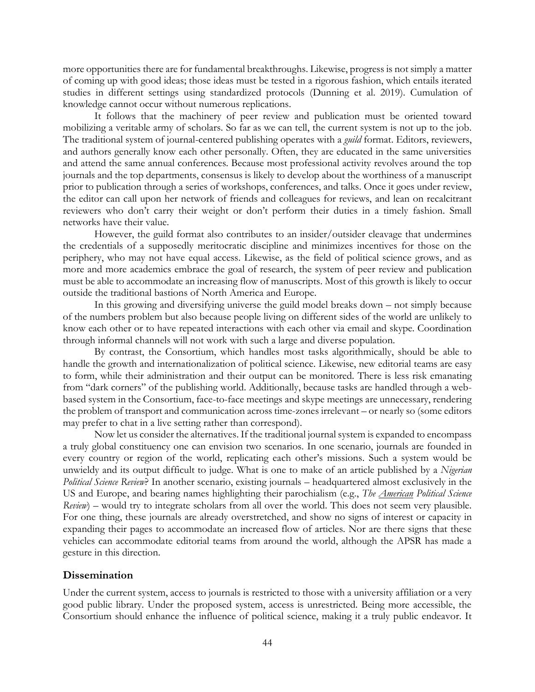more opportunities there are for fundamental breakthroughs. Likewise, progress is not simply a matter of coming up with good ideas; those ideas must be tested in a rigorous fashion, which entails iterated studies in different settings using standardized protocols (Dunning et al. 2019). Cumulation of knowledge cannot occur without numerous replications.

It follows that the machinery of peer review and publication must be oriented toward mobilizing a veritable army of scholars. So far as we can tell, the current system is not up to the job. The traditional system of journal-centered publishing operates with a *guild* format. Editors, reviewers, and authors generally know each other personally. Often, they are educated in the same universities and attend the same annual conferences. Because most professional activity revolves around the top journals and the top departments, consensus is likely to develop about the worthiness of a manuscript prior to publication through a series of workshops, conferences, and talks. Once it goes under review, the editor can call upon her network of friends and colleagues for reviews, and lean on recalcitrant reviewers who don't carry their weight or don't perform their duties in a timely fashion. Small networks have their value.

However, the guild format also contributes to an insider/outsider cleavage that undermines the credentials of a supposedly meritocratic discipline and minimizes incentives for those on the periphery, who may not have equal access. Likewise, as the field of political science grows, and as more and more academics embrace the goal of research, the system of peer review and publication must be able to accommodate an increasing flow of manuscripts. Most of this growth is likely to occur outside the traditional bastions of North America and Europe.

In this growing and diversifying universe the guild model breaks down – not simply because of the numbers problem but also because people living on different sides of the world are unlikely to know each other or to have repeated interactions with each other via email and skype. Coordination through informal channels will not work with such a large and diverse population.

By contrast, the Consortium, which handles most tasks algorithmically, should be able to handle the growth and internationalization of political science. Likewise, new editorial teams are easy to form, while their administration and their output can be monitored. There is less risk emanating from "dark corners" of the publishing world. Additionally, because tasks are handled through a webbased system in the Consortium, face-to-face meetings and skype meetings are unnecessary, rendering the problem of transport and communication across time-zones irrelevant – or nearly so (some editors may prefer to chat in a live setting rather than correspond).

Now let us consider the alternatives. If the traditional journal system is expanded to encompass a truly global constituency one can envision two scenarios. In one scenario, journals are founded in every country or region of the world, replicating each other's missions. Such a system would be unwieldy and its output difficult to judge. What is one to make of an article published by a *Nigerian Political Science Review*? In another scenario, existing journals – headquartered almost exclusively in the US and Europe, and bearing names highlighting their parochialism (e.g., *The American Political Science Review*) – would try to integrate scholars from all over the world. This does not seem very plausible. For one thing, these journals are already overstretched, and show no signs of interest or capacity in expanding their pages to accommodate an increased flow of articles. Nor are there signs that these vehicles can accommodate editorial teams from around the world, although the APSR has made a gesture in this direction.

### <span id="page-43-0"></span>**Dissemination**

Under the current system, access to journals is restricted to those with a university affiliation or a very good public library. Under the proposed system, access is unrestricted. Being more accessible, the Consortium should enhance the influence of political science, making it a truly public endeavor. It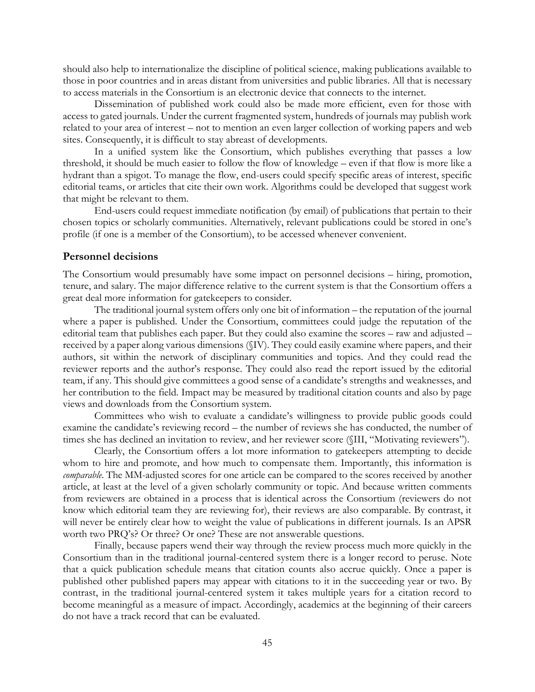should also help to internationalize the discipline of political science, making publications available to those in poor countries and in areas distant from universities and public libraries. All that is necessary to access materials in the Consortium is an electronic device that connects to the internet.

Dissemination of published work could also be made more efficient, even for those with access to gated journals. Under the current fragmented system, hundreds of journals may publish work related to your area of interest – not to mention an even larger collection of working papers and web sites. Consequently, it is difficult to stay abreast of developments.

In a unified system like the Consortium, which publishes everything that passes a low threshold, it should be much easier to follow the flow of knowledge – even if that flow is more like a hydrant than a spigot. To manage the flow, end-users could specify specific areas of interest, specific editorial teams, or articles that cite their own work. Algorithms could be developed that suggest work that might be relevant to them.

End-users could request immediate notification (by email) of publications that pertain to their chosen topics or scholarly communities. Alternatively, relevant publications could be stored in one's profile (if one is a member of the Consortium), to be accessed whenever convenient.

### <span id="page-44-0"></span>**Personnel decisions**

The Consortium would presumably have some impact on personnel decisions – hiring, promotion, tenure, and salary. The major difference relative to the current system is that the Consortium offers a great deal more information for gatekeepers to consider.

The traditional journal system offers only one bit of information – the reputation of the journal where a paper is published. Under the Consortium, committees could judge the reputation of the editorial team that publishes each paper. But they could also examine the scores – raw and adjusted – received by a paper along various dimensions (§IV). They could easily examine where papers, and their authors, sit within the network of disciplinary communities and topics. And they could read the reviewer reports and the author's response. They could also read the report issued by the editorial team, if any. This should give committees a good sense of a candidate's strengths and weaknesses, and her contribution to the field. Impact may be measured by traditional citation counts and also by page views and downloads from the Consortium system.

Committees who wish to evaluate a candidate's willingness to provide public goods could examine the candidate's reviewing record – the number of reviews she has conducted, the number of times she has declined an invitation to review, and her reviewer score (§III, "Motivating reviewers").

Clearly, the Consortium offers a lot more information to gatekeepers attempting to decide whom to hire and promote, and how much to compensate them. Importantly, this information is *comparable*. The MM-adjusted scores for one article can be compared to the scores received by another article, at least at the level of a given scholarly community or topic. And because written comments from reviewers are obtained in a process that is identical across the Consortium (reviewers do not know which editorial team they are reviewing for), their reviews are also comparable. By contrast, it will never be entirely clear how to weight the value of publications in different journals. Is an APSR worth two PRQ's? Or three? Or one? These are not answerable questions.

Finally, because papers wend their way through the review process much more quickly in the Consortium than in the traditional journal-centered system there is a longer record to peruse. Note that a quick publication schedule means that citation counts also accrue quickly. Once a paper is published other published papers may appear with citations to it in the succeeding year or two. By contrast, in the traditional journal-centered system it takes multiple years for a citation record to become meaningful as a measure of impact. Accordingly, academics at the beginning of their careers do not have a track record that can be evaluated.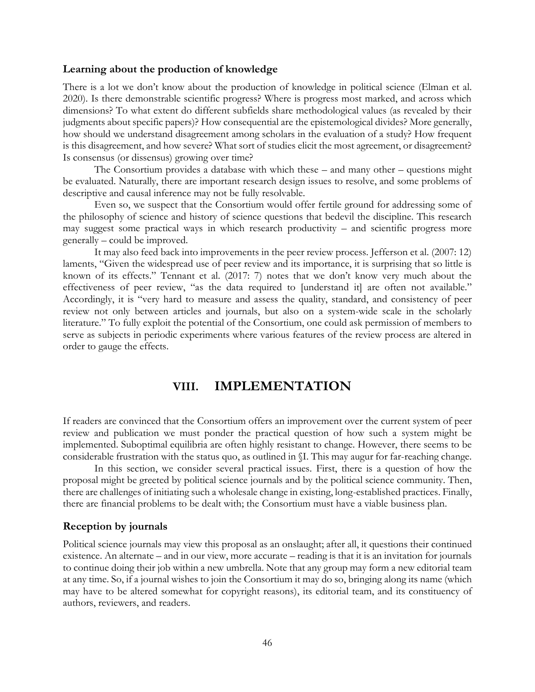### <span id="page-45-0"></span>**Learning about the production of knowledge**

There is a lot we don't know about the production of knowledge in political science (Elman et al. 2020). Is there demonstrable scientific progress? Where is progress most marked, and across which dimensions? To what extent do different subfields share methodological values (as revealed by their judgments about specific papers)? How consequential are the epistemological divides? More generally, how should we understand disagreement among scholars in the evaluation of a study? How frequent is this disagreement, and how severe? What sort of studies elicit the most agreement, or disagreement? Is consensus (or dissensus) growing over time?

The Consortium provides a database with which these – and many other – questions might be evaluated. Naturally, there are important research design issues to resolve, and some problems of descriptive and causal inference may not be fully resolvable.

Even so, we suspect that the Consortium would offer fertile ground for addressing some of the philosophy of science and history of science questions that bedevil the discipline. This research may suggest some practical ways in which research productivity – and scientific progress more generally – could be improved.

It may also feed back into improvements in the peer review process. Jefferson et al. (2007: 12) laments, "Given the widespread use of peer review and its importance, it is surprising that so little is known of its effects." Tennant et al. (2017: 7) notes that we don't know very much about the effectiveness of peer review, "as the data required to [understand it] are often not available." Accordingly, it is "very hard to measure and assess the quality, standard, and consistency of peer review not only between articles and journals, but also on a system-wide scale in the scholarly literature." To fully exploit the potential of the Consortium, one could ask permission of members to serve as subjects in periodic experiments where various features of the review process are altered in order to gauge the effects.

### **VIII. IMPLEMENTATION**

<span id="page-45-1"></span>If readers are convinced that the Consortium offers an improvement over the current system of peer review and publication we must ponder the practical question of how such a system might be implemented. Suboptimal equilibria are often highly resistant to change. However, there seems to be considerable frustration with the status quo, as outlined in §I. This may augur for far-reaching change.

In this section, we consider several practical issues. First, there is a question of how the proposal might be greeted by political science journals and by the political science community. Then, there are challenges of initiating such a wholesale change in existing, long-established practices. Finally, there are financial problems to be dealt with; the Consortium must have a viable business plan.

#### <span id="page-45-2"></span>**Reception by journals**

Political science journals may view this proposal as an onslaught; after all, it questions their continued existence. An alternate – and in our view, more accurate – reading is that it is an invitation for journals to continue doing their job within a new umbrella. Note that any group may form a new editorial team at any time. So, if a journal wishes to join the Consortium it may do so, bringing along its name (which may have to be altered somewhat for copyright reasons), its editorial team, and its constituency of authors, reviewers, and readers.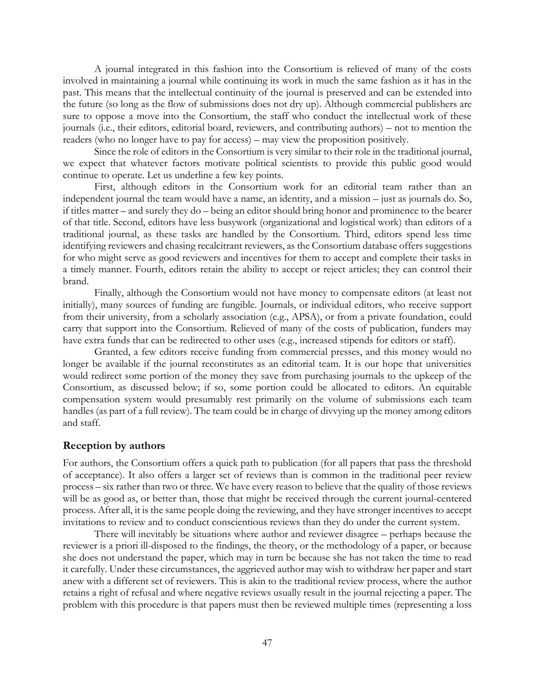A journal integrated in this fashion into the Consortium is relieved of many of the costs involved in maintaining a journal while continuing its work in much the same fashion as it has in the past. This means that the intellectual continuity of the journal is preserved and can be extended into the future (so long as the flow of submissions does not dry up). Although commercial publishers are sure to oppose a move into the Consortium, the staff who conduct the intellectual work of these journals (i.e., their editors, editorial board, reviewers, and contributing authors) – not to mention the readers (who no longer have to pay for access) – may view the proposition positively.

Since the role of editors in the Consortium is very similar to their role in the traditional journal, we expect that whatever factors motivate political scientists to provide this public good would continue to operate. Let us underline a few key points.

First, although editors in the Consortium work for an editorial team rather than an independent journal the team would have a name, an identity, and a mission – just as journals do. So, if titles matter – and surely they do – being an editor should bring honor and prominence to the bearer of that title. Second, editors have less busywork (organizational and logistical work) than editors of a traditional journal, as these tasks are handled by the Consortium. Third, editors spend less time identifying reviewers and chasing recalcitrant reviewers, as the Consortium database offers suggestions for who might serve as good reviewers and incentives for them to accept and complete their tasks in a timely manner. Fourth, editors retain the ability to accept or reject articles; they can control their brand.

Finally, although the Consortium would not have money to compensate editors (at least not initially), many sources of funding are fungible. Journals, or individual editors, who receive support from their university, from a scholarly association (e.g., APSA), or from a private foundation, could carry that support into the Consortium. Relieved of many of the costs of publication, funders may have extra funds that can be redirected to other uses (e.g., increased stipends for editors or staff).

Granted, a few editors receive funding from commercial presses, and this money would no longer be available if the journal reconstitutes as an editorial team. It is our hope that universities would redirect some portion of the money they save from purchasing journals to the upkeep of the Consortium, as discussed below; if so, some portion could be allocated to editors. An equitable compensation system would presumably rest primarily on the volume of submissions each team handles (as part of a full review). The team could be in charge of divvying up the money among editors and staff.

#### <span id="page-46-0"></span>**Reception by authors**

For authors, the Consortium offers a quick path to publication (for all papers that pass the threshold of acceptance). It also offers a larger set of reviews than is common in the traditional peer review process – six rather than two or three. We have every reason to believe that the quality of those reviews will be as good as, or better than, those that might be received through the current journal-centered process. After all, it is the same people doing the reviewing, and they have stronger incentives to accept invitations to review and to conduct conscientious reviews than they do under the current system.

There will inevitably be situations where author and reviewer disagree – perhaps because the reviewer is a priori ill-disposed to the findings, the theory, or the methodology of a paper, or because she does not understand the paper, which may in turn be because she has not taken the time to read it carefully. Under these circumstances, the aggrieved author may wish to withdraw her paper and start anew with a different set of reviewers. This is akin to the traditional review process, where the author retains a right of refusal and where negative reviews usually result in the journal rejecting a paper. The problem with this procedure is that papers must then be reviewed multiple times (representing a loss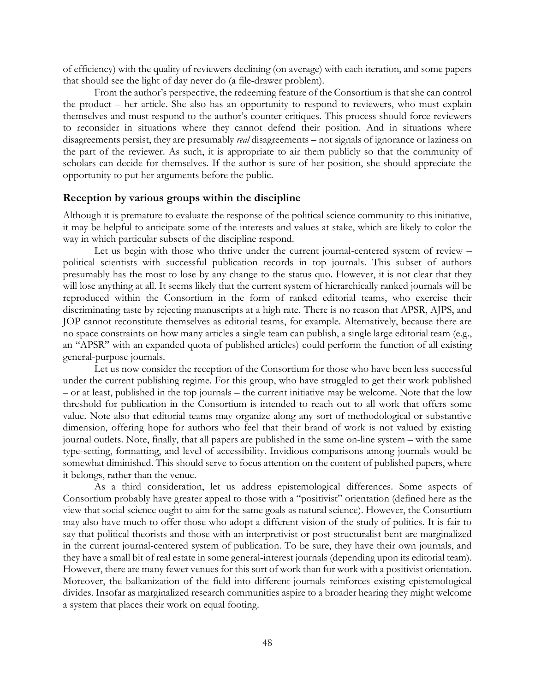of efficiency) with the quality of reviewers declining (on average) with each iteration, and some papers that should see the light of day never do (a file-drawer problem).

From the author's perspective, the redeeming feature of the Consortium is that she can control the product – her article. She also has an opportunity to respond to reviewers, who must explain themselves and must respond to the author's counter-critiques. This process should force reviewers to reconsider in situations where they cannot defend their position. And in situations where disagreements persist, they are presumably *real* disagreements – not signals of ignorance or laziness on the part of the reviewer. As such, it is appropriate to air them publicly so that the community of scholars can decide for themselves. If the author is sure of her position, she should appreciate the opportunity to put her arguments before the public.

### <span id="page-47-0"></span>**Reception by various groups within the discipline**

Although it is premature to evaluate the response of the political science community to this initiative, it may be helpful to anticipate some of the interests and values at stake, which are likely to color the way in which particular subsets of the discipline respond.

Let us begin with those who thrive under the current journal-centered system of review – political scientists with successful publication records in top journals. This subset of authors presumably has the most to lose by any change to the status quo. However, it is not clear that they will lose anything at all. It seems likely that the current system of hierarchically ranked journals will be reproduced within the Consortium in the form of ranked editorial teams, who exercise their discriminating taste by rejecting manuscripts at a high rate. There is no reason that APSR, AJPS, and JOP cannot reconstitute themselves as editorial teams, for example. Alternatively, because there are no space constraints on how many articles a single team can publish, a single large editorial team (e.g., an "APSR" with an expanded quota of published articles) could perform the function of all existing general-purpose journals.

Let us now consider the reception of the Consortium for those who have been less successful under the current publishing regime. For this group, who have struggled to get their work published – or at least, published in the top journals – the current initiative may be welcome. Note that the low threshold for publication in the Consortium is intended to reach out to all work that offers some value. Note also that editorial teams may organize along any sort of methodological or substantive dimension, offering hope for authors who feel that their brand of work is not valued by existing journal outlets. Note, finally, that all papers are published in the same on-line system – with the same type-setting, formatting, and level of accessibility. Invidious comparisons among journals would be somewhat diminished. This should serve to focus attention on the content of published papers, where it belongs, rather than the venue.

As a third consideration, let us address epistemological differences. Some aspects of Consortium probably have greater appeal to those with a "positivist" orientation (defined here as the view that social science ought to aim for the same goals as natural science). However, the Consortium may also have much to offer those who adopt a different vision of the study of politics. It is fair to say that political theorists and those with an interpretivist or post-structuralist bent are marginalized in the current journal-centered system of publication. To be sure, they have their own journals, and they have a small bit of real estate in some general-interest journals (depending upon its editorial team). However, there are many fewer venues for this sort of work than for work with a positivist orientation. Moreover, the balkanization of the field into different journals reinforces existing epistemological divides. Insofar as marginalized research communities aspire to a broader hearing they might welcome a system that places their work on equal footing.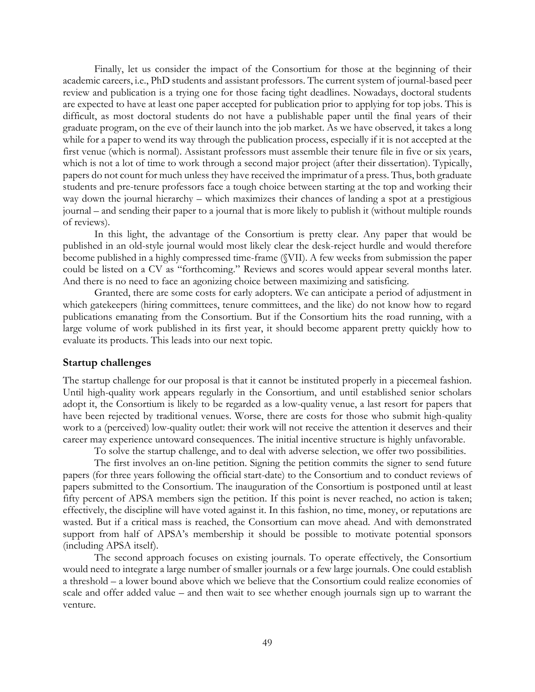Finally, let us consider the impact of the Consortium for those at the beginning of their academic careers, i.e., PhD students and assistant professors. The current system of journal-based peer review and publication is a trying one for those facing tight deadlines. Nowadays, doctoral students are expected to have at least one paper accepted for publication prior to applying for top jobs. This is difficult, as most doctoral students do not have a publishable paper until the final years of their graduate program, on the eve of their launch into the job market. As we have observed, it takes a long while for a paper to wend its way through the publication process, especially if it is not accepted at the first venue (which is normal). Assistant professors must assemble their tenure file in five or six years, which is not a lot of time to work through a second major project (after their dissertation). Typically, papers do not count for much unless they have received the imprimatur of a press. Thus, both graduate students and pre-tenure professors face a tough choice between starting at the top and working their way down the journal hierarchy – which maximizes their chances of landing a spot at a prestigious journal – and sending their paper to a journal that is more likely to publish it (without multiple rounds of reviews).

In this light, the advantage of the Consortium is pretty clear. Any paper that would be published in an old-style journal would most likely clear the desk-reject hurdle and would therefore become published in a highly compressed time-frame (§VII). A few weeks from submission the paper could be listed on a CV as "forthcoming." Reviews and scores would appear several months later. And there is no need to face an agonizing choice between maximizing and satisficing.

Granted, there are some costs for early adopters. We can anticipate a period of adjustment in which gatekeepers (hiring committees, tenure committees, and the like) do not know how to regard publications emanating from the Consortium. But if the Consortium hits the road running, with a large volume of work published in its first year, it should become apparent pretty quickly how to evaluate its products. This leads into our next topic.

### <span id="page-48-0"></span>**Startup challenges**

The startup challenge for our proposal is that it cannot be instituted properly in a piecemeal fashion. Until high-quality work appears regularly in the Consortium, and until established senior scholars adopt it, the Consortium is likely to be regarded as a low-quality venue, a last resort for papers that have been rejected by traditional venues. Worse, there are costs for those who submit high-quality work to a (perceived) low-quality outlet: their work will not receive the attention it deserves and their career may experience untoward consequences. The initial incentive structure is highly unfavorable.

To solve the startup challenge, and to deal with adverse selection, we offer two possibilities.

The first involves an on-line petition. Signing the petition commits the signer to send future papers (for three years following the official start-date) to the Consortium and to conduct reviews of papers submitted to the Consortium. The inauguration of the Consortium is postponed until at least fifty percent of APSA members sign the petition. If this point is never reached, no action is taken; effectively, the discipline will have voted against it. In this fashion, no time, money, or reputations are wasted. But if a critical mass is reached, the Consortium can move ahead. And with demonstrated support from half of APSA's membership it should be possible to motivate potential sponsors (including APSA itself).

The second approach focuses on existing journals. To operate effectively, the Consortium would need to integrate a large number of smaller journals or a few large journals. One could establish a threshold – a lower bound above which we believe that the Consortium could realize economies of scale and offer added value – and then wait to see whether enough journals sign up to warrant the venture.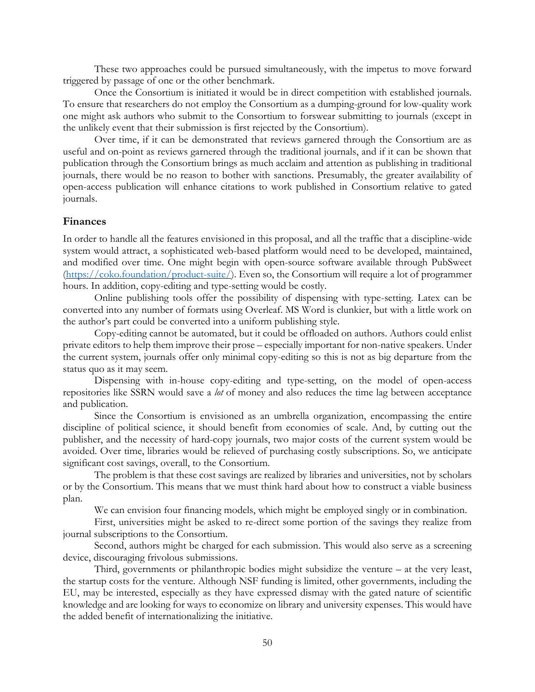These two approaches could be pursued simultaneously, with the impetus to move forward triggered by passage of one or the other benchmark.

Once the Consortium is initiated it would be in direct competition with established journals. To ensure that researchers do not employ the Consortium as a dumping-ground for low-quality work one might ask authors who submit to the Consortium to forswear submitting to journals (except in the unlikely event that their submission is first rejected by the Consortium).

Over time, if it can be demonstrated that reviews garnered through the Consortium are as useful and on-point as reviews garnered through the traditional journals, and if it can be shown that publication through the Consortium brings as much acclaim and attention as publishing in traditional journals, there would be no reason to bother with sanctions. Presumably, the greater availability of open-access publication will enhance citations to work published in Consortium relative to gated journals.

### <span id="page-49-0"></span>**Finances**

In order to handle all the features envisioned in this proposal, and all the traffic that a discipline-wide system would attract, a sophisticated web-based platform would need to be developed, maintained, and modified over time. One might begin with open-source software available through PubSweet [\(https://coko.foundation/product-suite/\)](https://coko.foundation/product-suite/). Even so, the Consortium will require a lot of programmer hours. In addition, copy-editing and type-setting would be costly.

Online publishing tools offer the possibility of dispensing with type-setting. Latex can be converted into any number of formats using Overleaf. MS Word is clunkier, but with a little work on the author's part could be converted into a uniform publishing style.

Copy-editing cannot be automated, but it could be offloaded on authors. Authors could enlist private editors to help them improve their prose – especially important for non-native speakers. Under the current system, journals offer only minimal copy-editing so this is not as big departure from the status quo as it may seem.

Dispensing with in-house copy-editing and type-setting, on the model of open-access repositories like SSRN would save a *lot* of money and also reduces the time lag between acceptance and publication.

Since the Consortium is envisioned as an umbrella organization, encompassing the entire discipline of political science, it should benefit from economies of scale. And, by cutting out the publisher, and the necessity of hard-copy journals, two major costs of the current system would be avoided. Over time, libraries would be relieved of purchasing costly subscriptions. So, we anticipate significant cost savings, overall, to the Consortium.

The problem is that these cost savings are realized by libraries and universities, not by scholars or by the Consortium. This means that we must think hard about how to construct a viable business plan.

We can envision four financing models, which might be employed singly or in combination.

First, universities might be asked to re-direct some portion of the savings they realize from journal subscriptions to the Consortium.

Second, authors might be charged for each submission. This would also serve as a screening device, discouraging frivolous submissions.

Third, governments or philanthropic bodies might subsidize the venture – at the very least, the startup costs for the venture. Although NSF funding is limited, other governments, including the EU, may be interested, especially as they have expressed dismay with the gated nature of scientific knowledge and are looking for ways to economize on library and university expenses. This would have the added benefit of internationalizing the initiative.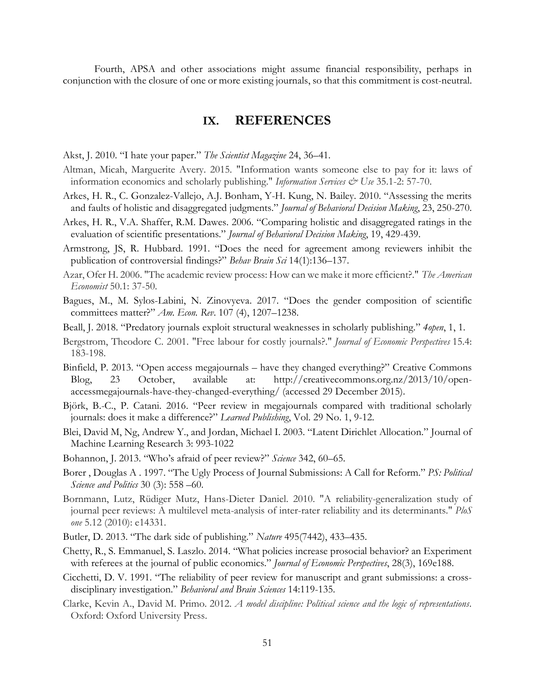<span id="page-50-0"></span>Fourth, APSA and other associations might assume financial responsibility, perhaps in conjunction with the closure of one or more existing journals, so that this commitment is cost-neutral.

### **IX. REFERENCES**

Akst, J. 2010. "I hate your paper." *The Scientist Magazine* 24, 36–41.

- Altman, Micah, Marguerite Avery. 2015. "Information wants someone else to pay for it: laws of information economics and scholarly publishing." *Information Services & Use* 35.1-2: 57-70.
- Arkes, H. R., C. Gonzalez-Vallejo, A.J. Bonham, Y-H. Kung, N. Bailey. 2010. "Assessing the merits and faults of holistic and disaggregated judgments." *Journal of Behavioral Decision Making*, 23, 250-270.
- Arkes, H. R., V.A. Shaffer, R.M. Dawes. 2006. "Comparing holistic and disaggregated ratings in the evaluation of scientific presentations." *Journal of Behavioral Decision Making*, 19, 429-439.
- Armstrong, JS, R. Hubbard. 1991. "Does the need for agreement among reviewers inhibit the publication of controversial findings?" *Behav Brain Sci* 14(1):136–137.
- Azar, Ofer H. 2006. "The academic review process: How can we make it more efficient?." *The American Economist* 50.1: 37-50.
- Bagues, M., M. Sylos-Labini, N. Zinovyeva. 2017. "Does the gender composition of scientific committees matter?" *Am. Econ. Rev*. 107 (4), 1207–1238.
- Beall, J. 2018. "Predatory journals exploit structural weaknesses in scholarly publishing." *4open*, 1, 1.
- Bergstrom, Theodore C. 2001. "Free labour for costly journals?." *Journal of Economic Perspectives* 15.4: 183-198.
- Binfield, P. 2013. "Open access megajournals have they changed everything?" Creative Commons Blog, 23 October, available at: http://creativecommons.org.nz/2013/10/openaccessmegajournals-have-they-changed-everything/ (accessed 29 December 2015).
- Björk, B.-C., P. Catani. 2016. "Peer review in megajournals compared with traditional scholarly journals: does it make a difference?" *Learned Publishing*, Vol. 29 No. 1, 9-12.
- Blei, David M, Ng, Andrew Y., and Jordan, Michael I. 2003. "Latent Dirichlet Allocation." Journal of Machine Learning Research 3: 993-1022
- Bohannon, J. 2013. "Who's afraid of peer review?" *Science* 342, 60–65.
- Borer , Douglas A . 1997. "The Ugly Process of Journal Submissions: A Call for Reform." *PS: Political Science and Politics* 30 (3): 558 –60.
- Bornmann, Lutz, Rüdiger Mutz, Hans-Dieter Daniel. 2010. "A reliability-generalization study of journal peer reviews: A multilevel meta-analysis of inter-rater reliability and its determinants." *PloS one* 5.12 (2010): e14331.
- Butler, D. 2013. "The dark side of publishing." *Nature* 495(7442), 433–435.
- Chetty, R., S. Emmanuel, S. Laszlo. 2014. "What policies increase prosocial behavior? an Experiment with referees at the journal of public economics." *Journal of Economic Perspectives*, 28(3), 169e188.
- Cicchetti, D. V. 1991. "The reliability of peer review for manuscript and grant submissions: a crossdisciplinary investigation." *Behavioral and Brain Sciences* 14:119-135.
- Clarke, Kevin A., David M. Primo. 2012. *A model discipline: Political science and the logic of representations*. Oxford: Oxford University Press.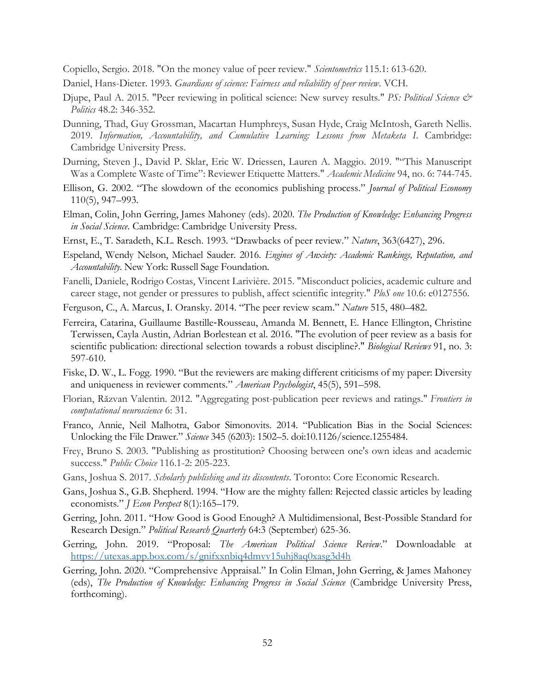Copiello, Sergio. 2018. "On the money value of peer review." *Scientometrics* 115.1: 613-620.

- Daniel, Hans-Dieter. 1993. *Guardians of science: Fairness and reliability of peer review*. VCH.
- Djupe, Paul A. 2015. "Peer reviewing in political science: New survey results." *PS: Political Science & Politics* 48.2: 346-352.
- Dunning, Thad, Guy Grossman, Macartan Humphreys, Susan Hyde, Craig McIntosh, Gareth Nellis. 2019. *Information, Accountability, and Cumulative Learning: Lessons from Metaketa I*. Cambridge: Cambridge University Press.
- Durning, Steven J., David P. Sklar, Eric W. Driessen, Lauren A. Maggio. 2019. ""This Manuscript Was a Complete Waste of Time": Reviewer Etiquette Matters." *Academic Medicine* 94, no. 6: 744-745.
- Ellison, G. 2002. "The slowdown of the economics publishing process." *Journal of Political Economy* 110(5), 947–993.
- Elman, Colin, John Gerring, James Mahoney (eds). 2020. *The Production of Knowledge: Enhancing Progress in Social Science*. Cambridge: Cambridge University Press.
- Ernst, E., T. Saradeth, K.L. Resch. 1993. "Drawbacks of peer review." *Nature*, 363(6427), 296.
- Espeland, Wendy Nelson, Michael Sauder. 2016. *Engines of Anxiety: Academic Rankings, Reputation, and Accountability*. New York: Russell Sage Foundation.
- Fanelli, Daniele, Rodrigo Costas, Vincent Larivière. 2015. "Misconduct policies, academic culture and career stage, not gender or pressures to publish, affect scientific integrity." *PloS one* 10.6: e0127556.
- Ferguson, C., A. Marcus, I. Oransky. 2014. "The peer review scam." *Nature* 515, 480–482.
- Ferreira, Catarina, Guillaume Bastille‐Rousseau, Amanda M. Bennett, E. Hance Ellington, Christine Terwissen, Cayla Austin, Adrian Borlestean et al. 2016. "The evolution of peer review as a basis for scientific publication: directional selection towards a robust discipline?." *Biological Reviews* 91, no. 3: 597-610.
- Fiske, D. W., L. Fogg. 1990. "But the reviewers are making different criticisms of my paper: Diversity and uniqueness in reviewer comments." *American Psychologist*, 45(5), 591–598.
- Florian, Răzvan Valentin. 2012. "Aggregating post-publication peer reviews and ratings." *Frontiers in computational neuroscience* 6: 31.
- Franco, Annie, Neil Malhotra, Gabor Simonovits. 2014. "Publication Bias in the Social Sciences: Unlocking the File Drawer." *Science* 345 (6203): 1502–5. doi:10.1126/science.1255484.
- Frey, Bruno S. 2003. "Publishing as prostitution? Choosing between one's own ideas and academic success." *Public Choice* 116.1-2: 205-223.
- Gans, Joshua S. 2017. *Scholarly publishing and its discontents*. Toronto: Core Economic Research.
- Gans, Joshua S., G.B. Shepherd. 1994. "How are the mighty fallen: Rejected classic articles by leading economists." *J Econ Perspect* 8(1):165–179.
- Gerring, John. 2011. "How Good is Good Enough? A Multidimensional, Best-Possible Standard for Research Design." *Political Research Quarterly* 64:3 (September) 625-36.
- Gerring, John. 2019. "Proposal: *The American Political Science Review*." Downloadable at <https://utexas.app.box.com/s/gnifxxnbiq4dmvv15uhj8aq0xasg3d4h>
- Gerring, John. 2020. "Comprehensive Appraisal." In Colin Elman, John Gerring, & James Mahoney (eds), *The Production of Knowledge: Enhancing Progress in Social Science* (Cambridge University Press, forthcoming).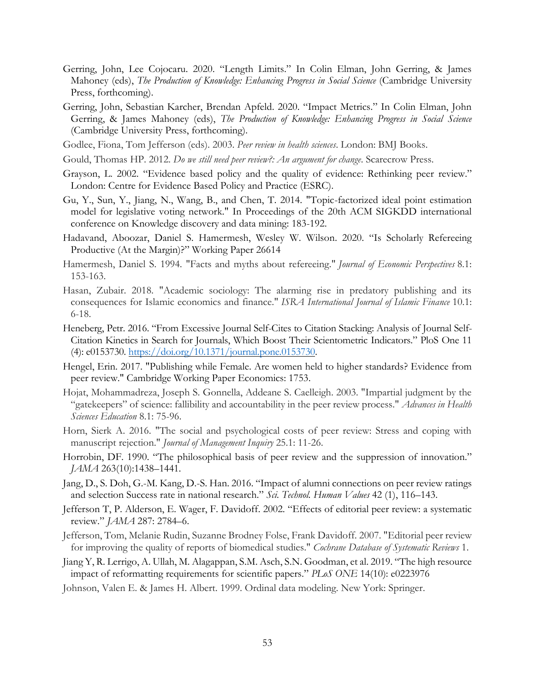- Gerring, John, Lee Cojocaru. 2020. "Length Limits." In Colin Elman, John Gerring, & James Mahoney (eds), *The Production of Knowledge: Enhancing Progress in Social Science* (Cambridge University Press, forthcoming).
- Gerring, John, Sebastian Karcher, Brendan Apfeld. 2020. "Impact Metrics." In Colin Elman, John Gerring, & James Mahoney (eds), *The Production of Knowledge: Enhancing Progress in Social Science* (Cambridge University Press, forthcoming).
- Godlee, Fiona, Tom Jefferson (eds). 2003. *Peer review in health sciences*. London: BMJ Books.
- Gould, Thomas HP. 2012. *Do we still need peer review?: An argument for change*. Scarecrow Press.
- Grayson, L. 2002. "Evidence based policy and the quality of evidence: Rethinking peer review." London: Centre for Evidence Based Policy and Practice (ESRC).
- Gu, Y., Sun, Y., Jiang, N., Wang, B., and Chen, T. 2014. "Topic-factorized ideal point estimation model for legislative voting network." In Proceedings of the 20th ACM SIGKDD international conference on Knowledge discovery and data mining: 183-192.
- Hadavand, Aboozar, Daniel S. Hamermesh, Wesley W. Wilson. 2020. "Is Scholarly Refereeing Productive (At the Margin)?" Working Paper 26614
- Hamermesh, Daniel S. 1994. "Facts and myths about refereeing." *Journal of Economic Perspectives* 8.1: 153-163.
- Hasan, Zubair. 2018. "Academic sociology: The alarming rise in predatory publishing and its consequences for Islamic economics and finance." *ISRA International Journal of Islamic Finance* 10.1: 6-18.
- Heneberg, Petr. 2016. "From Excessive Journal Self-Cites to Citation Stacking: Analysis of Journal Self-Citation Kinetics in Search for Journals, Which Boost Their Scientometric Indicators." PloS One 11  $(4)$ : e0153730. [https://doi.org/10.1371/journal.pone.0153730.](https://doi.org/10.1371/journal.pone.0153730)
- Hengel, Erin. 2017. "Publishing while Female. Are women held to higher standards? Evidence from peer review." Cambridge Working Paper Economics: 1753.
- Hojat, Mohammadreza, Joseph S. Gonnella, Addeane S. Caelleigh. 2003. "Impartial judgment by the "gatekeepers" of science: fallibility and accountability in the peer review process." *Advances in Health Sciences Education* 8.1: 75-96.
- Horn, Sierk A. 2016. "The social and psychological costs of peer review: Stress and coping with manuscript rejection." *Journal of Management Inquiry* 25.1: 11-26.
- Horrobin, DF. 1990. "The philosophical basis of peer review and the suppression of innovation." *JAMA* 263(10):1438–1441.
- Jang, D., S. Doh, G.-M. Kang, D.-S. Han. 2016. "Impact of alumni connections on peer review ratings and selection Success rate in national research." *Sci. Technol. Human Values* 42 (1), 116–143.
- Jefferson T, P. Alderson, E. Wager, F. Davidoff. 2002. "Effects of editorial peer review: a systematic review." *JAMA* 287: 2784–6.
- Jefferson, Tom, Melanie Rudin, Suzanne Brodney Folse, Frank Davidoff. 2007. "Editorial peer review for improving the quality of reports of biomedical studies." *Cochrane Database of Systematic Reviews* 1.
- Jiang Y, R. Lerrigo, A. Ullah, M. Alagappan, S.M. Asch, S.N. Goodman, et al. 2019. "The high resource impact of reformatting requirements for scientific papers." *PLoS ONE* 14(10): e0223976
- Johnson, Valen E. & James H. Albert. 1999. Ordinal data modeling. New York: Springer.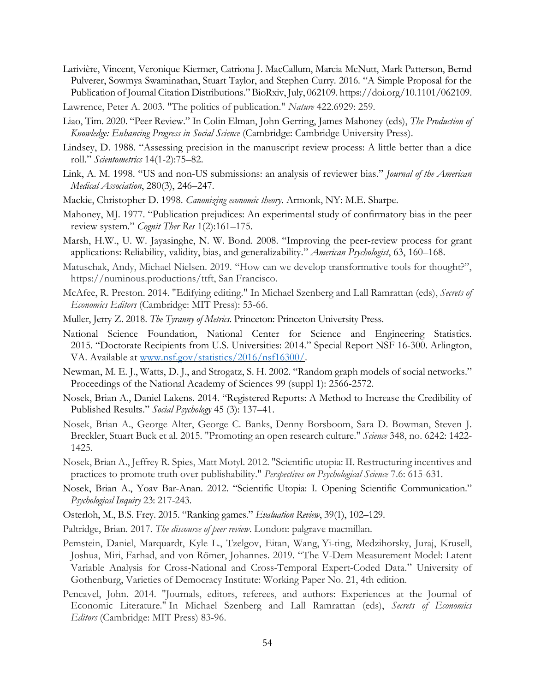- Larivière, Vincent, Veronique Kiermer, Catriona J. MacCallum, Marcia McNutt, Mark Patterson, Bernd Pulverer, Sowmya Swaminathan, Stuart Taylor, and Stephen Curry. 2016. "A Simple Proposal for the Publication of Journal Citation Distributions." BioRxiv, July, 062109. https://doi.org/10.1101/062109.
- Lawrence, Peter A. 2003. "The politics of publication." *Nature* 422.6929: 259.
- Liao, Tim. 2020. "Peer Review." In Colin Elman, John Gerring, James Mahoney (eds), *The Production of Knowledge: Enhancing Progress in Social Science* (Cambridge: Cambridge University Press).
- Lindsey, D. 1988. "Assessing precision in the manuscript review process: A little better than a dice roll." *Scientometrics* 14(1-2):75–82.
- Link, A. M. 1998. "US and non-US submissions: an analysis of reviewer bias." *Journal of the American Medical Association*, 280(3), 246–247.
- Mackie, Christopher D. 1998. *Canonizing economic theory*. Armonk, NY: M.E. Sharpe.
- Mahoney, MJ. 1977. "Publication prejudices: An experimental study of confirmatory bias in the peer review system." *Cognit Ther Res* 1(2):161–175.
- Marsh, H.W., U. W. Jayasinghe, N. W. Bond. 2008. "Improving the peer-review process for grant applications: Reliability, validity, bias, and generalizability." *American Psychologist*, 63, 160–168.
- Matuschak, Andy, Michael Nielsen. 2019. "How can we develop transformative tools for thought?", https://numinous.productions/ttft, San Francisco.
- McAfee, R. Preston. 2014. "Edifying editing." In Michael Szenberg and Lall Ramrattan (eds), *Secrets of Economics Editors* (Cambridge: MIT Press): 53-66.
- Muller, Jerry Z. 2018. *The Tyranny of Metrics*. Princeton: Princeton University Press.
- National Science Foundation, National Center for Science and Engineering Statistics. 2015. "Doctorate Recipients from U.S. Universities: 2014." Special Report NSF 16-300. Arlington, VA. Available at [www.nsf.gov/statistics/2016/nsf16300/.](https://www.nsf.gov/statistics/2016/nsf16300/)
- Newman, M. E. J., Watts, D. J., and Strogatz, S. H. 2002. "Random graph models of social networks." Proceedings of the National Academy of Sciences 99 (suppl 1): 2566-2572.
- Nosek, Brian A., Daniel Lakens. 2014. "Registered Reports: A Method to Increase the Credibility of Published Results." *Social Psychology* 45 (3): 137–41.
- Nosek, Brian A., George Alter, George C. Banks, Denny Borsboom, Sara D. Bowman, Steven J. Breckler, Stuart Buck et al. 2015. "Promoting an open research culture." *Science* 348, no. 6242: 1422- 1425.
- Nosek, Brian A., Jeffrey R. Spies, Matt Motyl. 2012. "Scientific utopia: II. Restructuring incentives and practices to promote truth over publishability." *Perspectives on Psychological Science* 7.6: 615-631.
- Nosek, Brian A., Yoav Bar-Anan. 2012. "Scientific Utopia: I. Opening Scientific Communication." *Psychological Inquiry* 23: 217-243.
- Osterloh, M., B.S. Frey. 2015. "Ranking games." *Evaluation Review*, 39(1), 102–129.
- Paltridge, Brian. 2017. *The discourse of peer review*. London: palgrave macmillan.
- Pemstein, Daniel, Marquardt, Kyle L., Tzelgov, Eitan, Wang, Yi-ting, Medzihorsky, Juraj, Krusell, Joshua, Miri, Farhad, and von Römer, Johannes. 2019. "The V-Dem Measurement Model: Latent Variable Analysis for Cross-National and Cross-Temporal Expert-Coded Data." University of Gothenburg, Varieties of Democracy Institute: Working Paper No. 21, 4th edition.
- Pencavel, John. 2014. "Journals, editors, referees, and authors: Experiences at the Journal of Economic Literature." In Michael Szenberg and Lall Ramrattan (eds), *Secrets of Economics Editors* (Cambridge: MIT Press) 83-96.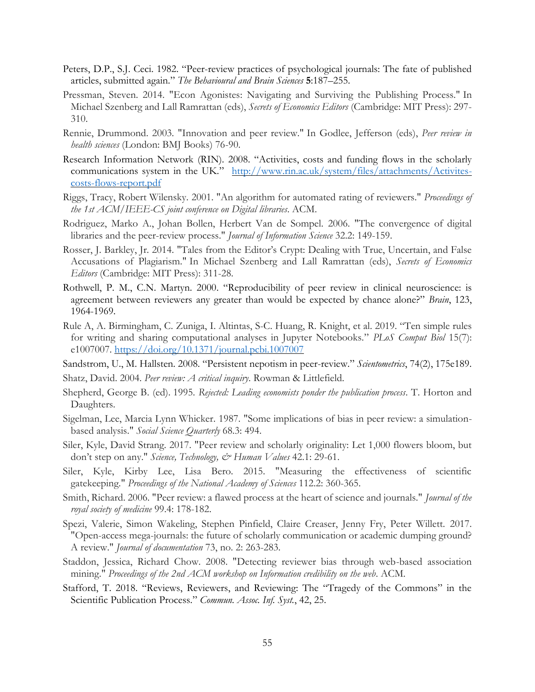- Peters, D.P., S.J. Ceci. 1982. "Peer-review practices of psychological journals: The fate of published articles, submitted again." *The Behavioural and Brain Sciences* **5**:187–255.
- Pressman, Steven. 2014. "Econ Agonistes: Navigating and Surviving the Publishing Process." In Michael Szenberg and Lall Ramrattan (eds), *Secrets of Economics Editors* (Cambridge: MIT Press): 297- 310.
- Rennie, Drummond. 2003. "Innovation and peer review." In Godlee, Jefferson (eds), *Peer review in health sciences* (London: BMJ Books) 76-90.
- Research Information Network (RIN). 2008. "Activities, costs and funding flows in the scholarly communications system in the UK." [http://www.rin.ac.uk/system/files/attachments/Activites](http://www.rin.ac.uk/system/files/attachments/Activites-costs-flows-report.pdf)[costs-flows-report.pdf](http://www.rin.ac.uk/system/files/attachments/Activites-costs-flows-report.pdf)
- Riggs, Tracy, Robert Wilensky. 2001. "An algorithm for automated rating of reviewers." *Proceedings of the 1st ACM/IEEE-CS joint conference on Digital libraries*. ACM.
- Rodriguez, Marko A., Johan Bollen, Herbert Van de Sompel. 2006. "The convergence of digital libraries and the peer-review process." *Journal of Information Science* 32.2: 149-159.
- Rosser, J. Barkley, Jr. 2014. "Tales from the Editor's Crypt: Dealing with True, Uncertain, and False Accusations of Plagiarism." In Michael Szenberg and Lall Ramrattan (eds), *Secrets of Economics Editors* (Cambridge: MIT Press): 311-28.
- Rothwell, P. M., C.N. Martyn. 2000. "Reproducibility of peer review in clinical neuroscience: is agreement between reviewers any greater than would be expected by chance alone?" *Brain*, 123, 1964-1969.
- Rule A, A. Birmingham, C. Zuniga, I. Altintas, S-C. Huang, R. Knight, et al. 2019. "Ten simple rules for writing and sharing computational analyses in Jupyter Notebooks." *PLoS Comput Biol* 15(7): e1007007.<https://doi.org/10.1371/journal.pcbi.1007007>
- Sandstrom, U., M. Hallsten. 2008. "Persistent nepotism in peer-review." *Scientometrics*, 74(2), 175e189.
- Shatz, David. 2004. *Peer review: A critical inquiry*. Rowman & Littlefield.
- Shepherd, George B. (ed). 1995. *Rejected: Leading economists ponder the publication process*. T. Horton and Daughters.
- Sigelman, Lee, Marcia Lynn Whicker. 1987. "Some implications of bias in peer review: a simulationbased analysis." *Social Science Quarterly* 68.3: 494.
- Siler, Kyle, David Strang. 2017. "Peer review and scholarly originality: Let 1,000 flowers bloom, but don't step on any." *Science, Technology, & Human Values* 42.1: 29-61.
- Siler, Kyle, Kirby Lee, Lisa Bero. 2015. "Measuring the effectiveness of scientific gatekeeping." *Proceedings of the National Academy of Sciences* 112.2: 360-365.
- Smith, Richard. 2006. "Peer review: a flawed process at the heart of science and journals." *Journal of the royal society of medicine* 99.4: 178-182.
- Spezi, Valerie, Simon Wakeling, Stephen Pinfield, Claire Creaser, Jenny Fry, Peter Willett. 2017. "Open-access mega-journals: the future of scholarly communication or academic dumping ground? A review." *Journal of documentation* 73, no. 2: 263-283.
- Staddon, Jessica, Richard Chow. 2008. "Detecting reviewer bias through web-based association mining." *Proceedings of the 2nd ACM workshop on Information credibility on the web*. ACM.
- Stafford, T. 2018. "Reviews, Reviewers, and Reviewing: The "Tragedy of the Commons" in the Scientific Publication Process." *Commun. Assoc. Inf. Syst.*, 42, 25.